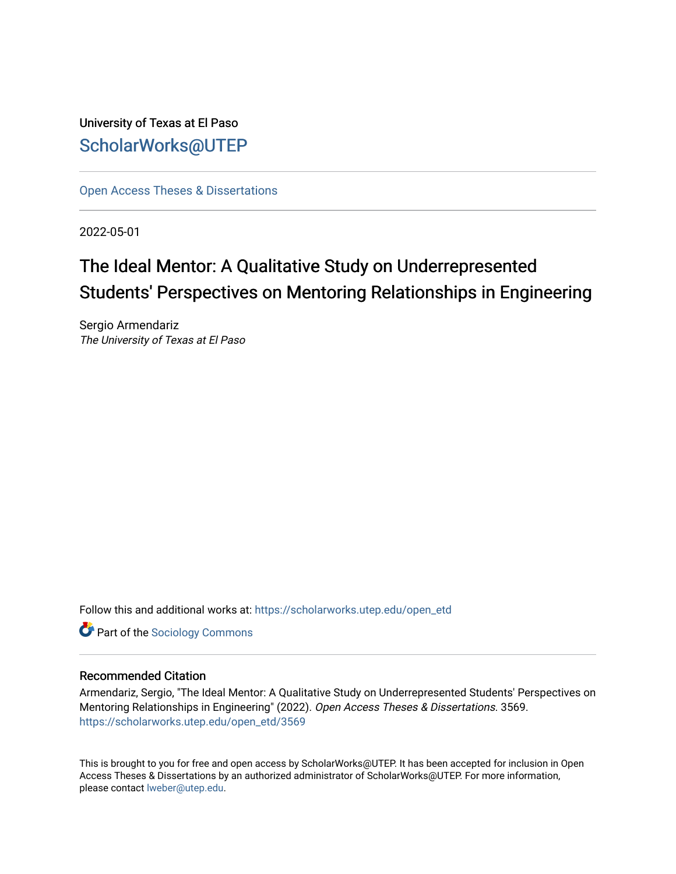University of Texas at El Paso [ScholarWorks@UTEP](https://scholarworks.utep.edu/)

[Open Access Theses & Dissertations](https://scholarworks.utep.edu/open_etd) 

2022-05-01

# The Ideal Mentor: A Qualitative Study on Underrepresented Students' Perspectives on Mentoring Relationships in Engineering

Sergio Armendariz The University of Texas at El Paso

Follow this and additional works at: [https://scholarworks.utep.edu/open\\_etd](https://scholarworks.utep.edu/open_etd?utm_source=scholarworks.utep.edu%2Fopen_etd%2F3569&utm_medium=PDF&utm_campaign=PDFCoverPages)

**Part of the [Sociology Commons](https://network.bepress.com/hgg/discipline/416?utm_source=scholarworks.utep.edu%2Fopen_etd%2F3569&utm_medium=PDF&utm_campaign=PDFCoverPages)** 

## Recommended Citation

Armendariz, Sergio, "The Ideal Mentor: A Qualitative Study on Underrepresented Students' Perspectives on Mentoring Relationships in Engineering" (2022). Open Access Theses & Dissertations. 3569. [https://scholarworks.utep.edu/open\\_etd/3569](https://scholarworks.utep.edu/open_etd/3569?utm_source=scholarworks.utep.edu%2Fopen_etd%2F3569&utm_medium=PDF&utm_campaign=PDFCoverPages) 

This is brought to you for free and open access by ScholarWorks@UTEP. It has been accepted for inclusion in Open Access Theses & Dissertations by an authorized administrator of ScholarWorks@UTEP. For more information, please contact [lweber@utep.edu.](mailto:lweber@utep.edu)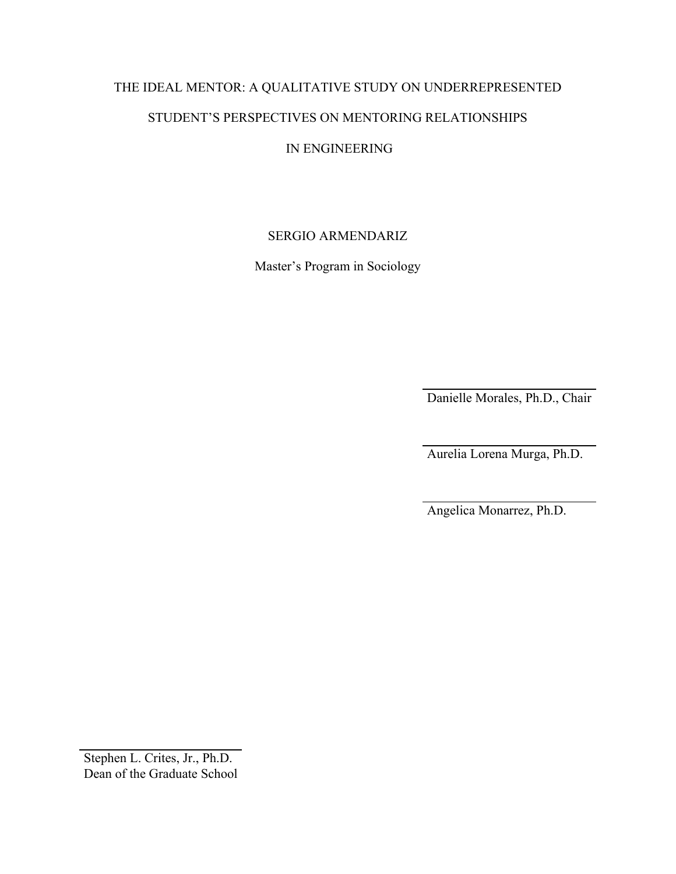# THE IDEAL MENTOR: A QUALITATIVE STUDY ON UNDERREPRESENTED STUDENT'S PERSPECTIVES ON MENTORING RELATIONSHIPS

## IN ENGINEERING

## SERGIO ARMENDARIZ

Master's Program in Sociology

Danielle Morales, Ph.D., Chair

Aurelia Lorena Murga, Ph.D.

Angelica Monarrez, Ph.D.

Stephen L. Crites, Jr., Ph.D. Dean of the Graduate School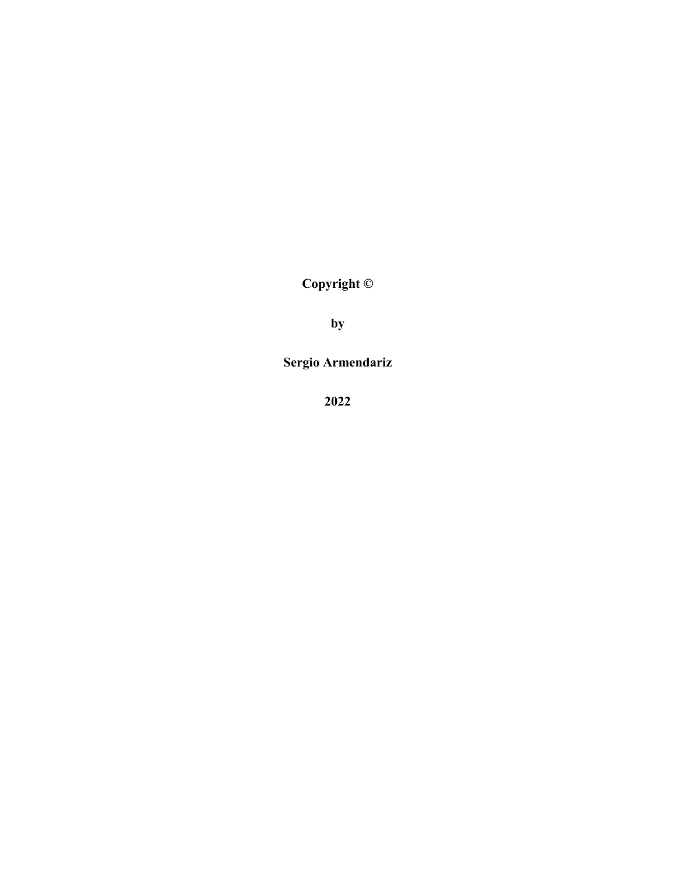**Copyright ©**

**by**

**Sergio Armendariz**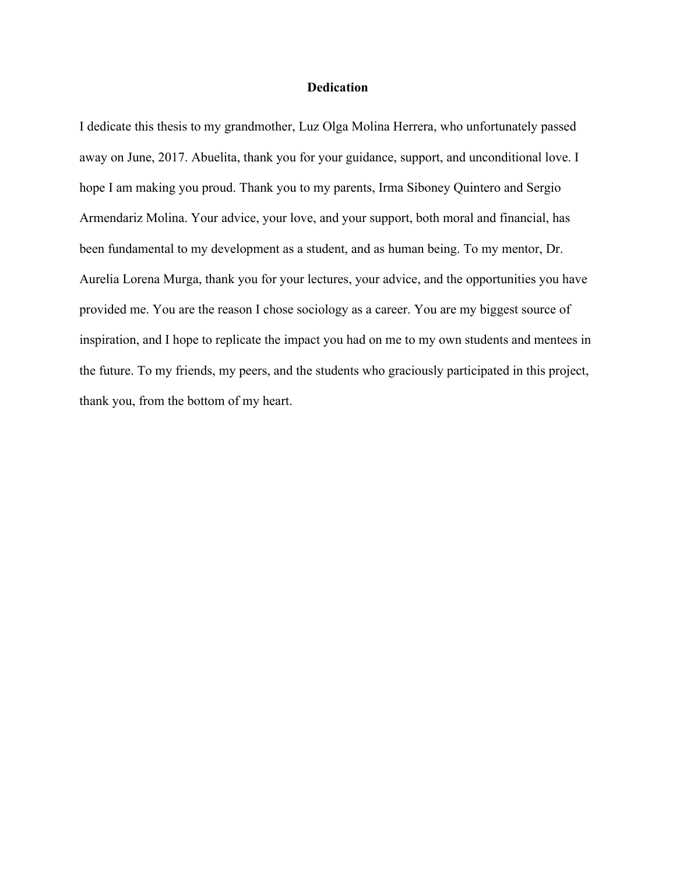## **Dedication**

I dedicate this thesis to my grandmother, Luz Olga Molina Herrera, who unfortunately passed away on June, 2017. Abuelita, thank you for your guidance, support, and unconditional love. I hope I am making you proud. Thank you to my parents, Irma Siboney Quintero and Sergio Armendariz Molina. Your advice, your love, and your support, both moral and financial, has been fundamental to my development as a student, and as human being. To my mentor, Dr. Aurelia Lorena Murga, thank you for your lectures, your advice, and the opportunities you have provided me. You are the reason I chose sociology as a career. You are my biggest source of inspiration, and I hope to replicate the impact you had on me to my own students and mentees in the future. To my friends, my peers, and the students who graciously participated in this project, thank you, from the bottom of my heart.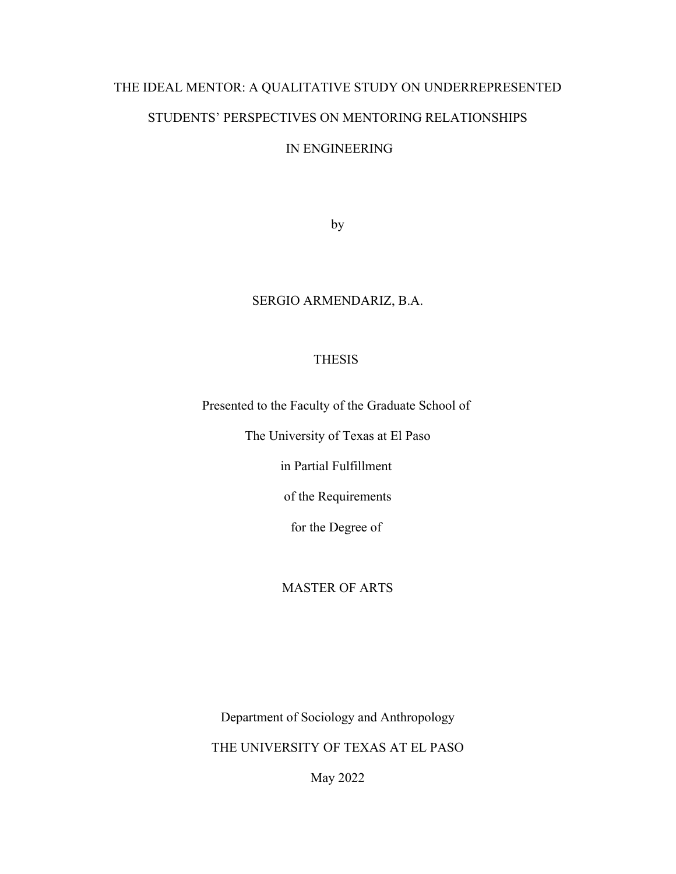# THE IDEAL MENTOR: A QUALITATIVE STUDY ON UNDERREPRESENTED STUDENTS' PERSPECTIVES ON MENTORING RELATIONSHIPS

## IN ENGINEERING

by

## SERGIO ARMENDARIZ, B.A.

## THESIS

Presented to the Faculty of the Graduate School of

The University of Texas at El Paso

in Partial Fulfillment

of the Requirements

for the Degree of

## MASTER OF ARTS

Department of Sociology and Anthropology

THE UNIVERSITY OF TEXAS AT EL PASO

May 2022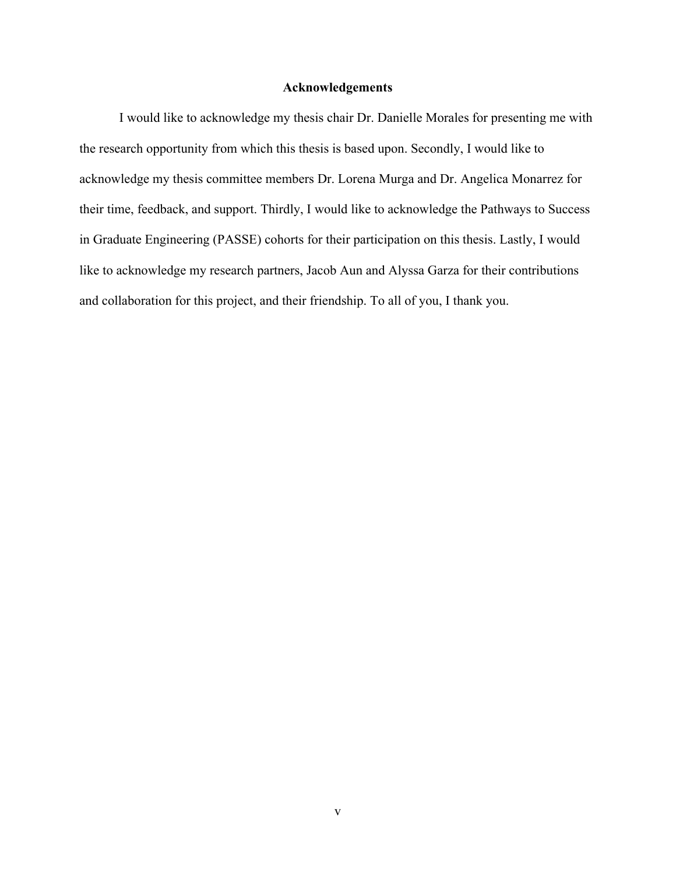#### **Acknowledgements**

I would like to acknowledge my thesis chair Dr. Danielle Morales for presenting me with the research opportunity from which this thesis is based upon. Secondly, I would like to acknowledge my thesis committee members Dr. Lorena Murga and Dr. Angelica Monarrez for their time, feedback, and support. Thirdly, I would like to acknowledge the Pathways to Success in Graduate Engineering (PASSE) cohorts for their participation on this thesis. Lastly, I would like to acknowledge my research partners, Jacob Aun and Alyssa Garza for their contributions and collaboration for this project, and their friendship. To all of you, I thank you.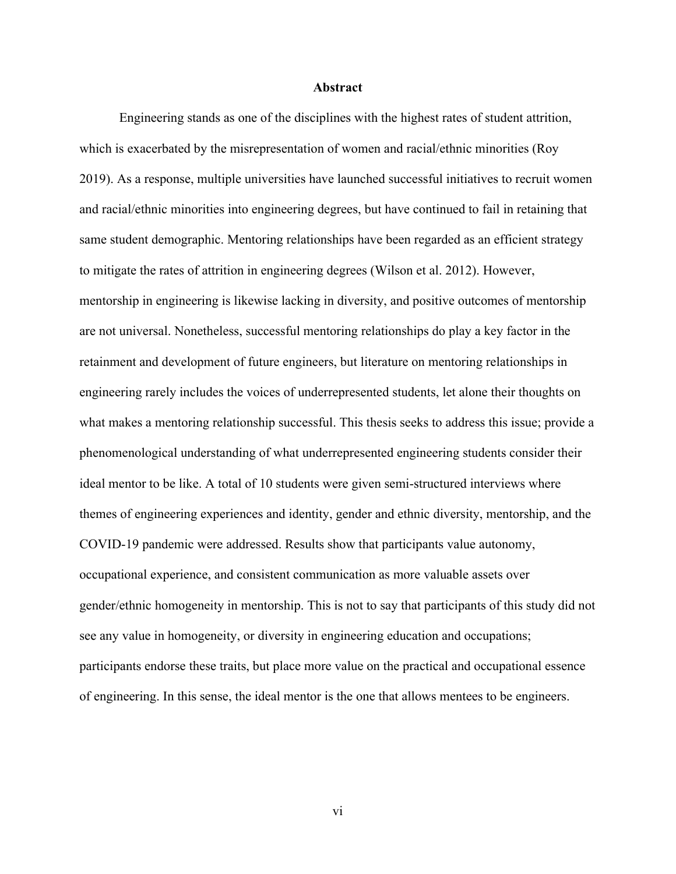#### **Abstract**

Engineering stands as one of the disciplines with the highest rates of student attrition, which is exacerbated by the misrepresentation of women and racial/ethnic minorities (Roy 2019). As a response, multiple universities have launched successful initiatives to recruit women and racial/ethnic minorities into engineering degrees, but have continued to fail in retaining that same student demographic. Mentoring relationships have been regarded as an efficient strategy to mitigate the rates of attrition in engineering degrees (Wilson et al. 2012). However, mentorship in engineering is likewise lacking in diversity, and positive outcomes of mentorship are not universal. Nonetheless, successful mentoring relationships do play a key factor in the retainment and development of future engineers, but literature on mentoring relationships in engineering rarely includes the voices of underrepresented students, let alone their thoughts on what makes a mentoring relationship successful. This thesis seeks to address this issue; provide a phenomenological understanding of what underrepresented engineering students consider their ideal mentor to be like. A total of 10 students were given semi-structured interviews where themes of engineering experiences and identity, gender and ethnic diversity, mentorship, and the COVID-19 pandemic were addressed. Results show that participants value autonomy, occupational experience, and consistent communication as more valuable assets over gender/ethnic homogeneity in mentorship. This is not to say that participants of this study did not see any value in homogeneity, or diversity in engineering education and occupations; participants endorse these traits, but place more value on the practical and occupational essence of engineering. In this sense, the ideal mentor is the one that allows mentees to be engineers.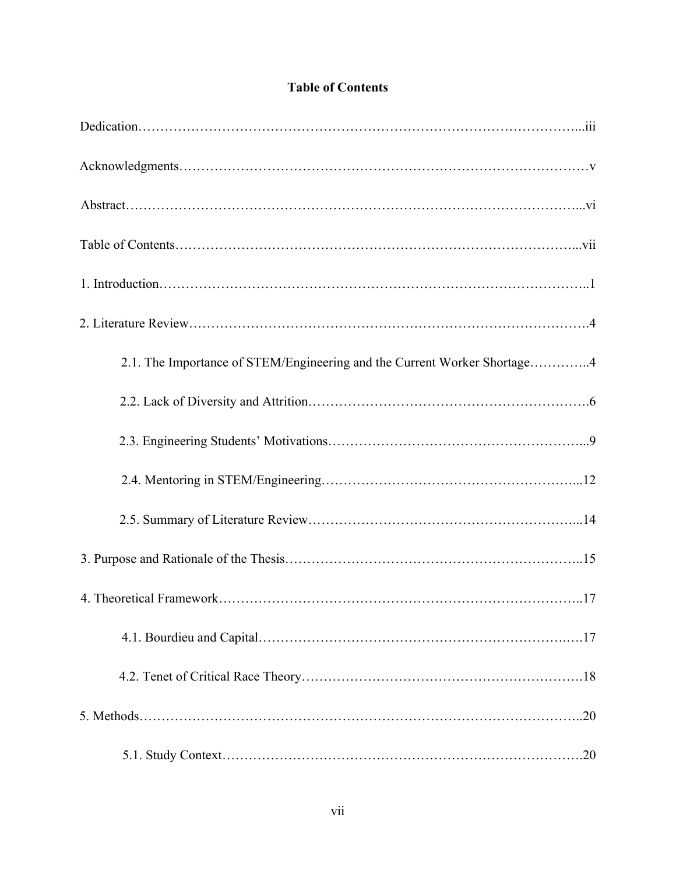| 2.1. The Importance of STEM/Engineering and the Current Worker Shortage4 |
|--------------------------------------------------------------------------|
|                                                                          |
|                                                                          |
|                                                                          |
|                                                                          |
|                                                                          |
|                                                                          |
|                                                                          |
|                                                                          |
|                                                                          |
|                                                                          |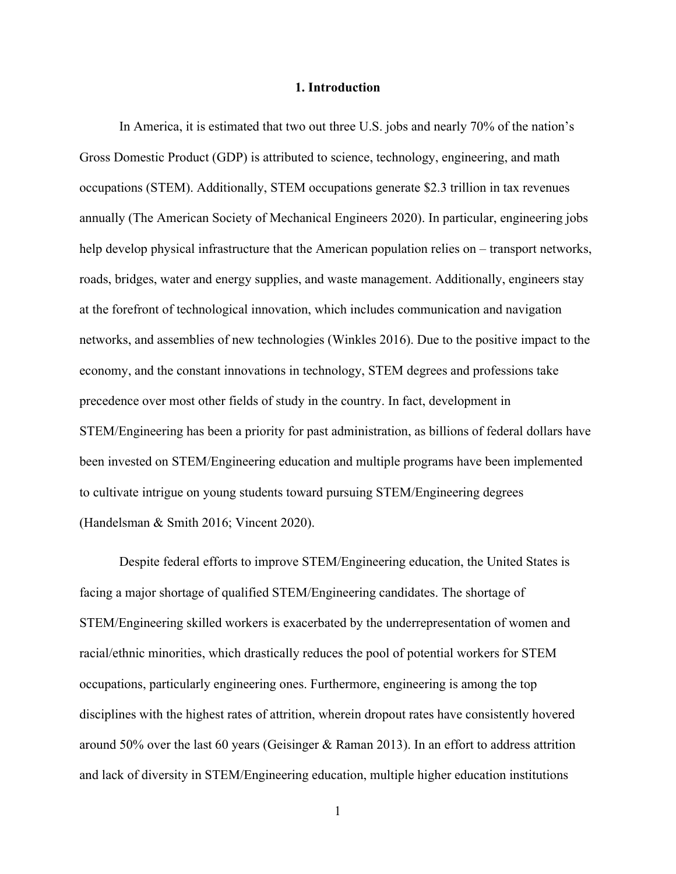#### **1. Introduction**

In America, it is estimated that two out three U.S. jobs and nearly 70% of the nation's Gross Domestic Product (GDP) is attributed to science, technology, engineering, and math occupations (STEM). Additionally, STEM occupations generate \$2.3 trillion in tax revenues annually (The American Society of Mechanical Engineers 2020). In particular, engineering jobs help develop physical infrastructure that the American population relies on – transport networks, roads, bridges, water and energy supplies, and waste management. Additionally, engineers stay at the forefront of technological innovation, which includes communication and navigation networks, and assemblies of new technologies (Winkles 2016). Due to the positive impact to the economy, and the constant innovations in technology, STEM degrees and professions take precedence over most other fields of study in the country. In fact, development in STEM/Engineering has been a priority for past administration, as billions of federal dollars have been invested on STEM/Engineering education and multiple programs have been implemented to cultivate intrigue on young students toward pursuing STEM/Engineering degrees (Handelsman & Smith 2016; Vincent 2020).

Despite federal efforts to improve STEM/Engineering education, the United States is facing a major shortage of qualified STEM/Engineering candidates. The shortage of STEM/Engineering skilled workers is exacerbated by the underrepresentation of women and racial/ethnic minorities, which drastically reduces the pool of potential workers for STEM occupations, particularly engineering ones. Furthermore, engineering is among the top disciplines with the highest rates of attrition, wherein dropout rates have consistently hovered around 50% over the last 60 years (Geisinger & Raman 2013). In an effort to address attrition and lack of diversity in STEM/Engineering education, multiple higher education institutions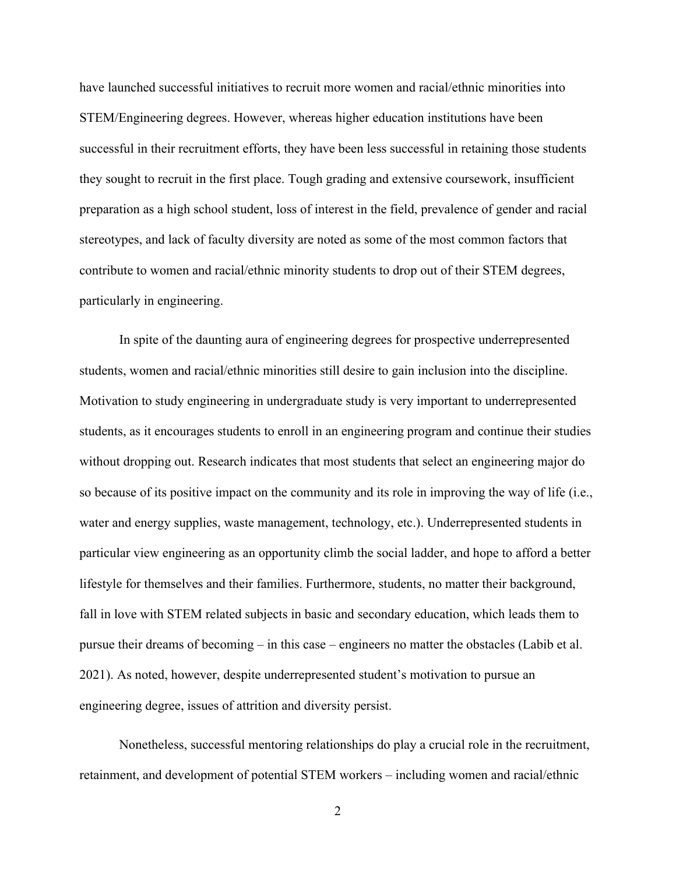have launched successful initiatives to recruit more women and racial/ethnic minorities into STEM/Engineering degrees. However, whereas higher education institutions have been successful in their recruitment efforts, they have been less successful in retaining those students they sought to recruit in the first place. Tough grading and extensive coursework, insufficient preparation as a high school student, loss of interest in the field, prevalence of gender and racial stereotypes, and lack of faculty diversity are noted as some of the most common factors that contribute to women and racial/ethnic minority students to drop out of their STEM degrees, particularly in engineering.

In spite of the daunting aura of engineering degrees for prospective underrepresented students, women and racial/ethnic minorities still desire to gain inclusion into the discipline. Motivation to study engineering in undergraduate study is very important to underrepresented students, as it encourages students to enroll in an engineering program and continue their studies without dropping out. Research indicates that most students that select an engineering major do so because of its positive impact on the community and its role in improving the way of life (i.e., water and energy supplies, waste management, technology, etc.). Underrepresented students in particular view engineering as an opportunity climb the social ladder, and hope to afford a better lifestyle for themselves and their families. Furthermore, students, no matter their background, fall in love with STEM related subjects in basic and secondary education, which leads them to pursue their dreams of becoming – in this case – engineers no matter the obstacles (Labib et al. 2021). As noted, however, despite underrepresented student's motivation to pursue an engineering degree, issues of attrition and diversity persist.

Nonetheless, successful mentoring relationships do play a crucial role in the recruitment, retainment, and development of potential STEM workers – including women and racial/ethnic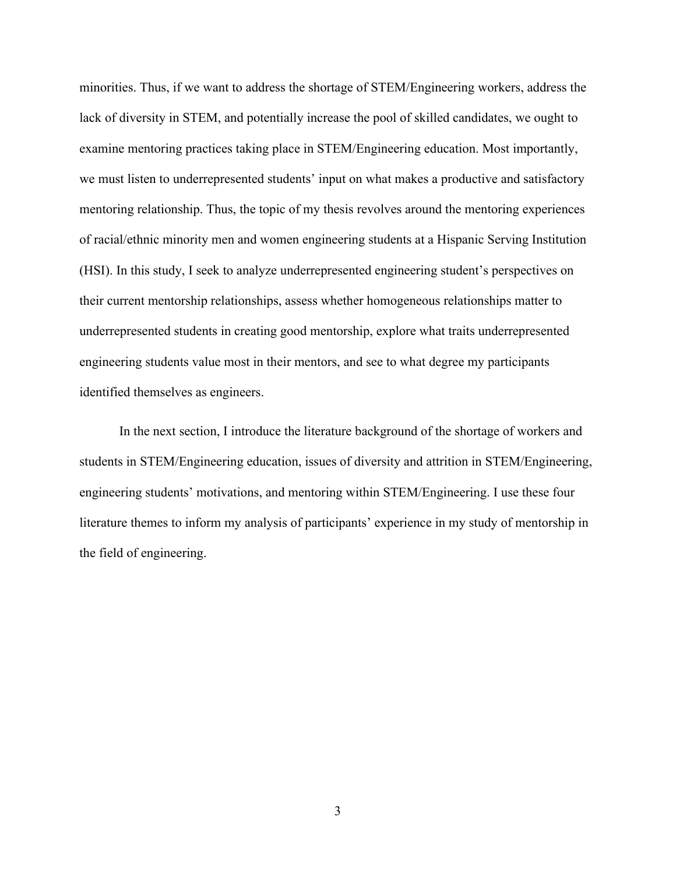minorities. Thus, if we want to address the shortage of STEM/Engineering workers, address the lack of diversity in STEM, and potentially increase the pool of skilled candidates, we ought to examine mentoring practices taking place in STEM/Engineering education. Most importantly, we must listen to underrepresented students' input on what makes a productive and satisfactory mentoring relationship. Thus, the topic of my thesis revolves around the mentoring experiences of racial/ethnic minority men and women engineering students at a Hispanic Serving Institution (HSI). In this study, I seek to analyze underrepresented engineering student's perspectives on their current mentorship relationships, assess whether homogeneous relationships matter to underrepresented students in creating good mentorship, explore what traits underrepresented engineering students value most in their mentors, and see to what degree my participants identified themselves as engineers.

In the next section, I introduce the literature background of the shortage of workers and students in STEM/Engineering education, issues of diversity and attrition in STEM/Engineering, engineering students' motivations, and mentoring within STEM/Engineering. I use these four literature themes to inform my analysis of participants' experience in my study of mentorship in the field of engineering.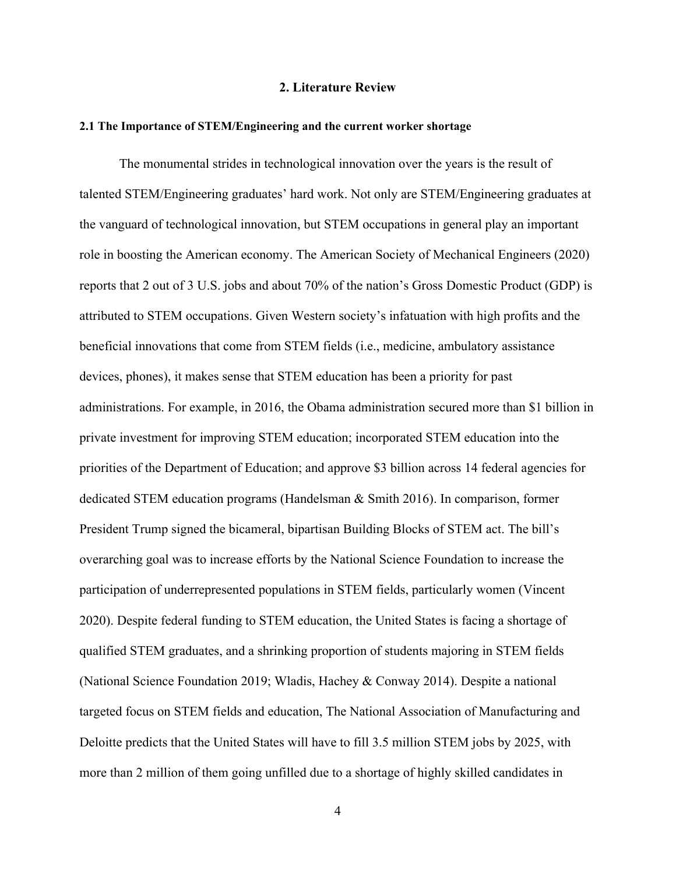#### **2. Literature Review**

#### **2.1 The Importance of STEM/Engineering and the current worker shortage**

The monumental strides in technological innovation over the years is the result of talented STEM/Engineering graduates' hard work. Not only are STEM/Engineering graduates at the vanguard of technological innovation, but STEM occupations in general play an important role in boosting the American economy. The American Society of Mechanical Engineers (2020) reports that 2 out of 3 U.S. jobs and about 70% of the nation's Gross Domestic Product (GDP) is attributed to STEM occupations. Given Western society's infatuation with high profits and the beneficial innovations that come from STEM fields (i.e., medicine, ambulatory assistance devices, phones), it makes sense that STEM education has been a priority for past administrations. For example, in 2016, the Obama administration secured more than \$1 billion in private investment for improving STEM education; incorporated STEM education into the priorities of the Department of Education; and approve \$3 billion across 14 federal agencies for dedicated STEM education programs (Handelsman & Smith 2016). In comparison, former President Trump signed the bicameral, bipartisan Building Blocks of STEM act. The bill's overarching goal was to increase efforts by the National Science Foundation to increase the participation of underrepresented populations in STEM fields, particularly women (Vincent 2020). Despite federal funding to STEM education, the United States is facing a shortage of qualified STEM graduates, and a shrinking proportion of students majoring in STEM fields (National Science Foundation 2019; Wladis, Hachey & Conway 2014). Despite a national targeted focus on STEM fields and education, The National Association of Manufacturing and Deloitte predicts that the United States will have to fill 3.5 million STEM jobs by 2025, with more than 2 million of them going unfilled due to a shortage of highly skilled candidates in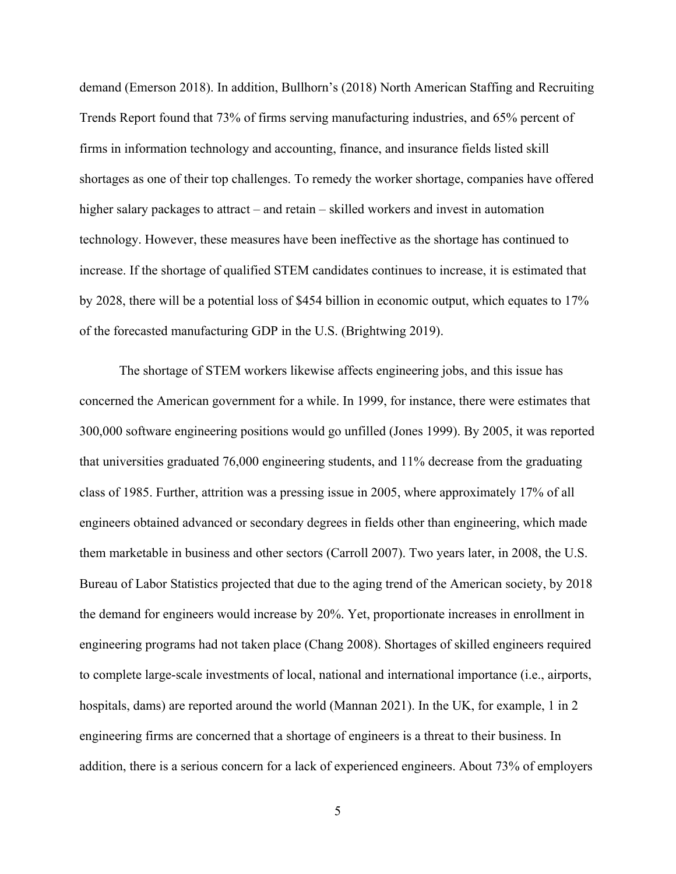demand (Emerson 2018). In addition, Bullhorn's (2018) North American Staffing and Recruiting Trends Report found that 73% of firms serving manufacturing industries, and 65% percent of firms in information technology and accounting, finance, and insurance fields listed skill shortages as one of their top challenges. To remedy the worker shortage, companies have offered higher salary packages to attract – and retain – skilled workers and invest in automation technology. However, these measures have been ineffective as the shortage has continued to increase. If the shortage of qualified STEM candidates continues to increase, it is estimated that by 2028, there will be a potential loss of \$454 billion in economic output, which equates to 17% of the forecasted manufacturing GDP in the U.S. (Brightwing 2019).

The shortage of STEM workers likewise affects engineering jobs, and this issue has concerned the American government for a while. In 1999, for instance, there were estimates that 300,000 software engineering positions would go unfilled (Jones 1999). By 2005, it was reported that universities graduated 76,000 engineering students, and 11% decrease from the graduating class of 1985. Further, attrition was a pressing issue in 2005, where approximately 17% of all engineers obtained advanced or secondary degrees in fields other than engineering, which made them marketable in business and other sectors (Carroll 2007). Two years later, in 2008, the U.S. Bureau of Labor Statistics projected that due to the aging trend of the American society, by 2018 the demand for engineers would increase by 20%. Yet, proportionate increases in enrollment in engineering programs had not taken place (Chang 2008). Shortages of skilled engineers required to complete large-scale investments of local, national and international importance (i.e., airports, hospitals, dams) are reported around the world (Mannan 2021). In the UK, for example, 1 in 2 engineering firms are concerned that a shortage of engineers is a threat to their business. In addition, there is a serious concern for a lack of experienced engineers. About 73% of employers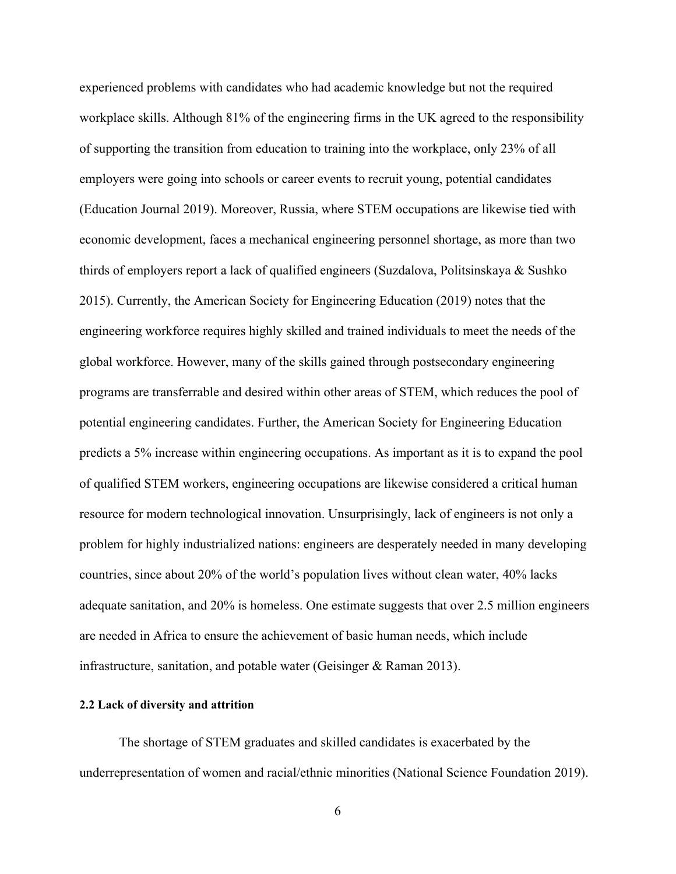experienced problems with candidates who had academic knowledge but not the required workplace skills. Although 81% of the engineering firms in the UK agreed to the responsibility of supporting the transition from education to training into the workplace, only 23% of all employers were going into schools or career events to recruit young, potential candidates (Education Journal 2019). Moreover, Russia, where STEM occupations are likewise tied with economic development, faces a mechanical engineering personnel shortage, as more than two thirds of employers report a lack of qualified engineers (Suzdalova, Politsinskaya & Sushko 2015). Currently, the American Society for Engineering Education (2019) notes that the engineering workforce requires highly skilled and trained individuals to meet the needs of the global workforce. However, many of the skills gained through postsecondary engineering programs are transferrable and desired within other areas of STEM, which reduces the pool of potential engineering candidates. Further, the American Society for Engineering Education predicts a 5% increase within engineering occupations. As important as it is to expand the pool of qualified STEM workers, engineering occupations are likewise considered a critical human resource for modern technological innovation. Unsurprisingly, lack of engineers is not only a problem for highly industrialized nations: engineers are desperately needed in many developing countries, since about 20% of the world's population lives without clean water, 40% lacks adequate sanitation, and 20% is homeless. One estimate suggests that over 2.5 million engineers are needed in Africa to ensure the achievement of basic human needs, which include infrastructure, sanitation, and potable water (Geisinger & Raman 2013).

## **2.2 Lack of diversity and attrition**

The shortage of STEM graduates and skilled candidates is exacerbated by the underrepresentation of women and racial/ethnic minorities (National Science Foundation 2019).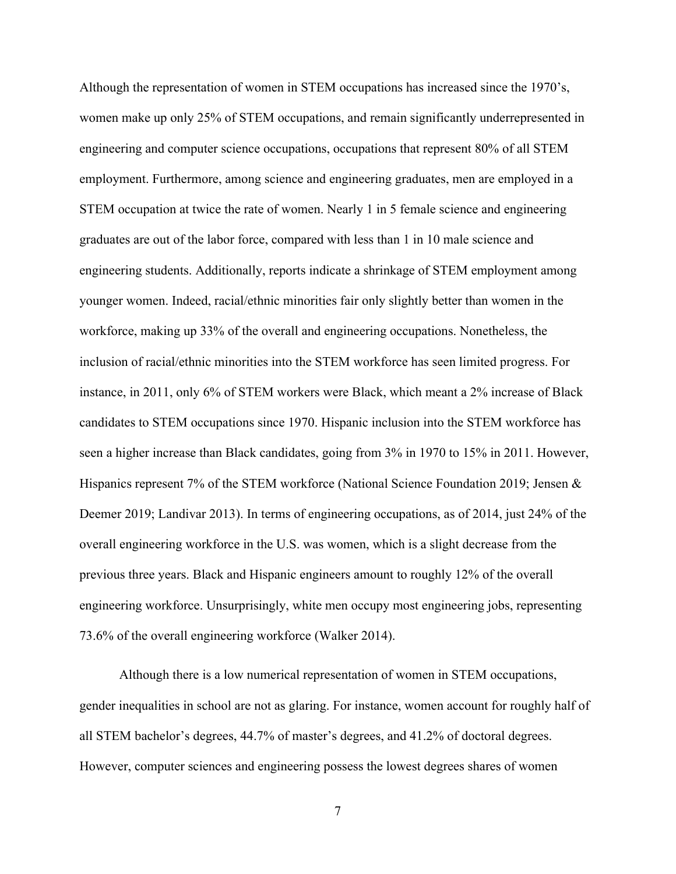Although the representation of women in STEM occupations has increased since the 1970's, women make up only 25% of STEM occupations, and remain significantly underrepresented in engineering and computer science occupations, occupations that represent 80% of all STEM employment. Furthermore, among science and engineering graduates, men are employed in a STEM occupation at twice the rate of women. Nearly 1 in 5 female science and engineering graduates are out of the labor force, compared with less than 1 in 10 male science and engineering students. Additionally, reports indicate a shrinkage of STEM employment among younger women. Indeed, racial/ethnic minorities fair only slightly better than women in the workforce, making up 33% of the overall and engineering occupations. Nonetheless, the inclusion of racial/ethnic minorities into the STEM workforce has seen limited progress. For instance, in 2011, only 6% of STEM workers were Black, which meant a 2% increase of Black candidates to STEM occupations since 1970. Hispanic inclusion into the STEM workforce has seen a higher increase than Black candidates, going from 3% in 1970 to 15% in 2011. However, Hispanics represent 7% of the STEM workforce (National Science Foundation 2019; Jensen & Deemer 2019; Landivar 2013). In terms of engineering occupations, as of 2014, just 24% of the overall engineering workforce in the U.S. was women, which is a slight decrease from the previous three years. Black and Hispanic engineers amount to roughly 12% of the overall engineering workforce. Unsurprisingly, white men occupy most engineering jobs, representing 73.6% of the overall engineering workforce (Walker 2014).

Although there is a low numerical representation of women in STEM occupations, gender inequalities in school are not as glaring. For instance, women account for roughly half of all STEM bachelor's degrees, 44.7% of master's degrees, and 41.2% of doctoral degrees. However, computer sciences and engineering possess the lowest degrees shares of women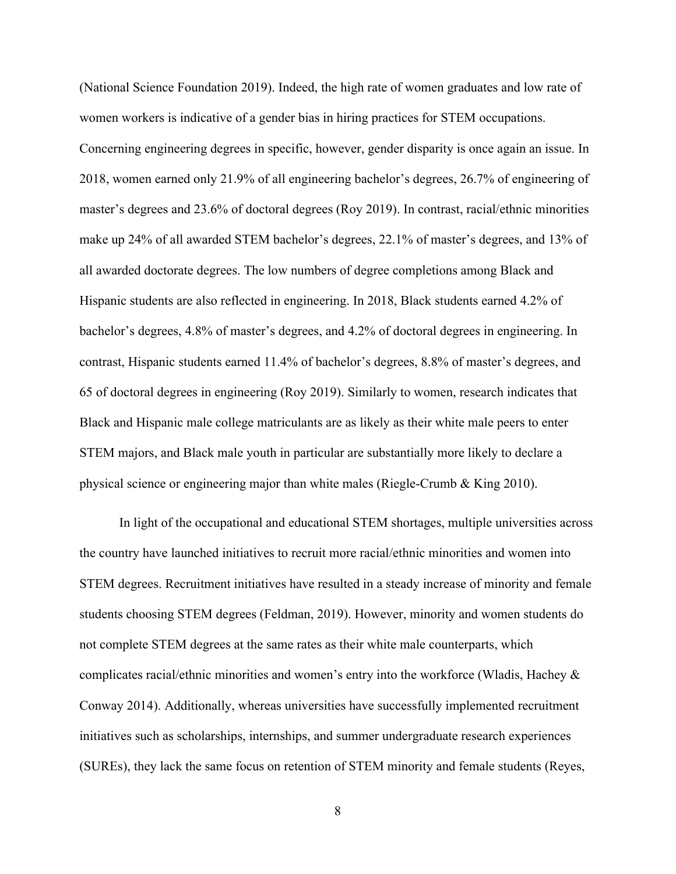(National Science Foundation 2019). Indeed, the high rate of women graduates and low rate of women workers is indicative of a gender bias in hiring practices for STEM occupations. Concerning engineering degrees in specific, however, gender disparity is once again an issue. In 2018, women earned only 21.9% of all engineering bachelor's degrees, 26.7% of engineering of master's degrees and 23.6% of doctoral degrees (Roy 2019). In contrast, racial/ethnic minorities make up 24% of all awarded STEM bachelor's degrees, 22.1% of master's degrees, and 13% of all awarded doctorate degrees. The low numbers of degree completions among Black and Hispanic students are also reflected in engineering. In 2018, Black students earned 4.2% of bachelor's degrees, 4.8% of master's degrees, and 4.2% of doctoral degrees in engineering. In contrast, Hispanic students earned 11.4% of bachelor's degrees, 8.8% of master's degrees, and 65 of doctoral degrees in engineering (Roy 2019). Similarly to women, research indicates that Black and Hispanic male college matriculants are as likely as their white male peers to enter STEM majors, and Black male youth in particular are substantially more likely to declare a physical science or engineering major than white males (Riegle-Crumb & King 2010).

In light of the occupational and educational STEM shortages, multiple universities across the country have launched initiatives to recruit more racial/ethnic minorities and women into STEM degrees. Recruitment initiatives have resulted in a steady increase of minority and female students choosing STEM degrees (Feldman, 2019). However, minority and women students do not complete STEM degrees at the same rates as their white male counterparts, which complicates racial/ethnic minorities and women's entry into the workforce (Wladis, Hachey & Conway 2014). Additionally, whereas universities have successfully implemented recruitment initiatives such as scholarships, internships, and summer undergraduate research experiences (SUREs), they lack the same focus on retention of STEM minority and female students (Reyes,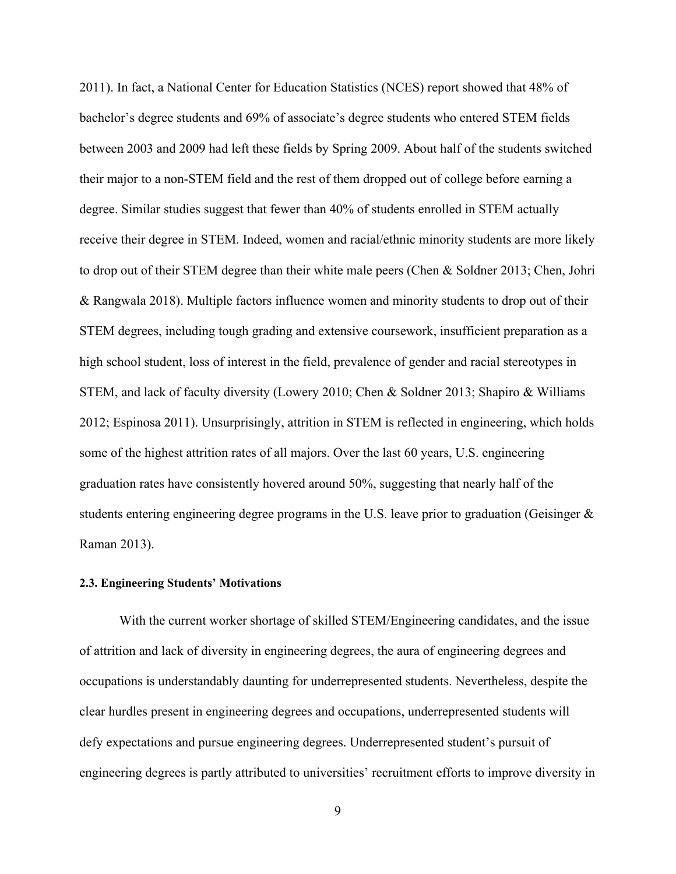2011). In fact, a National Center for Education Statistics (NCES) report showed that 48% of bachelor's degree students and 69% of associate's degree students who entered STEM fields between 2003 and 2009 had left these fields by Spring 2009. About half of the students switched their major to a non-STEM field and the rest of them dropped out of college before earning a degree. Similar studies suggest that fewer than 40% of students enrolled in STEM actually receive their degree in STEM. Indeed, women and racial/ethnic minority students are more likely to drop out of their STEM degree than their white male peers (Chen & Soldner 2013; Chen, Johri & Rangwala 2018). Multiple factors influence women and minority students to drop out of their STEM degrees, including tough grading and extensive coursework, insufficient preparation as a high school student, loss of interest in the field, prevalence of gender and racial stereotypes in STEM, and lack of faculty diversity (Lowery 2010; Chen & Soldner 2013; Shapiro & Williams 2012; Espinosa 2011). Unsurprisingly, attrition in STEM is reflected in engineering, which holds some of the highest attrition rates of all majors. Over the last 60 years, U.S. engineering graduation rates have consistently hovered around 50%, suggesting that nearly half of the students entering engineering degree programs in the U.S. leave prior to graduation (Geisinger & Raman 2013).

## **2.3. Engineering Students' Motivations**

With the current worker shortage of skilled STEM/Engineering candidates, and the issue of attrition and lack of diversity in engineering degrees, the aura of engineering degrees and occupations is understandably daunting for underrepresented students. Nevertheless, despite the clear hurdles present in engineering degrees and occupations, underrepresented students will defy expectations and pursue engineering degrees. Underrepresented student's pursuit of engineering degrees is partly attributed to universities' recruitment efforts to improve diversity in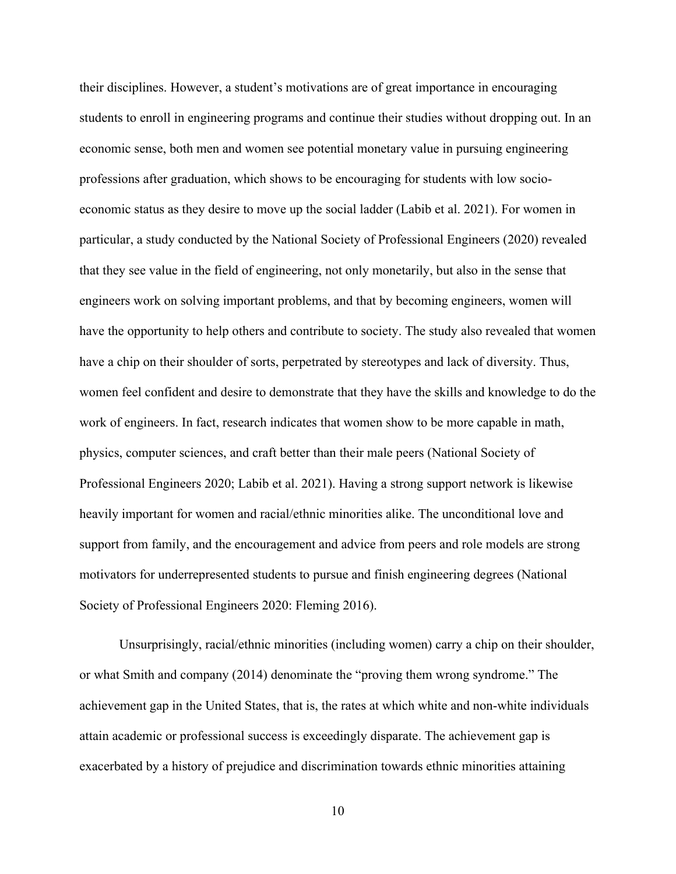their disciplines. However, a student's motivations are of great importance in encouraging students to enroll in engineering programs and continue their studies without dropping out. In an economic sense, both men and women see potential monetary value in pursuing engineering professions after graduation, which shows to be encouraging for students with low socioeconomic status as they desire to move up the social ladder (Labib et al. 2021). For women in particular, a study conducted by the National Society of Professional Engineers (2020) revealed that they see value in the field of engineering, not only monetarily, but also in the sense that engineers work on solving important problems, and that by becoming engineers, women will have the opportunity to help others and contribute to society. The study also revealed that women have a chip on their shoulder of sorts, perpetrated by stereotypes and lack of diversity. Thus, women feel confident and desire to demonstrate that they have the skills and knowledge to do the work of engineers. In fact, research indicates that women show to be more capable in math, physics, computer sciences, and craft better than their male peers (National Society of Professional Engineers 2020; Labib et al. 2021). Having a strong support network is likewise heavily important for women and racial/ethnic minorities alike. The unconditional love and support from family, and the encouragement and advice from peers and role models are strong motivators for underrepresented students to pursue and finish engineering degrees (National Society of Professional Engineers 2020: Fleming 2016).

Unsurprisingly, racial/ethnic minorities (including women) carry a chip on their shoulder, or what Smith and company (2014) denominate the "proving them wrong syndrome." The achievement gap in the United States, that is, the rates at which white and non-white individuals attain academic or professional success is exceedingly disparate. The achievement gap is exacerbated by a history of prejudice and discrimination towards ethnic minorities attaining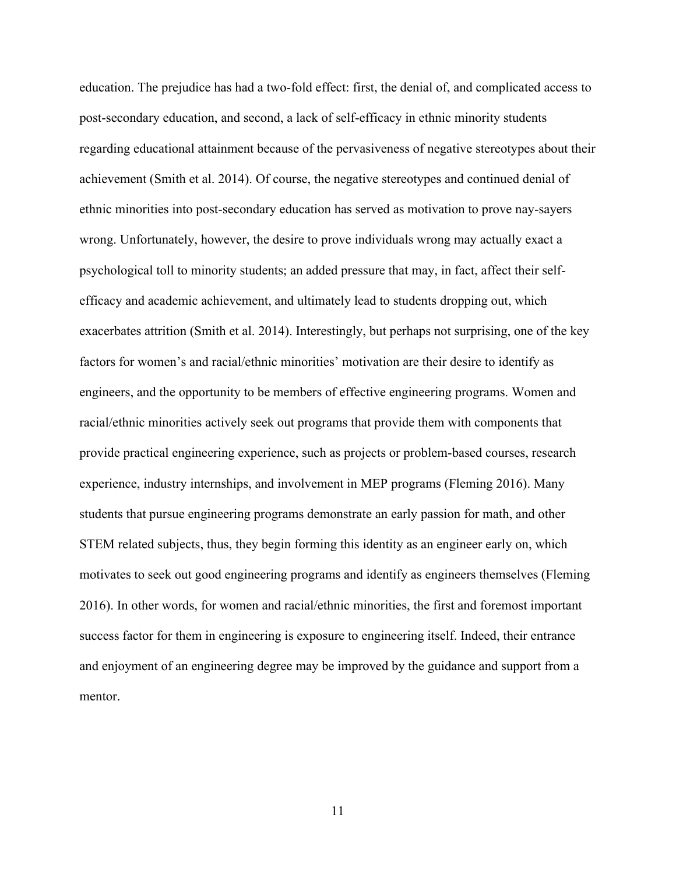education. The prejudice has had a two-fold effect: first, the denial of, and complicated access to post-secondary education, and second, a lack of self-efficacy in ethnic minority students regarding educational attainment because of the pervasiveness of negative stereotypes about their achievement (Smith et al. 2014). Of course, the negative stereotypes and continued denial of ethnic minorities into post-secondary education has served as motivation to prove nay-sayers wrong. Unfortunately, however, the desire to prove individuals wrong may actually exact a psychological toll to minority students; an added pressure that may, in fact, affect their selfefficacy and academic achievement, and ultimately lead to students dropping out, which exacerbates attrition (Smith et al. 2014). Interestingly, but perhaps not surprising, one of the key factors for women's and racial/ethnic minorities' motivation are their desire to identify as engineers, and the opportunity to be members of effective engineering programs. Women and racial/ethnic minorities actively seek out programs that provide them with components that provide practical engineering experience, such as projects or problem-based courses, research experience, industry internships, and involvement in MEP programs (Fleming 2016). Many students that pursue engineering programs demonstrate an early passion for math, and other STEM related subjects, thus, they begin forming this identity as an engineer early on, which motivates to seek out good engineering programs and identify as engineers themselves (Fleming 2016). In other words, for women and racial/ethnic minorities, the first and foremost important success factor for them in engineering is exposure to engineering itself. Indeed, their entrance and enjoyment of an engineering degree may be improved by the guidance and support from a mentor.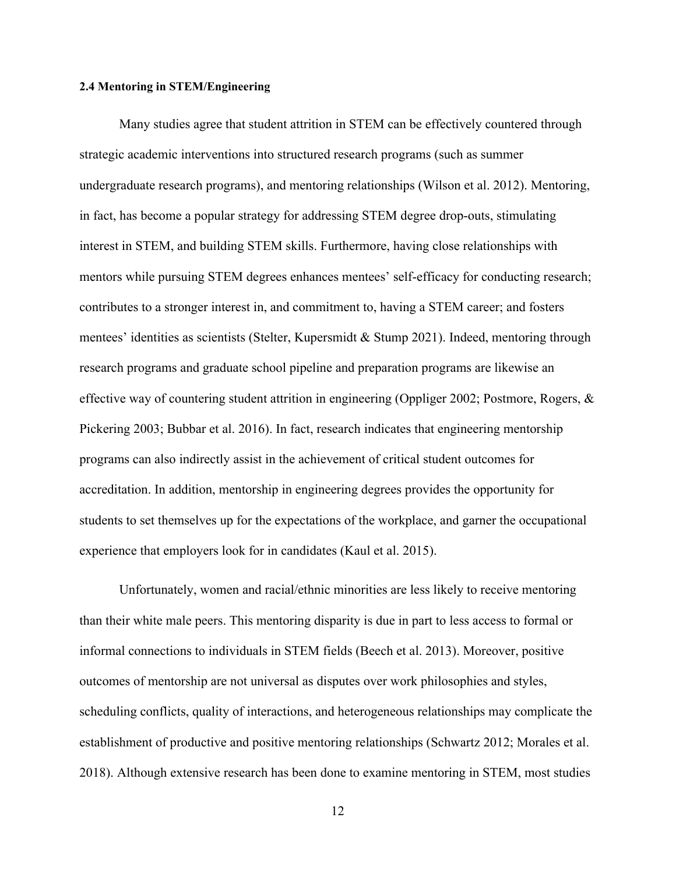#### **2.4 Mentoring in STEM/Engineering**

Many studies agree that student attrition in STEM can be effectively countered through strategic academic interventions into structured research programs (such as summer undergraduate research programs), and mentoring relationships (Wilson et al. 2012). Mentoring, in fact, has become a popular strategy for addressing STEM degree drop-outs, stimulating interest in STEM, and building STEM skills. Furthermore, having close relationships with mentors while pursuing STEM degrees enhances mentees' self-efficacy for conducting research; contributes to a stronger interest in, and commitment to, having a STEM career; and fosters mentees' identities as scientists (Stelter, Kupersmidt & Stump 2021). Indeed, mentoring through research programs and graduate school pipeline and preparation programs are likewise an effective way of countering student attrition in engineering (Oppliger 2002; Postmore, Rogers, & Pickering 2003; Bubbar et al. 2016). In fact, research indicates that engineering mentorship programs can also indirectly assist in the achievement of critical student outcomes for accreditation. In addition, mentorship in engineering degrees provides the opportunity for students to set themselves up for the expectations of the workplace, and garner the occupational experience that employers look for in candidates (Kaul et al. 2015).

Unfortunately, women and racial/ethnic minorities are less likely to receive mentoring than their white male peers. This mentoring disparity is due in part to less access to formal or informal connections to individuals in STEM fields (Beech et al. 2013). Moreover, positive outcomes of mentorship are not universal as disputes over work philosophies and styles, scheduling conflicts, quality of interactions, and heterogeneous relationships may complicate the establishment of productive and positive mentoring relationships (Schwartz 2012; Morales et al. 2018). Although extensive research has been done to examine mentoring in STEM, most studies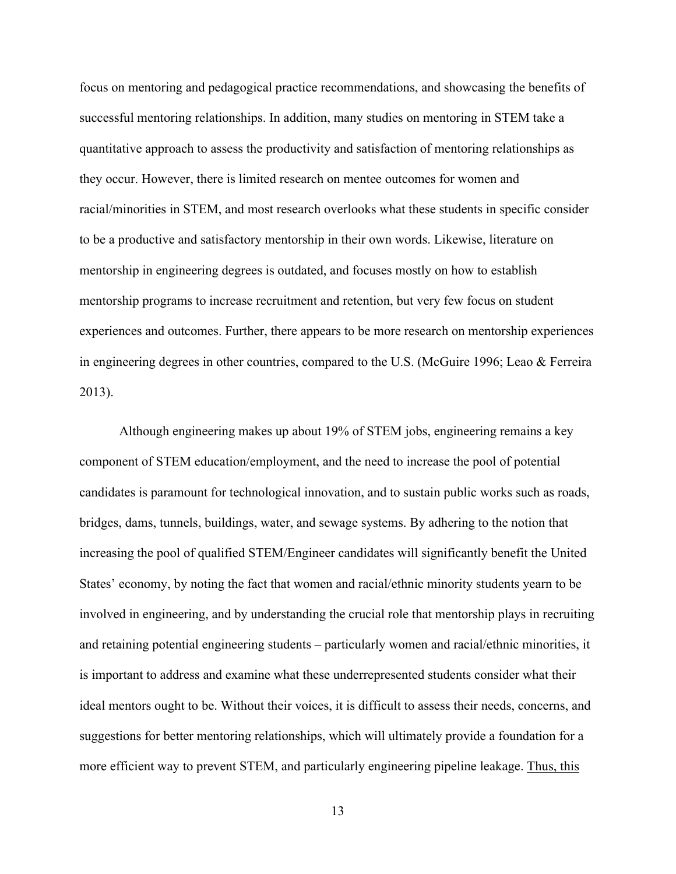focus on mentoring and pedagogical practice recommendations, and showcasing the benefits of successful mentoring relationships. In addition, many studies on mentoring in STEM take a quantitative approach to assess the productivity and satisfaction of mentoring relationships as they occur. However, there is limited research on mentee outcomes for women and racial/minorities in STEM, and most research overlooks what these students in specific consider to be a productive and satisfactory mentorship in their own words. Likewise, literature on mentorship in engineering degrees is outdated, and focuses mostly on how to establish mentorship programs to increase recruitment and retention, but very few focus on student experiences and outcomes. Further, there appears to be more research on mentorship experiences in engineering degrees in other countries, compared to the U.S. (McGuire 1996; Leao & Ferreira 2013).

Although engineering makes up about 19% of STEM jobs, engineering remains a key component of STEM education/employment, and the need to increase the pool of potential candidates is paramount for technological innovation, and to sustain public works such as roads, bridges, dams, tunnels, buildings, water, and sewage systems. By adhering to the notion that increasing the pool of qualified STEM/Engineer candidates will significantly benefit the United States' economy, by noting the fact that women and racial/ethnic minority students yearn to be involved in engineering, and by understanding the crucial role that mentorship plays in recruiting and retaining potential engineering students – particularly women and racial/ethnic minorities, it is important to address and examine what these underrepresented students consider what their ideal mentors ought to be. Without their voices, it is difficult to assess their needs, concerns, and suggestions for better mentoring relationships, which will ultimately provide a foundation for a more efficient way to prevent STEM, and particularly engineering pipeline leakage. Thus, this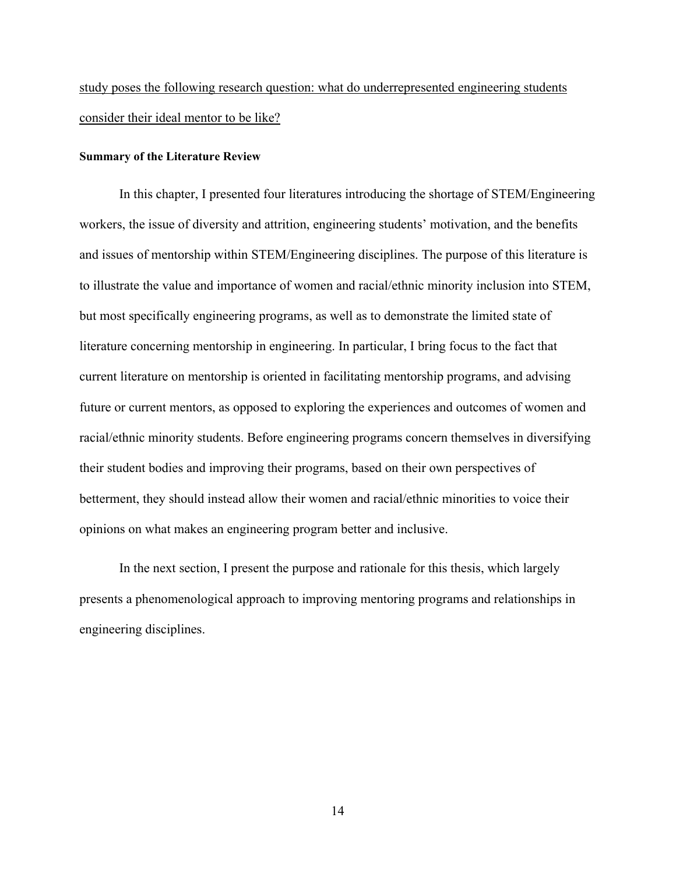study poses the following research question: what do underrepresented engineering students consider their ideal mentor to be like?

#### **Summary of the Literature Review**

In this chapter, I presented four literatures introducing the shortage of STEM/Engineering workers, the issue of diversity and attrition, engineering students' motivation, and the benefits and issues of mentorship within STEM/Engineering disciplines. The purpose of this literature is to illustrate the value and importance of women and racial/ethnic minority inclusion into STEM, but most specifically engineering programs, as well as to demonstrate the limited state of literature concerning mentorship in engineering. In particular, I bring focus to the fact that current literature on mentorship is oriented in facilitating mentorship programs, and advising future or current mentors, as opposed to exploring the experiences and outcomes of women and racial/ethnic minority students. Before engineering programs concern themselves in diversifying their student bodies and improving their programs, based on their own perspectives of betterment, they should instead allow their women and racial/ethnic minorities to voice their opinions on what makes an engineering program better and inclusive.

In the next section, I present the purpose and rationale for this thesis, which largely presents a phenomenological approach to improving mentoring programs and relationships in engineering disciplines.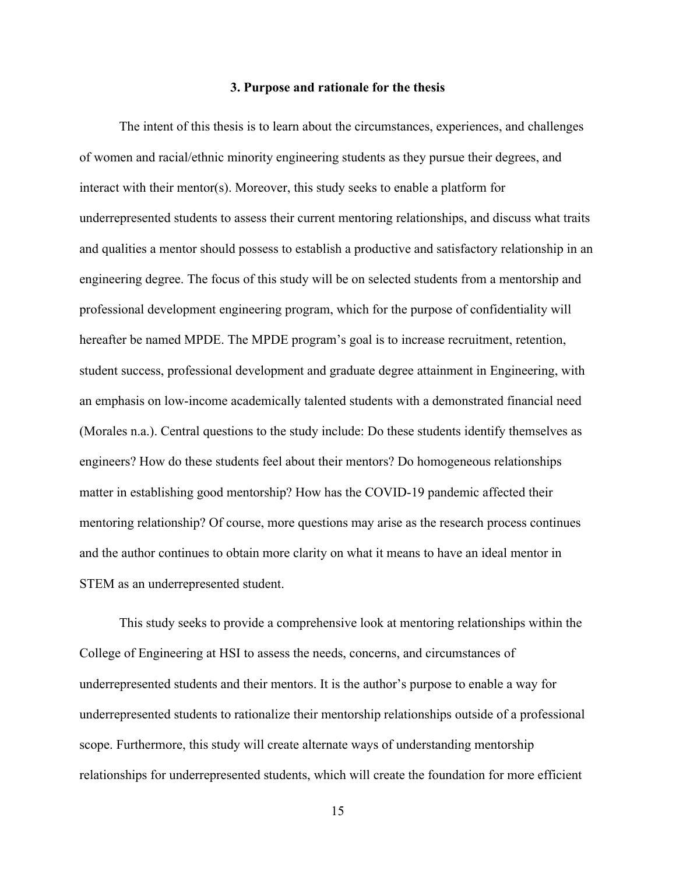#### **3. Purpose and rationale for the thesis**

The intent of this thesis is to learn about the circumstances, experiences, and challenges of women and racial/ethnic minority engineering students as they pursue their degrees, and interact with their mentor(s). Moreover, this study seeks to enable a platform for underrepresented students to assess their current mentoring relationships, and discuss what traits and qualities a mentor should possess to establish a productive and satisfactory relationship in an engineering degree. The focus of this study will be on selected students from a mentorship and professional development engineering program, which for the purpose of confidentiality will hereafter be named MPDE. The MPDE program's goal is to increase recruitment, retention, student success, professional development and graduate degree attainment in Engineering, with an emphasis on low-income academically talented students with a demonstrated financial need (Morales n.a.). Central questions to the study include: Do these students identify themselves as engineers? How do these students feel about their mentors? Do homogeneous relationships matter in establishing good mentorship? How has the COVID-19 pandemic affected their mentoring relationship? Of course, more questions may arise as the research process continues and the author continues to obtain more clarity on what it means to have an ideal mentor in STEM as an underrepresented student.

This study seeks to provide a comprehensive look at mentoring relationships within the College of Engineering at HSI to assess the needs, concerns, and circumstances of underrepresented students and their mentors. It is the author's purpose to enable a way for underrepresented students to rationalize their mentorship relationships outside of a professional scope. Furthermore, this study will create alternate ways of understanding mentorship relationships for underrepresented students, which will create the foundation for more efficient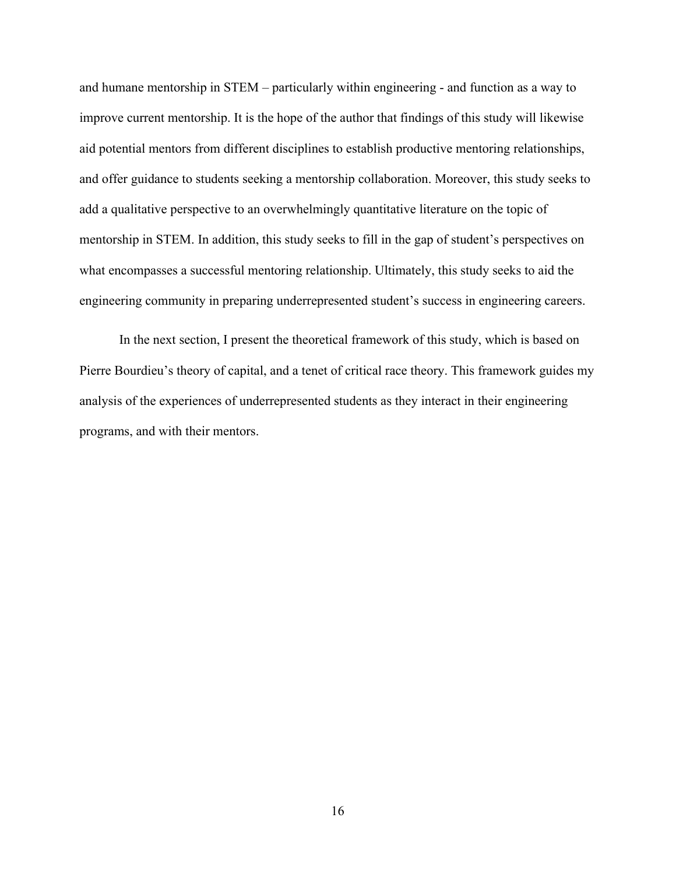and humane mentorship in STEM – particularly within engineering - and function as a way to improve current mentorship. It is the hope of the author that findings of this study will likewise aid potential mentors from different disciplines to establish productive mentoring relationships, and offer guidance to students seeking a mentorship collaboration. Moreover, this study seeks to add a qualitative perspective to an overwhelmingly quantitative literature on the topic of mentorship in STEM. In addition, this study seeks to fill in the gap of student's perspectives on what encompasses a successful mentoring relationship. Ultimately, this study seeks to aid the engineering community in preparing underrepresented student's success in engineering careers.

In the next section, I present the theoretical framework of this study, which is based on Pierre Bourdieu's theory of capital, and a tenet of critical race theory. This framework guides my analysis of the experiences of underrepresented students as they interact in their engineering programs, and with their mentors.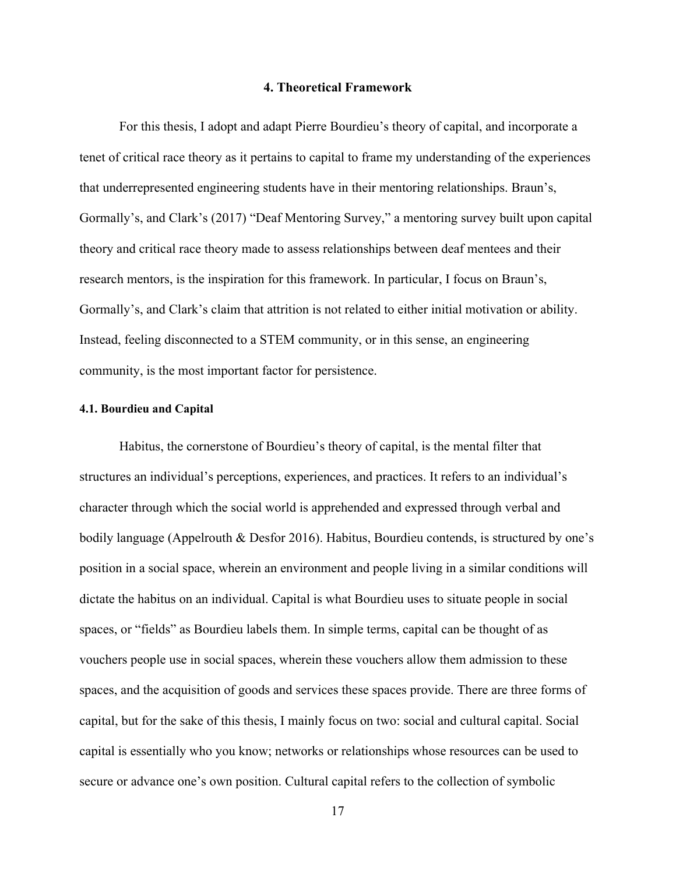#### **4. Theoretical Framework**

For this thesis, I adopt and adapt Pierre Bourdieu's theory of capital, and incorporate a tenet of critical race theory as it pertains to capital to frame my understanding of the experiences that underrepresented engineering students have in their mentoring relationships. Braun's, Gormally's, and Clark's (2017) "Deaf Mentoring Survey," a mentoring survey built upon capital theory and critical race theory made to assess relationships between deaf mentees and their research mentors, is the inspiration for this framework. In particular, I focus on Braun's, Gormally's, and Clark's claim that attrition is not related to either initial motivation or ability. Instead, feeling disconnected to a STEM community, or in this sense, an engineering community, is the most important factor for persistence.

#### **4.1. Bourdieu and Capital**

Habitus, the cornerstone of Bourdieu's theory of capital, is the mental filter that structures an individual's perceptions, experiences, and practices. It refers to an individual's character through which the social world is apprehended and expressed through verbal and bodily language (Appelrouth & Desfor 2016). Habitus, Bourdieu contends, is structured by one's position in a social space, wherein an environment and people living in a similar conditions will dictate the habitus on an individual. Capital is what Bourdieu uses to situate people in social spaces, or "fields" as Bourdieu labels them. In simple terms, capital can be thought of as vouchers people use in social spaces, wherein these vouchers allow them admission to these spaces, and the acquisition of goods and services these spaces provide. There are three forms of capital, but for the sake of this thesis, I mainly focus on two: social and cultural capital. Social capital is essentially who you know; networks or relationships whose resources can be used to secure or advance one's own position. Cultural capital refers to the collection of symbolic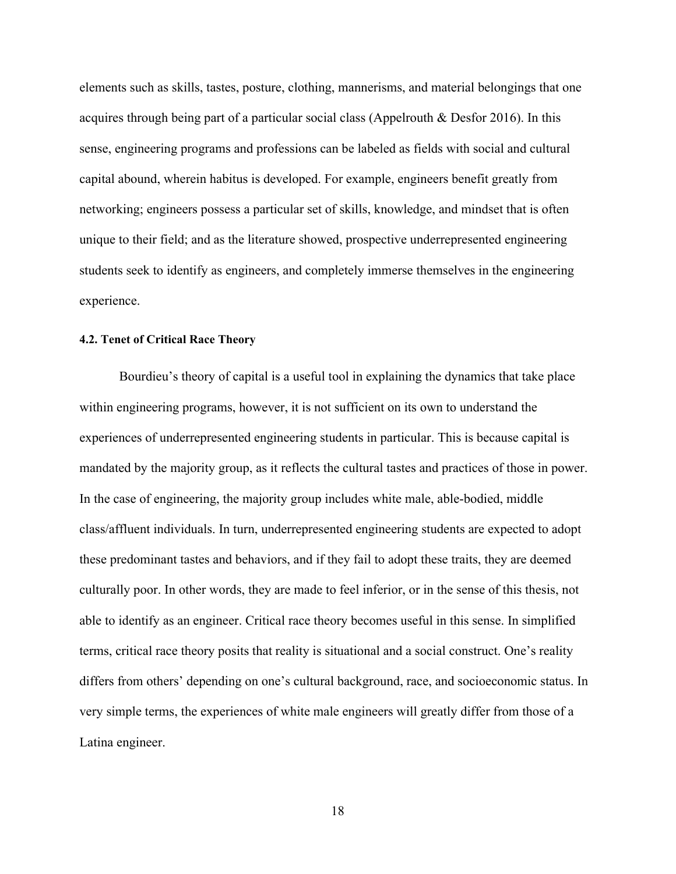elements such as skills, tastes, posture, clothing, mannerisms, and material belongings that one acquires through being part of a particular social class (Appelrouth & Desfor 2016). In this sense, engineering programs and professions can be labeled as fields with social and cultural capital abound, wherein habitus is developed. For example, engineers benefit greatly from networking; engineers possess a particular set of skills, knowledge, and mindset that is often unique to their field; and as the literature showed, prospective underrepresented engineering students seek to identify as engineers, and completely immerse themselves in the engineering experience.

## **4.2. Tenet of Critical Race Theory**

Bourdieu's theory of capital is a useful tool in explaining the dynamics that take place within engineering programs, however, it is not sufficient on its own to understand the experiences of underrepresented engineering students in particular. This is because capital is mandated by the majority group, as it reflects the cultural tastes and practices of those in power. In the case of engineering, the majority group includes white male, able-bodied, middle class/affluent individuals. In turn, underrepresented engineering students are expected to adopt these predominant tastes and behaviors, and if they fail to adopt these traits, they are deemed culturally poor. In other words, they are made to feel inferior, or in the sense of this thesis, not able to identify as an engineer. Critical race theory becomes useful in this sense. In simplified terms, critical race theory posits that reality is situational and a social construct. One's reality differs from others' depending on one's cultural background, race, and socioeconomic status. In very simple terms, the experiences of white male engineers will greatly differ from those of a Latina engineer.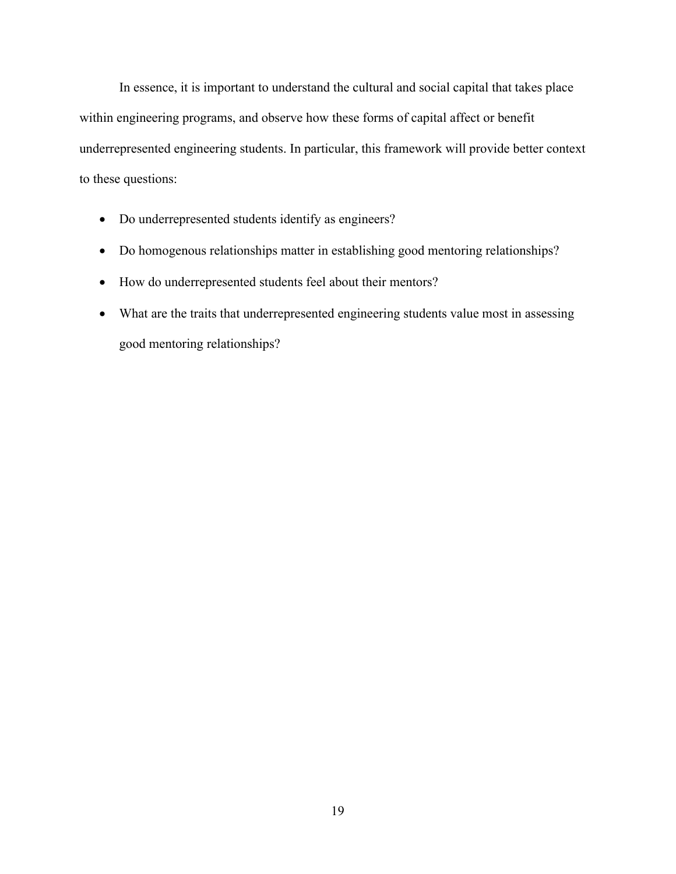In essence, it is important to understand the cultural and social capital that takes place within engineering programs, and observe how these forms of capital affect or benefit underrepresented engineering students. In particular, this framework will provide better context to these questions:

- Do underrepresented students identify as engineers?
- Do homogenous relationships matter in establishing good mentoring relationships?
- How do underrepresented students feel about their mentors?
- What are the traits that underrepresented engineering students value most in assessing good mentoring relationships?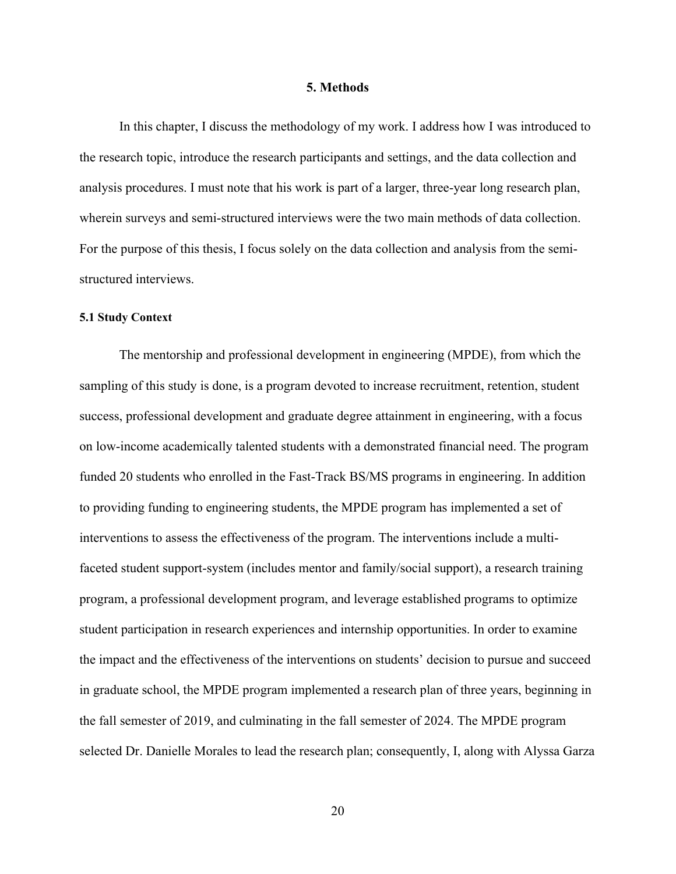#### **5. Methods**

In this chapter, I discuss the methodology of my work. I address how I was introduced to the research topic, introduce the research participants and settings, and the data collection and analysis procedures. I must note that his work is part of a larger, three-year long research plan, wherein surveys and semi-structured interviews were the two main methods of data collection. For the purpose of this thesis, I focus solely on the data collection and analysis from the semistructured interviews.

#### **5.1 Study Context**

The mentorship and professional development in engineering (MPDE), from which the sampling of this study is done, is a program devoted to increase recruitment, retention, student success, professional development and graduate degree attainment in engineering, with a focus on low-income academically talented students with a demonstrated financial need. The program funded 20 students who enrolled in the Fast-Track BS/MS programs in engineering. In addition to providing funding to engineering students, the MPDE program has implemented a set of interventions to assess the effectiveness of the program. The interventions include a multifaceted student support-system (includes mentor and family/social support), a research training program, a professional development program, and leverage established programs to optimize student participation in research experiences and internship opportunities. In order to examine the impact and the effectiveness of the interventions on students' decision to pursue and succeed in graduate school, the MPDE program implemented a research plan of three years, beginning in the fall semester of 2019, and culminating in the fall semester of 2024. The MPDE program selected Dr. Danielle Morales to lead the research plan; consequently, I, along with Alyssa Garza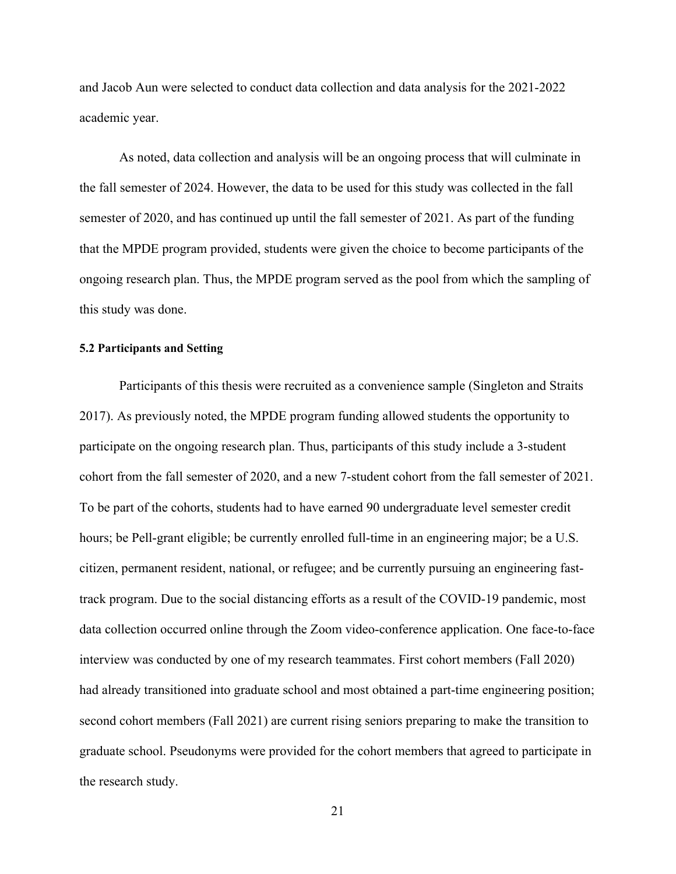and Jacob Aun were selected to conduct data collection and data analysis for the 2021-2022 academic year.

As noted, data collection and analysis will be an ongoing process that will culminate in the fall semester of 2024. However, the data to be used for this study was collected in the fall semester of 2020, and has continued up until the fall semester of 2021. As part of the funding that the MPDE program provided, students were given the choice to become participants of the ongoing research plan. Thus, the MPDE program served as the pool from which the sampling of this study was done.

#### **5.2 Participants and Setting**

Participants of this thesis were recruited as a convenience sample (Singleton and Straits 2017). As previously noted, the MPDE program funding allowed students the opportunity to participate on the ongoing research plan. Thus, participants of this study include a 3-student cohort from the fall semester of 2020, and a new 7-student cohort from the fall semester of 2021. To be part of the cohorts, students had to have earned 90 undergraduate level semester credit hours; be Pell-grant eligible; be currently enrolled full-time in an engineering major; be a U.S. citizen, permanent resident, national, or refugee; and be currently pursuing an engineering fasttrack program. Due to the social distancing efforts as a result of the COVID-19 pandemic, most data collection occurred online through the Zoom video-conference application. One face-to-face interview was conducted by one of my research teammates. First cohort members (Fall 2020) had already transitioned into graduate school and most obtained a part-time engineering position; second cohort members (Fall 2021) are current rising seniors preparing to make the transition to graduate school. Pseudonyms were provided for the cohort members that agreed to participate in the research study.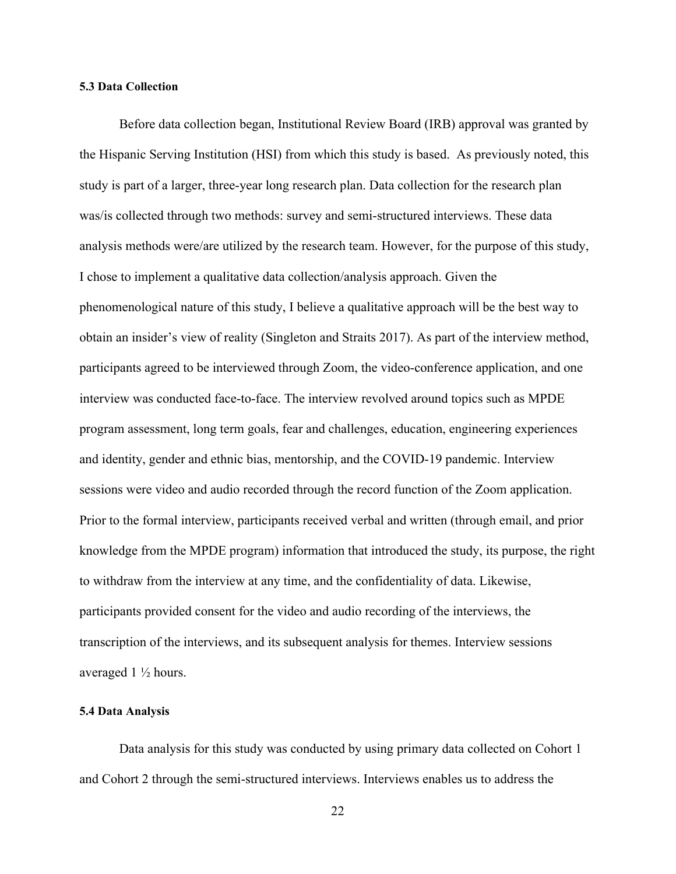#### **5.3 Data Collection**

Before data collection began, Institutional Review Board (IRB) approval was granted by the Hispanic Serving Institution (HSI) from which this study is based. As previously noted, this study is part of a larger, three-year long research plan. Data collection for the research plan was/is collected through two methods: survey and semi-structured interviews. These data analysis methods were/are utilized by the research team. However, for the purpose of this study, I chose to implement a qualitative data collection/analysis approach. Given the phenomenological nature of this study, I believe a qualitative approach will be the best way to obtain an insider's view of reality (Singleton and Straits 2017). As part of the interview method, participants agreed to be interviewed through Zoom, the video-conference application, and one interview was conducted face-to-face. The interview revolved around topics such as MPDE program assessment, long term goals, fear and challenges, education, engineering experiences and identity, gender and ethnic bias, mentorship, and the COVID-19 pandemic. Interview sessions were video and audio recorded through the record function of the Zoom application. Prior to the formal interview, participants received verbal and written (through email, and prior knowledge from the MPDE program) information that introduced the study, its purpose, the right to withdraw from the interview at any time, and the confidentiality of data. Likewise, participants provided consent for the video and audio recording of the interviews, the transcription of the interviews, and its subsequent analysis for themes. Interview sessions averaged 1 ½ hours.

#### **5.4 Data Analysis**

Data analysis for this study was conducted by using primary data collected on Cohort 1 and Cohort 2 through the semi-structured interviews. Interviews enables us to address the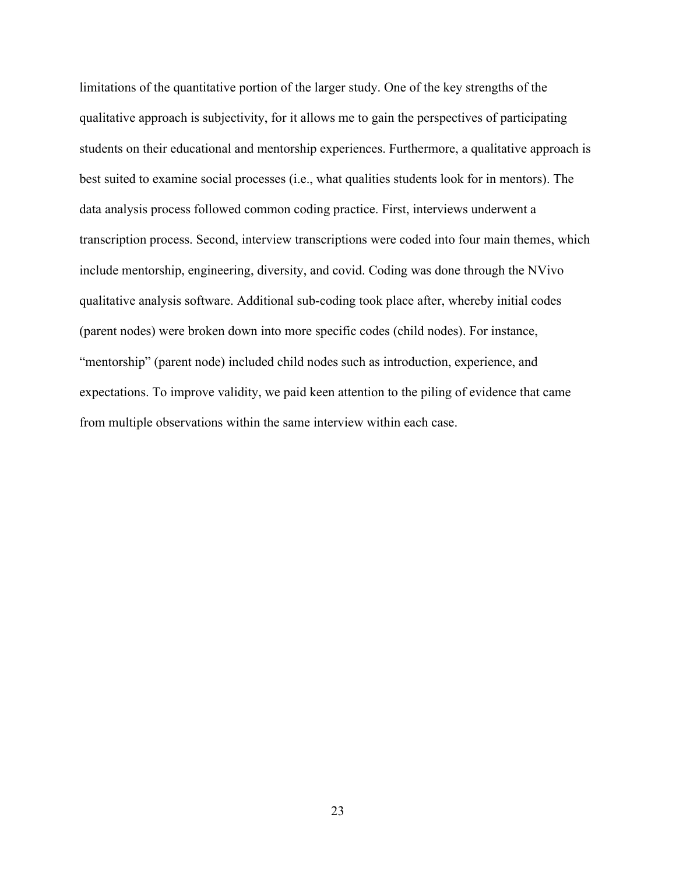limitations of the quantitative portion of the larger study. One of the key strengths of the qualitative approach is subjectivity, for it allows me to gain the perspectives of participating students on their educational and mentorship experiences. Furthermore, a qualitative approach is best suited to examine social processes (i.e., what qualities students look for in mentors). The data analysis process followed common coding practice. First, interviews underwent a transcription process. Second, interview transcriptions were coded into four main themes, which include mentorship, engineering, diversity, and covid. Coding was done through the NVivo qualitative analysis software. Additional sub-coding took place after, whereby initial codes (parent nodes) were broken down into more specific codes (child nodes). For instance, "mentorship" (parent node) included child nodes such as introduction, experience, and expectations. To improve validity, we paid keen attention to the piling of evidence that came from multiple observations within the same interview within each case.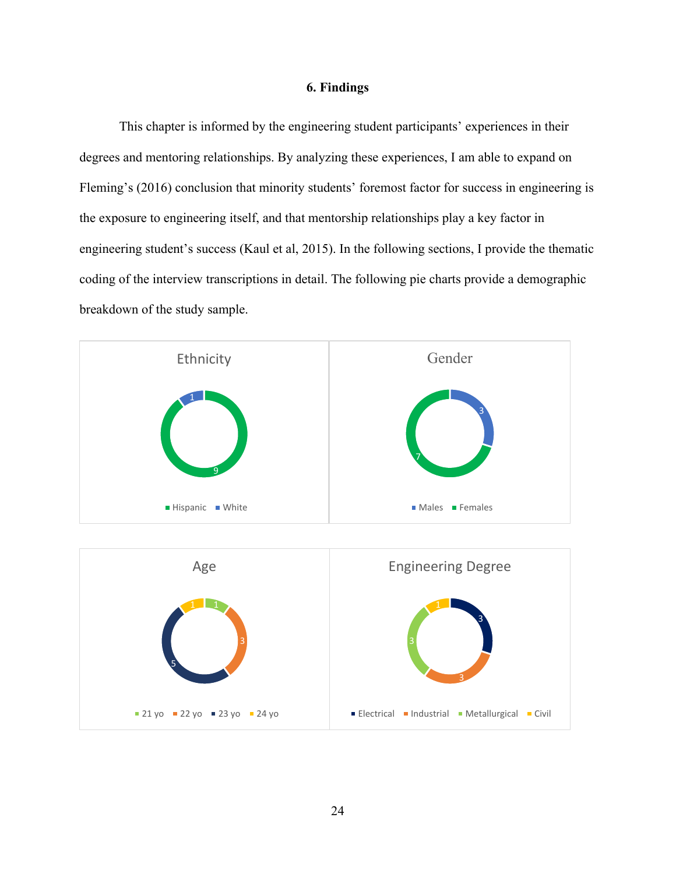#### **6. Findings**

This chapter is informed by the engineering student participants' experiences in their degrees and mentoring relationships. By analyzing these experiences, I am able to expand on Fleming's (2016) conclusion that minority students' foremost factor for success in engineering is the exposure to engineering itself, and that mentorship relationships play a key factor in engineering student's success (Kaul et al, 2015). In the following sections, I provide the thematic coding of the interview transcriptions in detail. The following pie charts provide a demographic breakdown of the study sample.



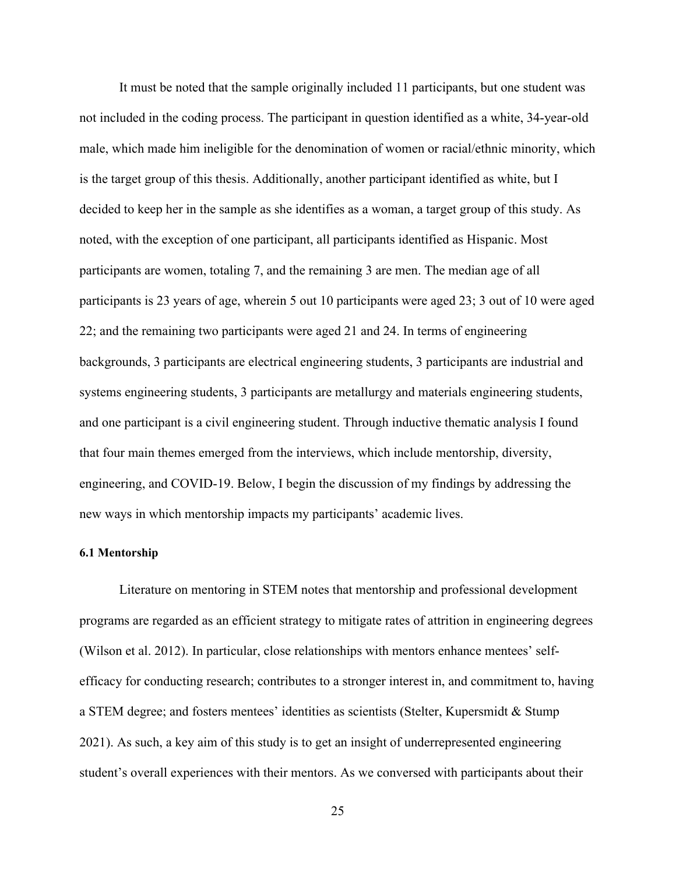It must be noted that the sample originally included 11 participants, but one student was not included in the coding process. The participant in question identified as a white, 34-year-old male, which made him ineligible for the denomination of women or racial/ethnic minority, which is the target group of this thesis. Additionally, another participant identified as white, but I decided to keep her in the sample as she identifies as a woman, a target group of this study. As noted, with the exception of one participant, all participants identified as Hispanic. Most participants are women, totaling 7, and the remaining 3 are men. The median age of all participants is 23 years of age, wherein 5 out 10 participants were aged 23; 3 out of 10 were aged 22; and the remaining two participants were aged 21 and 24. In terms of engineering backgrounds, 3 participants are electrical engineering students, 3 participants are industrial and systems engineering students, 3 participants are metallurgy and materials engineering students, and one participant is a civil engineering student. Through inductive thematic analysis I found that four main themes emerged from the interviews, which include mentorship, diversity, engineering, and COVID-19. Below, I begin the discussion of my findings by addressing the new ways in which mentorship impacts my participants' academic lives.

## **6.1 Mentorship**

Literature on mentoring in STEM notes that mentorship and professional development programs are regarded as an efficient strategy to mitigate rates of attrition in engineering degrees (Wilson et al. 2012). In particular, close relationships with mentors enhance mentees' selfefficacy for conducting research; contributes to a stronger interest in, and commitment to, having a STEM degree; and fosters mentees' identities as scientists (Stelter, Kupersmidt & Stump 2021). As such, a key aim of this study is to get an insight of underrepresented engineering student's overall experiences with their mentors. As we conversed with participants about their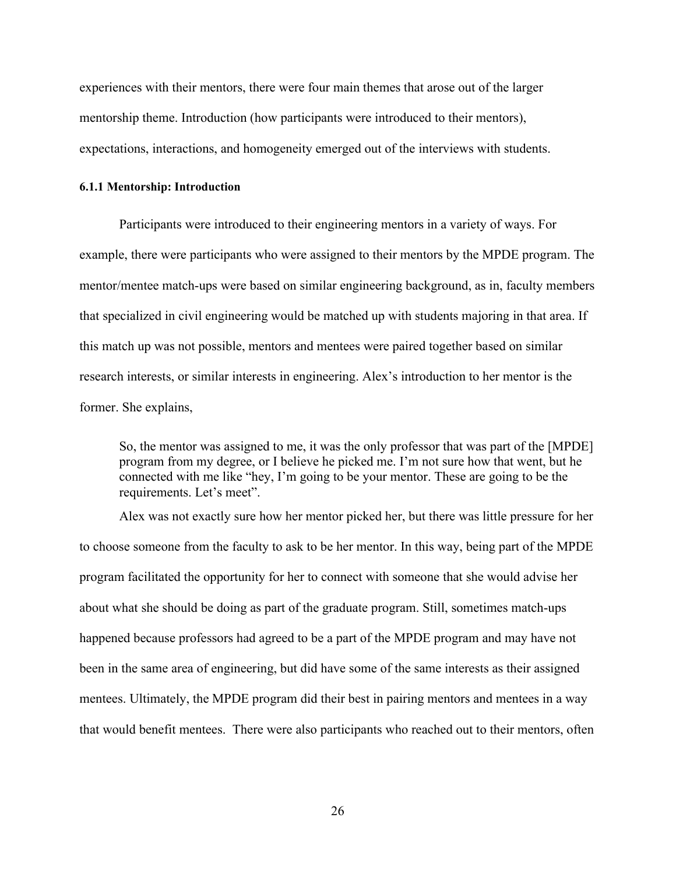experiences with their mentors, there were four main themes that arose out of the larger mentorship theme. Introduction (how participants were introduced to their mentors), expectations, interactions, and homogeneity emerged out of the interviews with students.

#### **6.1.1 Mentorship: Introduction**

Participants were introduced to their engineering mentors in a variety of ways. For example, there were participants who were assigned to their mentors by the MPDE program. The mentor/mentee match-ups were based on similar engineering background, as in, faculty members that specialized in civil engineering would be matched up with students majoring in that area. If this match up was not possible, mentors and mentees were paired together based on similar research interests, or similar interests in engineering. Alex's introduction to her mentor is the former. She explains,

So, the mentor was assigned to me, it was the only professor that was part of the [MPDE] program from my degree, or I believe he picked me. I'm not sure how that went, but he connected with me like "hey, I'm going to be your mentor. These are going to be the requirements. Let's meet".

Alex was not exactly sure how her mentor picked her, but there was little pressure for her to choose someone from the faculty to ask to be her mentor. In this way, being part of the MPDE program facilitated the opportunity for her to connect with someone that she would advise her about what she should be doing as part of the graduate program. Still, sometimes match-ups happened because professors had agreed to be a part of the MPDE program and may have not been in the same area of engineering, but did have some of the same interests as their assigned mentees. Ultimately, the MPDE program did their best in pairing mentors and mentees in a way that would benefit mentees. There were also participants who reached out to their mentors, often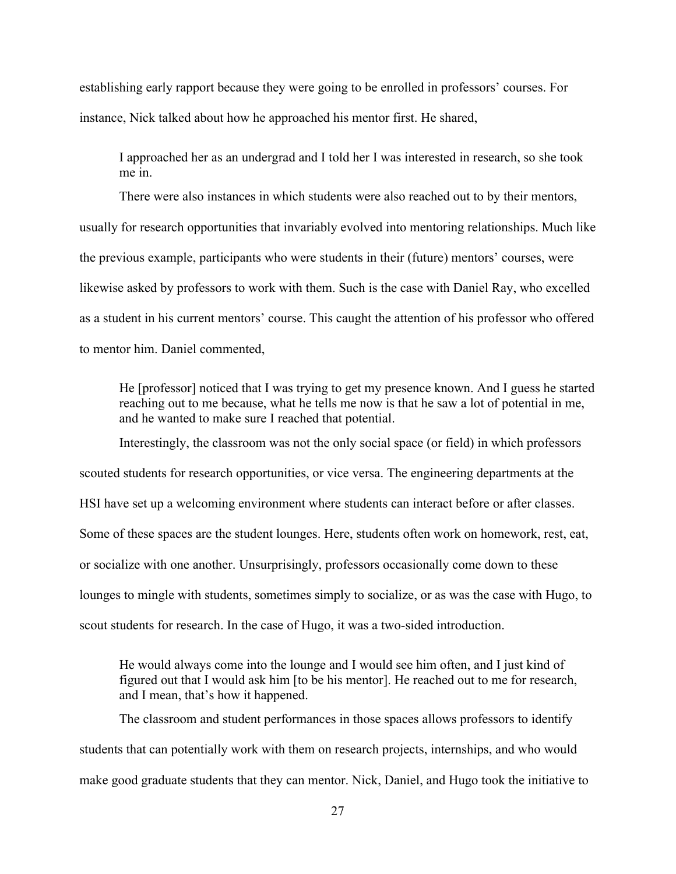establishing early rapport because they were going to be enrolled in professors' courses. For instance, Nick talked about how he approached his mentor first. He shared,

I approached her as an undergrad and I told her I was interested in research, so she took me in.

There were also instances in which students were also reached out to by their mentors, usually for research opportunities that invariably evolved into mentoring relationships. Much like the previous example, participants who were students in their (future) mentors' courses, were likewise asked by professors to work with them. Such is the case with Daniel Ray, who excelled as a student in his current mentors' course. This caught the attention of his professor who offered to mentor him. Daniel commented,

He [professor] noticed that I was trying to get my presence known. And I guess he started reaching out to me because, what he tells me now is that he saw a lot of potential in me, and he wanted to make sure I reached that potential.

Interestingly, the classroom was not the only social space (or field) in which professors scouted students for research opportunities, or vice versa. The engineering departments at the HSI have set up a welcoming environment where students can interact before or after classes. Some of these spaces are the student lounges. Here, students often work on homework, rest, eat, or socialize with one another. Unsurprisingly, professors occasionally come down to these lounges to mingle with students, sometimes simply to socialize, or as was the case with Hugo, to scout students for research. In the case of Hugo, it was a two-sided introduction.

He would always come into the lounge and I would see him often, and I just kind of figured out that I would ask him [to be his mentor]. He reached out to me for research, and I mean, that's how it happened.

The classroom and student performances in those spaces allows professors to identify students that can potentially work with them on research projects, internships, and who would make good graduate students that they can mentor. Nick, Daniel, and Hugo took the initiative to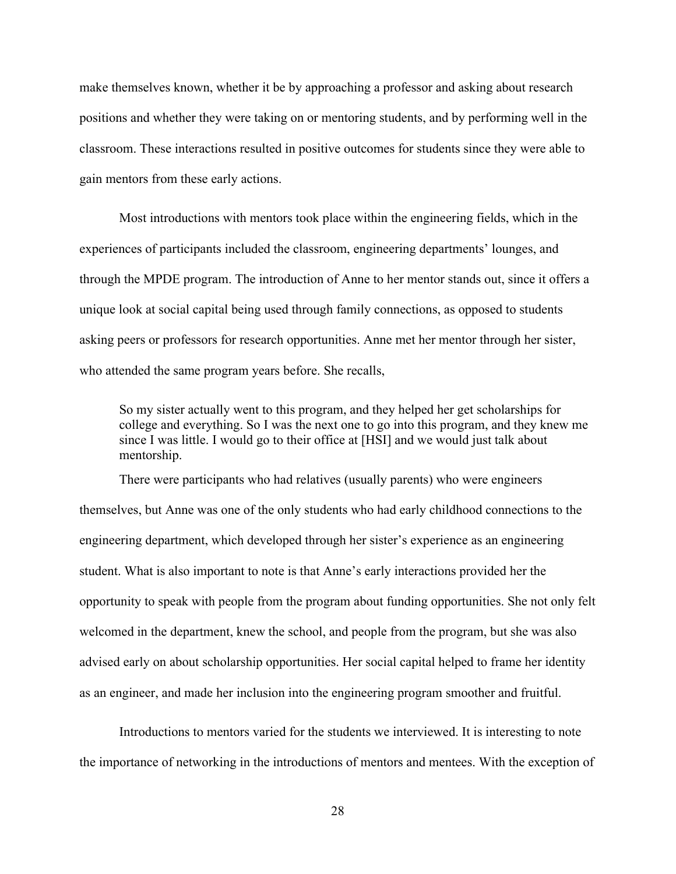make themselves known, whether it be by approaching a professor and asking about research positions and whether they were taking on or mentoring students, and by performing well in the classroom. These interactions resulted in positive outcomes for students since they were able to gain mentors from these early actions.

Most introductions with mentors took place within the engineering fields, which in the experiences of participants included the classroom, engineering departments' lounges, and through the MPDE program. The introduction of Anne to her mentor stands out, since it offers a unique look at social capital being used through family connections, as opposed to students asking peers or professors for research opportunities. Anne met her mentor through her sister, who attended the same program years before. She recalls,

So my sister actually went to this program, and they helped her get scholarships for college and everything. So I was the next one to go into this program, and they knew me since I was little. I would go to their office at [HSI] and we would just talk about mentorship.

There were participants who had relatives (usually parents) who were engineers themselves, but Anne was one of the only students who had early childhood connections to the engineering department, which developed through her sister's experience as an engineering student. What is also important to note is that Anne's early interactions provided her the opportunity to speak with people from the program about funding opportunities. She not only felt welcomed in the department, knew the school, and people from the program, but she was also advised early on about scholarship opportunities. Her social capital helped to frame her identity as an engineer, and made her inclusion into the engineering program smoother and fruitful.

Introductions to mentors varied for the students we interviewed. It is interesting to note the importance of networking in the introductions of mentors and mentees. With the exception of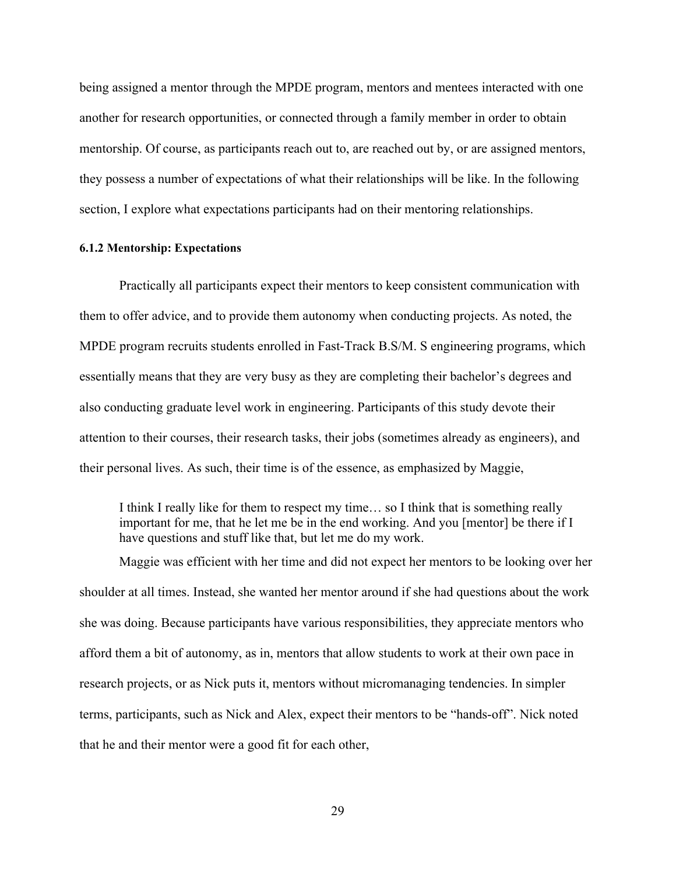being assigned a mentor through the MPDE program, mentors and mentees interacted with one another for research opportunities, or connected through a family member in order to obtain mentorship. Of course, as participants reach out to, are reached out by, or are assigned mentors, they possess a number of expectations of what their relationships will be like. In the following section, I explore what expectations participants had on their mentoring relationships.

#### **6.1.2 Mentorship: Expectations**

Practically all participants expect their mentors to keep consistent communication with them to offer advice, and to provide them autonomy when conducting projects. As noted, the MPDE program recruits students enrolled in Fast-Track B.S/M. S engineering programs, which essentially means that they are very busy as they are completing their bachelor's degrees and also conducting graduate level work in engineering. Participants of this study devote their attention to their courses, their research tasks, their jobs (sometimes already as engineers), and their personal lives. As such, their time is of the essence, as emphasized by Maggie,

I think I really like for them to respect my time… so I think that is something really important for me, that he let me be in the end working. And you [mentor] be there if I have questions and stuff like that, but let me do my work.

Maggie was efficient with her time and did not expect her mentors to be looking over her shoulder at all times. Instead, she wanted her mentor around if she had questions about the work she was doing. Because participants have various responsibilities, they appreciate mentors who afford them a bit of autonomy, as in, mentors that allow students to work at their own pace in research projects, or as Nick puts it, mentors without micromanaging tendencies. In simpler terms, participants, such as Nick and Alex, expect their mentors to be "hands-off". Nick noted that he and their mentor were a good fit for each other,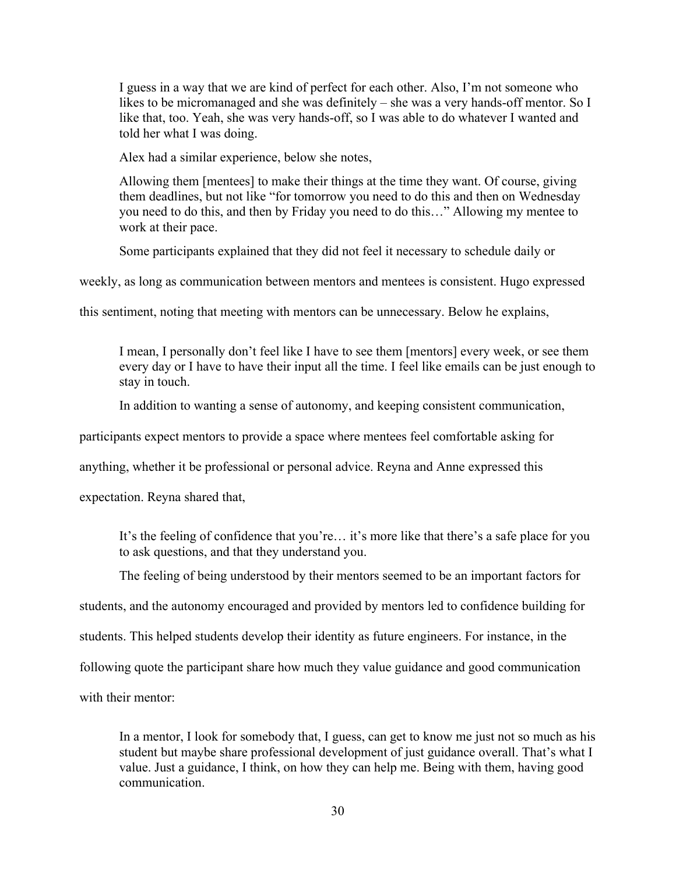I guess in a way that we are kind of perfect for each other. Also, I'm not someone who likes to be micromanaged and she was definitely – she was a very hands-off mentor. So I like that, too. Yeah, she was very hands-off, so I was able to do whatever I wanted and told her what I was doing.

Alex had a similar experience, below she notes,

Allowing them [mentees] to make their things at the time they want. Of course, giving them deadlines, but not like "for tomorrow you need to do this and then on Wednesday you need to do this, and then by Friday you need to do this…" Allowing my mentee to work at their pace.

Some participants explained that they did not feel it necessary to schedule daily or

weekly, as long as communication between mentors and mentees is consistent. Hugo expressed

this sentiment, noting that meeting with mentors can be unnecessary. Below he explains,

I mean, I personally don't feel like I have to see them [mentors] every week, or see them every day or I have to have their input all the time. I feel like emails can be just enough to stay in touch.

In addition to wanting a sense of autonomy, and keeping consistent communication,

participants expect mentors to provide a space where mentees feel comfortable asking for

anything, whether it be professional or personal advice. Reyna and Anne expressed this

expectation. Reyna shared that,

It's the feeling of confidence that you're… it's more like that there's a safe place for you to ask questions, and that they understand you.

The feeling of being understood by their mentors seemed to be an important factors for

students, and the autonomy encouraged and provided by mentors led to confidence building for

students. This helped students develop their identity as future engineers. For instance, in the

following quote the participant share how much they value guidance and good communication

with their mentor:

In a mentor, I look for somebody that, I guess, can get to know me just not so much as his student but maybe share professional development of just guidance overall. That's what I value. Just a guidance, I think, on how they can help me. Being with them, having good communication.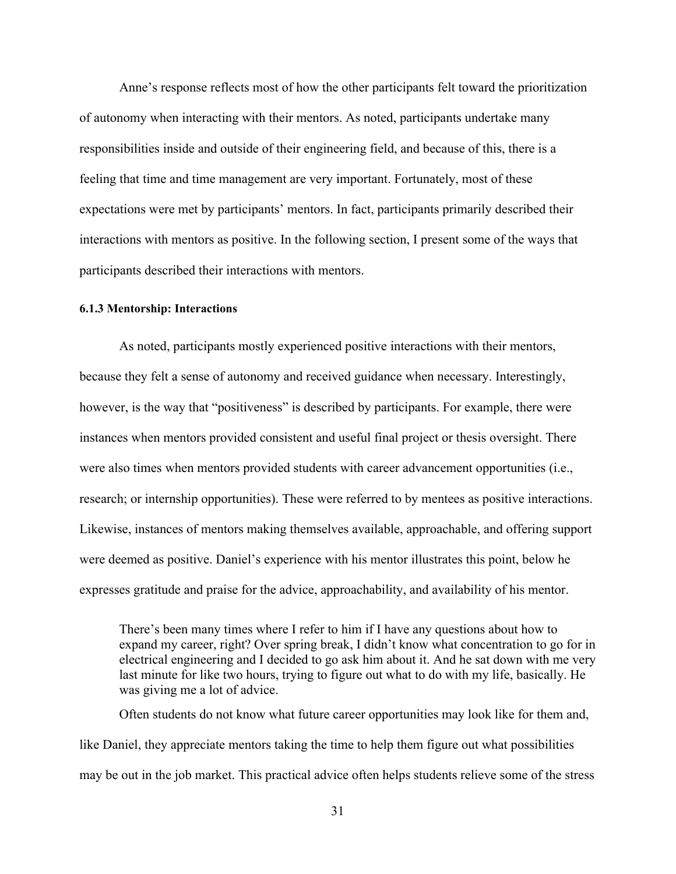Anne's response reflects most of how the other participants felt toward the prioritization of autonomy when interacting with their mentors. As noted, participants undertake many responsibilities inside and outside of their engineering field, and because of this, there is a feeling that time and time management are very important. Fortunately, most of these expectations were met by participants' mentors. In fact, participants primarily described their interactions with mentors as positive. In the following section, I present some of the ways that participants described their interactions with mentors.

# **6.1.3 Mentorship: Interactions**

As noted, participants mostly experienced positive interactions with their mentors, because they felt a sense of autonomy and received guidance when necessary. Interestingly, however, is the way that "positiveness" is described by participants. For example, there were instances when mentors provided consistent and useful final project or thesis oversight. There were also times when mentors provided students with career advancement opportunities (i.e., research; or internship opportunities). These were referred to by mentees as positive interactions. Likewise, instances of mentors making themselves available, approachable, and offering support were deemed as positive. Daniel's experience with his mentor illustrates this point, below he expresses gratitude and praise for the advice, approachability, and availability of his mentor.

There's been many times where I refer to him if I have any questions about how to expand my career, right? Over spring break, I didn't know what concentration to go for in electrical engineering and I decided to go ask him about it. And he sat down with me very last minute for like two hours, trying to figure out what to do with my life, basically. He was giving me a lot of advice.

Often students do not know what future career opportunities may look like for them and, like Daniel, they appreciate mentors taking the time to help them figure out what possibilities may be out in the job market. This practical advice often helps students relieve some of the stress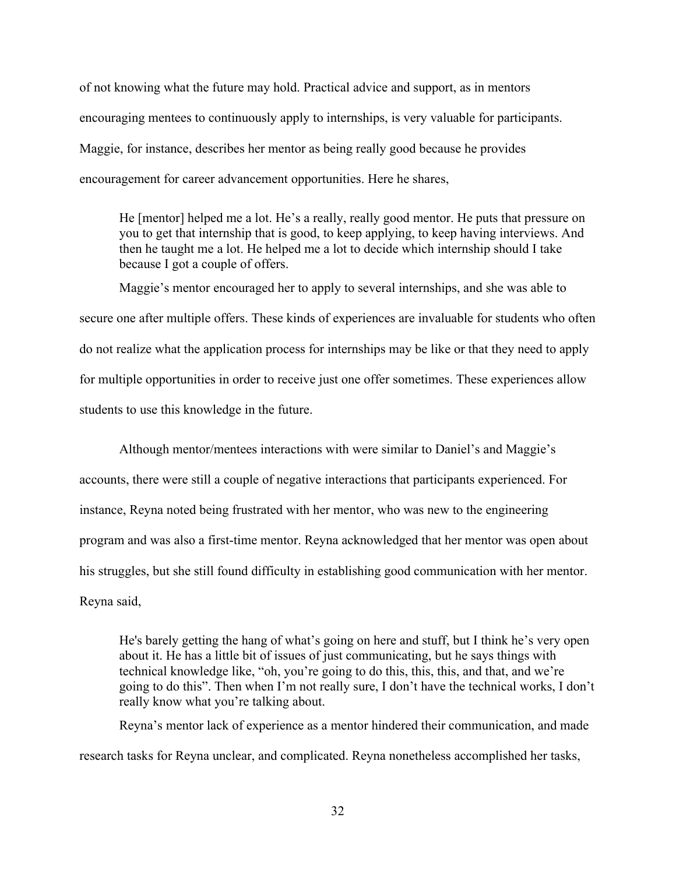of not knowing what the future may hold. Practical advice and support, as in mentors encouraging mentees to continuously apply to internships, is very valuable for participants. Maggie, for instance, describes her mentor as being really good because he provides encouragement for career advancement opportunities. Here he shares,

He [mentor] helped me a lot. He's a really, really good mentor. He puts that pressure on you to get that internship that is good, to keep applying, to keep having interviews. And then he taught me a lot. He helped me a lot to decide which internship should I take because I got a couple of offers.

Maggie's mentor encouraged her to apply to several internships, and she was able to secure one after multiple offers. These kinds of experiences are invaluable for students who often do not realize what the application process for internships may be like or that they need to apply for multiple opportunities in order to receive just one offer sometimes. These experiences allow students to use this knowledge in the future.

Although mentor/mentees interactions with were similar to Daniel's and Maggie's accounts, there were still a couple of negative interactions that participants experienced. For instance, Reyna noted being frustrated with her mentor, who was new to the engineering program and was also a first-time mentor. Reyna acknowledged that her mentor was open about his struggles, but she still found difficulty in establishing good communication with her mentor. Reyna said,

He's barely getting the hang of what's going on here and stuff, but I think he's very open about it. He has a little bit of issues of just communicating, but he says things with technical knowledge like, "oh, you're going to do this, this, this, and that, and we're going to do this". Then when I'm not really sure, I don't have the technical works, I don't really know what you're talking about.

Reyna's mentor lack of experience as a mentor hindered their communication, and made research tasks for Reyna unclear, and complicated. Reyna nonetheless accomplished her tasks,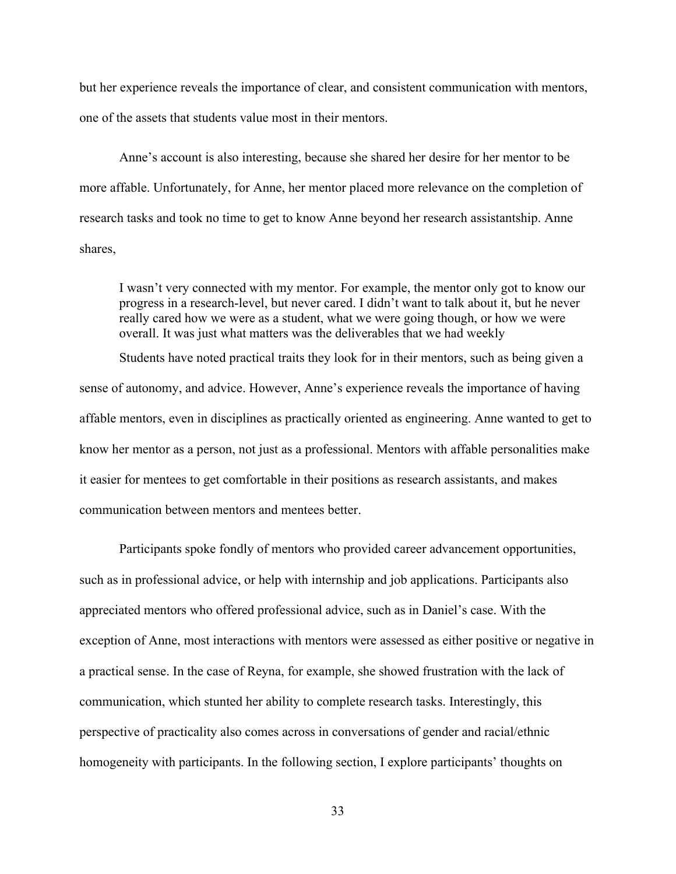but her experience reveals the importance of clear, and consistent communication with mentors, one of the assets that students value most in their mentors.

Anne's account is also interesting, because she shared her desire for her mentor to be more affable. Unfortunately, for Anne, her mentor placed more relevance on the completion of research tasks and took no time to get to know Anne beyond her research assistantship. Anne shares,

I wasn't very connected with my mentor. For example, the mentor only got to know our progress in a research-level, but never cared. I didn't want to talk about it, but he never really cared how we were as a student, what we were going though, or how we were overall. It was just what matters was the deliverables that we had weekly

Students have noted practical traits they look for in their mentors, such as being given a sense of autonomy, and advice. However, Anne's experience reveals the importance of having affable mentors, even in disciplines as practically oriented as engineering. Anne wanted to get to know her mentor as a person, not just as a professional. Mentors with affable personalities make it easier for mentees to get comfortable in their positions as research assistants, and makes communication between mentors and mentees better.

Participants spoke fondly of mentors who provided career advancement opportunities, such as in professional advice, or help with internship and job applications. Participants also appreciated mentors who offered professional advice, such as in Daniel's case. With the exception of Anne, most interactions with mentors were assessed as either positive or negative in a practical sense. In the case of Reyna, for example, she showed frustration with the lack of communication, which stunted her ability to complete research tasks. Interestingly, this perspective of practicality also comes across in conversations of gender and racial/ethnic homogeneity with participants. In the following section, I explore participants' thoughts on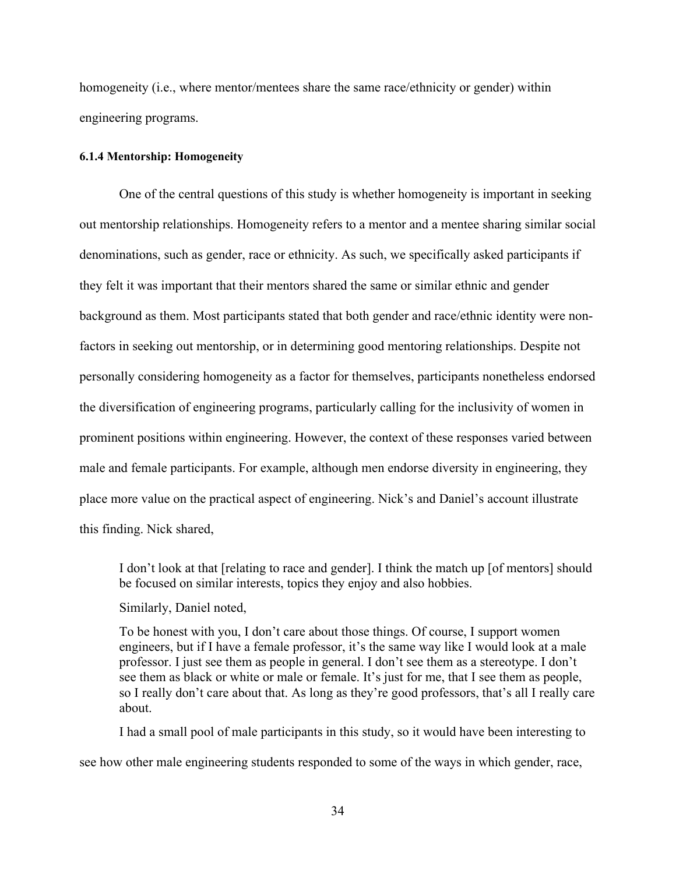homogeneity (i.e., where mentor/mentees share the same race/ethnicity or gender) within engineering programs.

#### **6.1.4 Mentorship: Homogeneity**

One of the central questions of this study is whether homogeneity is important in seeking out mentorship relationships. Homogeneity refers to a mentor and a mentee sharing similar social denominations, such as gender, race or ethnicity. As such, we specifically asked participants if they felt it was important that their mentors shared the same or similar ethnic and gender background as them. Most participants stated that both gender and race/ethnic identity were nonfactors in seeking out mentorship, or in determining good mentoring relationships. Despite not personally considering homogeneity as a factor for themselves, participants nonetheless endorsed the diversification of engineering programs, particularly calling for the inclusivity of women in prominent positions within engineering. However, the context of these responses varied between male and female participants. For example, although men endorse diversity in engineering, they place more value on the practical aspect of engineering. Nick's and Daniel's account illustrate this finding. Nick shared,

I don't look at that [relating to race and gender]. I think the match up [of mentors] should be focused on similar interests, topics they enjoy and also hobbies.

Similarly, Daniel noted,

To be honest with you, I don't care about those things. Of course, I support women engineers, but if I have a female professor, it's the same way like I would look at a male professor. I just see them as people in general. I don't see them as a stereotype. I don't see them as black or white or male or female. It's just for me, that I see them as people, so I really don't care about that. As long as they're good professors, that's all I really care about.

I had a small pool of male participants in this study, so it would have been interesting to see how other male engineering students responded to some of the ways in which gender, race,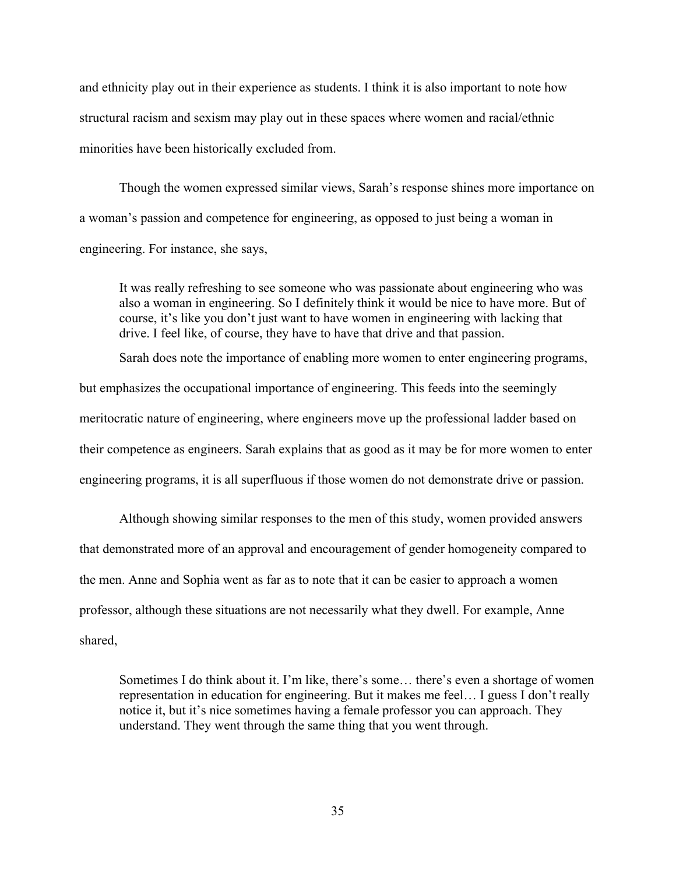and ethnicity play out in their experience as students. I think it is also important to note how structural racism and sexism may play out in these spaces where women and racial/ethnic minorities have been historically excluded from.

Though the women expressed similar views, Sarah's response shines more importance on a woman's passion and competence for engineering, as opposed to just being a woman in engineering. For instance, she says,

It was really refreshing to see someone who was passionate about engineering who was also a woman in engineering. So I definitely think it would be nice to have more. But of course, it's like you don't just want to have women in engineering with lacking that drive. I feel like, of course, they have to have that drive and that passion.

Sarah does note the importance of enabling more women to enter engineering programs,

but emphasizes the occupational importance of engineering. This feeds into the seemingly meritocratic nature of engineering, where engineers move up the professional ladder based on their competence as engineers. Sarah explains that as good as it may be for more women to enter engineering programs, it is all superfluous if those women do not demonstrate drive or passion.

Although showing similar responses to the men of this study, women provided answers that demonstrated more of an approval and encouragement of gender homogeneity compared to the men. Anne and Sophia went as far as to note that it can be easier to approach a women professor, although these situations are not necessarily what they dwell. For example, Anne shared,

Sometimes I do think about it. I'm like, there's some… there's even a shortage of women representation in education for engineering. But it makes me feel… I guess I don't really notice it, but it's nice sometimes having a female professor you can approach. They understand. They went through the same thing that you went through.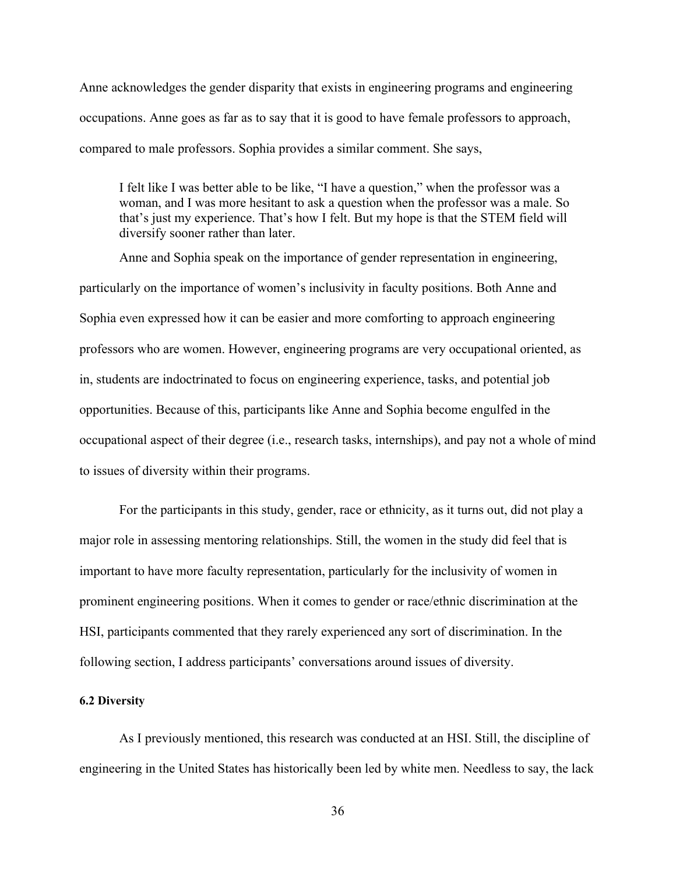Anne acknowledges the gender disparity that exists in engineering programs and engineering occupations. Anne goes as far as to say that it is good to have female professors to approach, compared to male professors. Sophia provides a similar comment. She says,

I felt like I was better able to be like, "I have a question," when the professor was a woman, and I was more hesitant to ask a question when the professor was a male. So that's just my experience. That's how I felt. But my hope is that the STEM field will diversify sooner rather than later.

Anne and Sophia speak on the importance of gender representation in engineering, particularly on the importance of women's inclusivity in faculty positions. Both Anne and Sophia even expressed how it can be easier and more comforting to approach engineering professors who are women. However, engineering programs are very occupational oriented, as in, students are indoctrinated to focus on engineering experience, tasks, and potential job opportunities. Because of this, participants like Anne and Sophia become engulfed in the occupational aspect of their degree (i.e., research tasks, internships), and pay not a whole of mind to issues of diversity within their programs.

For the participants in this study, gender, race or ethnicity, as it turns out, did not play a major role in assessing mentoring relationships. Still, the women in the study did feel that is important to have more faculty representation, particularly for the inclusivity of women in prominent engineering positions. When it comes to gender or race/ethnic discrimination at the HSI, participants commented that they rarely experienced any sort of discrimination. In the following section, I address participants' conversations around issues of diversity.

# **6.2 Diversity**

As I previously mentioned, this research was conducted at an HSI. Still, the discipline of engineering in the United States has historically been led by white men. Needless to say, the lack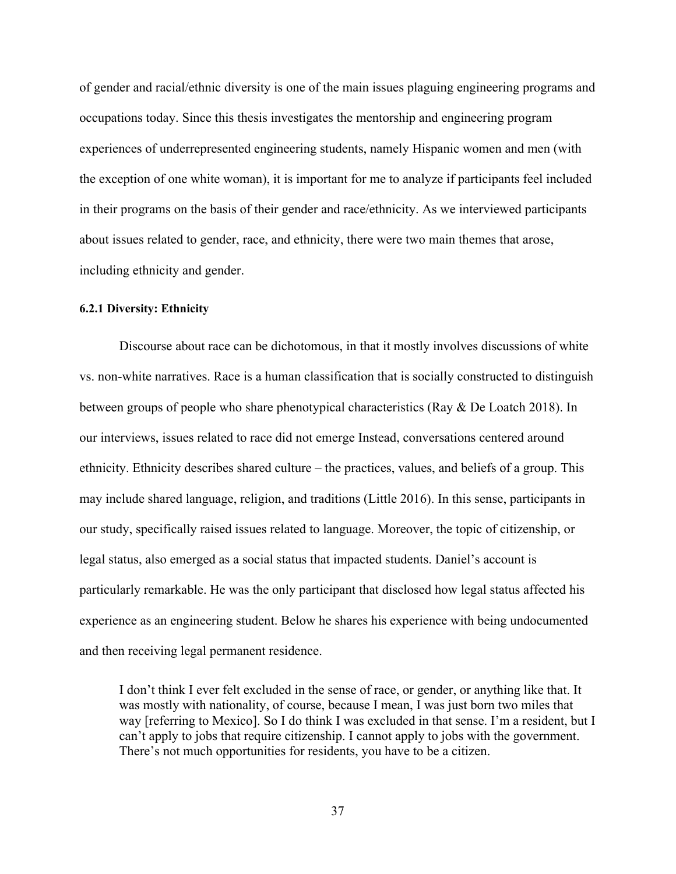of gender and racial/ethnic diversity is one of the main issues plaguing engineering programs and occupations today. Since this thesis investigates the mentorship and engineering program experiences of underrepresented engineering students, namely Hispanic women and men (with the exception of one white woman), it is important for me to analyze if participants feel included in their programs on the basis of their gender and race/ethnicity. As we interviewed participants about issues related to gender, race, and ethnicity, there were two main themes that arose, including ethnicity and gender.

# **6.2.1 Diversity: Ethnicity**

Discourse about race can be dichotomous, in that it mostly involves discussions of white vs. non-white narratives. Race is a human classification that is socially constructed to distinguish between groups of people who share phenotypical characteristics (Ray & De Loatch 2018). In our interviews, issues related to race did not emerge Instead, conversations centered around ethnicity. Ethnicity describes shared culture – the practices, values, and beliefs of a group. This may include shared language, religion, and traditions (Little 2016). In this sense, participants in our study, specifically raised issues related to language. Moreover, the topic of citizenship, or legal status, also emerged as a social status that impacted students. Daniel's account is particularly remarkable. He was the only participant that disclosed how legal status affected his experience as an engineering student. Below he shares his experience with being undocumented and then receiving legal permanent residence.

I don't think I ever felt excluded in the sense of race, or gender, or anything like that. It was mostly with nationality, of course, because I mean, I was just born two miles that way [referring to Mexico]. So I do think I was excluded in that sense. I'm a resident, but I can't apply to jobs that require citizenship. I cannot apply to jobs with the government. There's not much opportunities for residents, you have to be a citizen.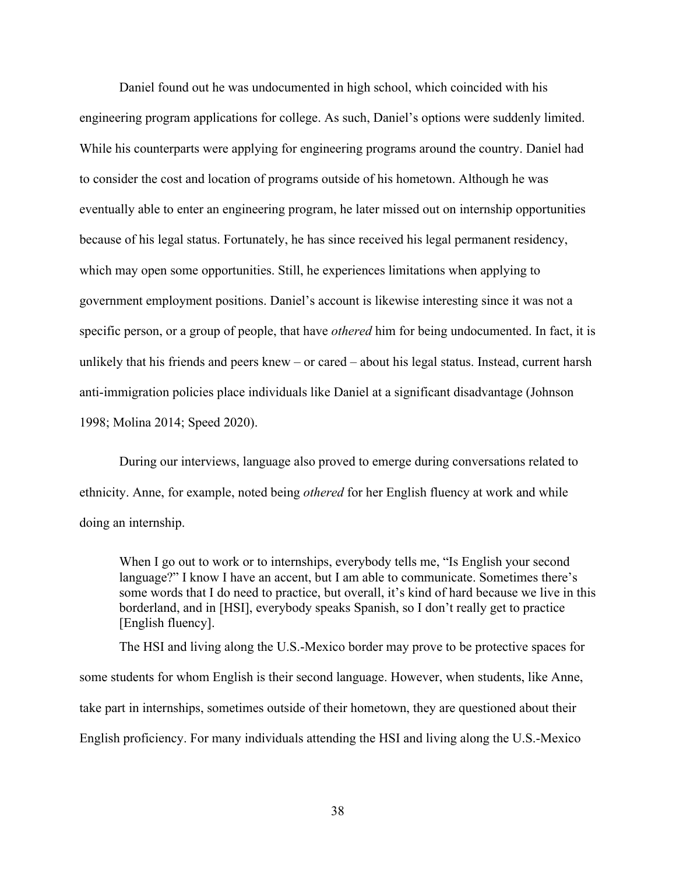Daniel found out he was undocumented in high school, which coincided with his engineering program applications for college. As such, Daniel's options were suddenly limited. While his counterparts were applying for engineering programs around the country. Daniel had to consider the cost and location of programs outside of his hometown. Although he was eventually able to enter an engineering program, he later missed out on internship opportunities because of his legal status. Fortunately, he has since received his legal permanent residency, which may open some opportunities. Still, he experiences limitations when applying to government employment positions. Daniel's account is likewise interesting since it was not a specific person, or a group of people, that have *othered* him for being undocumented. In fact, it is unlikely that his friends and peers knew – or cared – about his legal status. Instead, current harsh anti-immigration policies place individuals like Daniel at a significant disadvantage (Johnson 1998; Molina 2014; Speed 2020).

During our interviews, language also proved to emerge during conversations related to ethnicity. Anne, for example, noted being *othered* for her English fluency at work and while doing an internship.

When I go out to work or to internships, everybody tells me, "Is English your second language?" I know I have an accent, but I am able to communicate. Sometimes there's some words that I do need to practice, but overall, it's kind of hard because we live in this borderland, and in [HSI], everybody speaks Spanish, so I don't really get to practice [English fluency].

The HSI and living along the U.S.-Mexico border may prove to be protective spaces for some students for whom English is their second language. However, when students, like Anne, take part in internships, sometimes outside of their hometown, they are questioned about their English proficiency. For many individuals attending the HSI and living along the U.S.-Mexico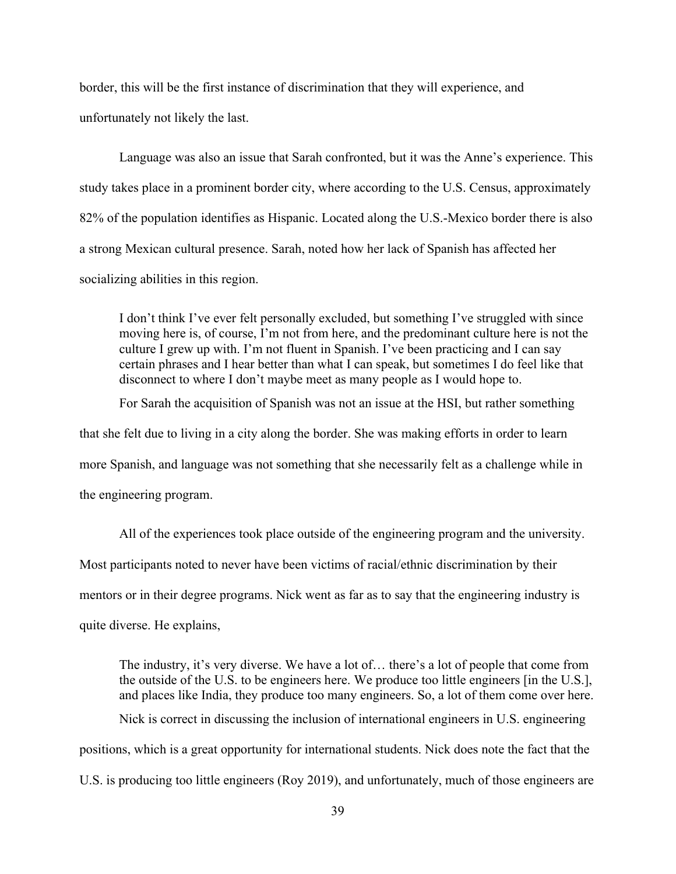border, this will be the first instance of discrimination that they will experience, and unfortunately not likely the last.

Language was also an issue that Sarah confronted, but it was the Anne's experience. This study takes place in a prominent border city, where according to the U.S. Census, approximately 82% of the population identifies as Hispanic. Located along the U.S.-Mexico border there is also a strong Mexican cultural presence. Sarah, noted how her lack of Spanish has affected her socializing abilities in this region.

I don't think I've ever felt personally excluded, but something I've struggled with since moving here is, of course, I'm not from here, and the predominant culture here is not the culture I grew up with. I'm not fluent in Spanish. I've been practicing and I can say certain phrases and I hear better than what I can speak, but sometimes I do feel like that disconnect to where I don't maybe meet as many people as I would hope to.

For Sarah the acquisition of Spanish was not an issue at the HSI, but rather something that she felt due to living in a city along the border. She was making efforts in order to learn more Spanish, and language was not something that she necessarily felt as a challenge while in the engineering program.

All of the experiences took place outside of the engineering program and the university. Most participants noted to never have been victims of racial/ethnic discrimination by their mentors or in their degree programs. Nick went as far as to say that the engineering industry is quite diverse. He explains,

The industry, it's very diverse. We have a lot of… there's a lot of people that come from the outside of the U.S. to be engineers here. We produce too little engineers [in the U.S.], and places like India, they produce too many engineers. So, a lot of them come over here. Nick is correct in discussing the inclusion of international engineers in U.S. engineering positions, which is a great opportunity for international students. Nick does note the fact that the U.S. is producing too little engineers (Roy 2019), and unfortunately, much of those engineers are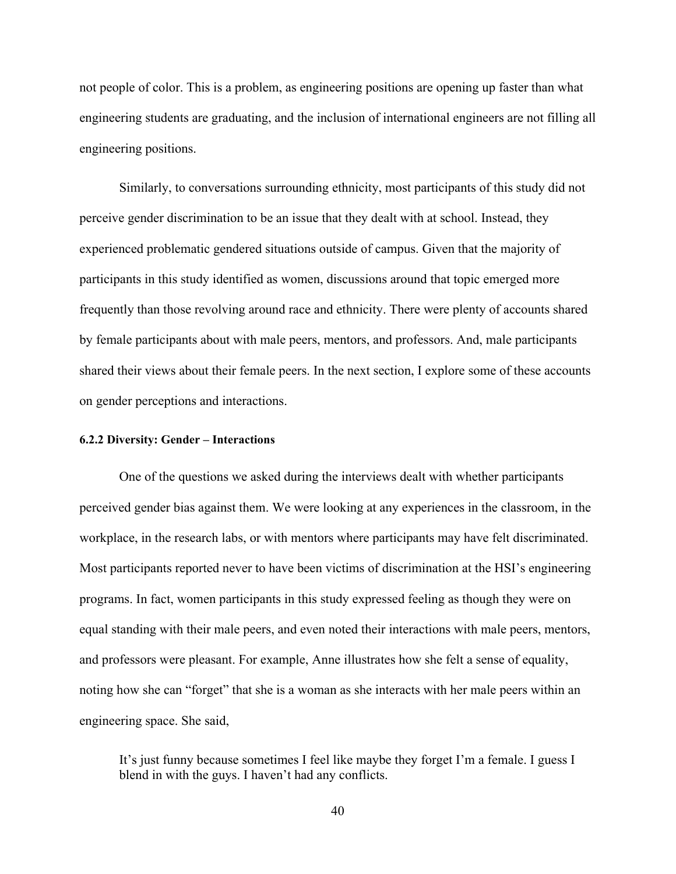not people of color. This is a problem, as engineering positions are opening up faster than what engineering students are graduating, and the inclusion of international engineers are not filling all engineering positions.

Similarly, to conversations surrounding ethnicity, most participants of this study did not perceive gender discrimination to be an issue that they dealt with at school. Instead, they experienced problematic gendered situations outside of campus. Given that the majority of participants in this study identified as women, discussions around that topic emerged more frequently than those revolving around race and ethnicity. There were plenty of accounts shared by female participants about with male peers, mentors, and professors. And, male participants shared their views about their female peers. In the next section, I explore some of these accounts on gender perceptions and interactions.

#### **6.2.2 Diversity: Gender – Interactions**

One of the questions we asked during the interviews dealt with whether participants perceived gender bias against them. We were looking at any experiences in the classroom, in the workplace, in the research labs, or with mentors where participants may have felt discriminated. Most participants reported never to have been victims of discrimination at the HSI's engineering programs. In fact, women participants in this study expressed feeling as though they were on equal standing with their male peers, and even noted their interactions with male peers, mentors, and professors were pleasant. For example, Anne illustrates how she felt a sense of equality, noting how she can "forget" that she is a woman as she interacts with her male peers within an engineering space. She said,

It's just funny because sometimes I feel like maybe they forget I'm a female. I guess I blend in with the guys. I haven't had any conflicts.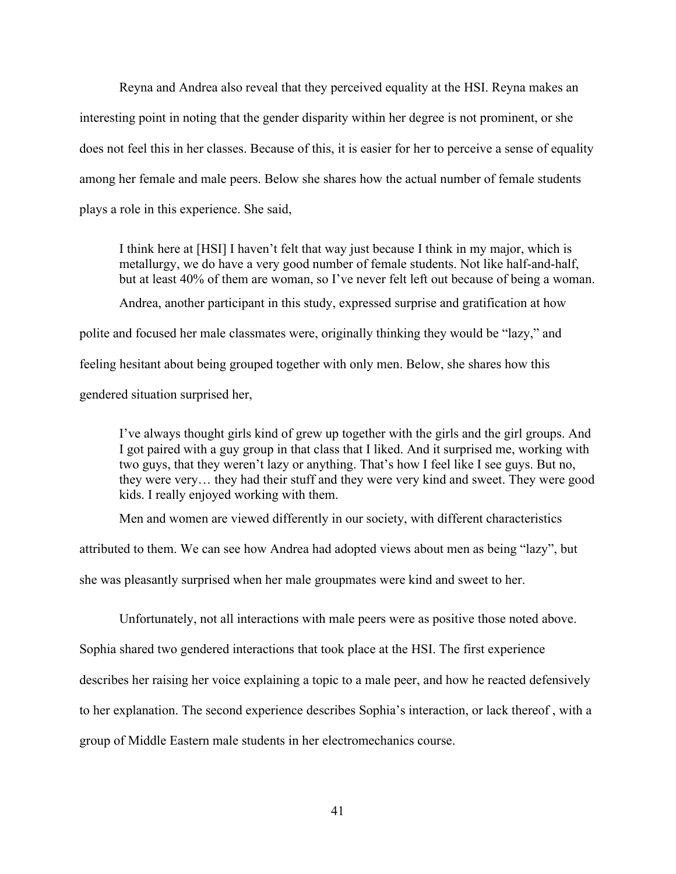Reyna and Andrea also reveal that they perceived equality at the HSI. Reyna makes an interesting point in noting that the gender disparity within her degree is not prominent, or she does not feel this in her classes. Because of this, it is easier for her to perceive a sense of equality among her female and male peers. Below she shares how the actual number of female students plays a role in this experience. She said,

I think here at [HSI] I haven't felt that way just because I think in my major, which is metallurgy, we do have a very good number of female students. Not like half-and-half, but at least 40% of them are woman, so I've never felt left out because of being a woman. Andrea, another participant in this study, expressed surprise and gratification at how polite and focused her male classmates were, originally thinking they would be "lazy," and feeling hesitant about being grouped together with only men. Below, she shares how this gendered situation surprised her,

I've always thought girls kind of grew up together with the girls and the girl groups. And I got paired with a guy group in that class that I liked. And it surprised me, working with two guys, that they weren't lazy or anything. That's how I feel like I see guys. But no, they were very… they had their stuff and they were very kind and sweet. They were good kids. I really enjoyed working with them.

Men and women are viewed differently in our society, with different characteristics

attributed to them. We can see how Andrea had adopted views about men as being "lazy", but

she was pleasantly surprised when her male groupmates were kind and sweet to her.

Unfortunately, not all interactions with male peers were as positive those noted above.

Sophia shared two gendered interactions that took place at the HSI. The first experience

describes her raising her voice explaining a topic to a male peer, and how he reacted defensively

to her explanation. The second experience describes Sophia's interaction, or lack thereof , with a

group of Middle Eastern male students in her electromechanics course.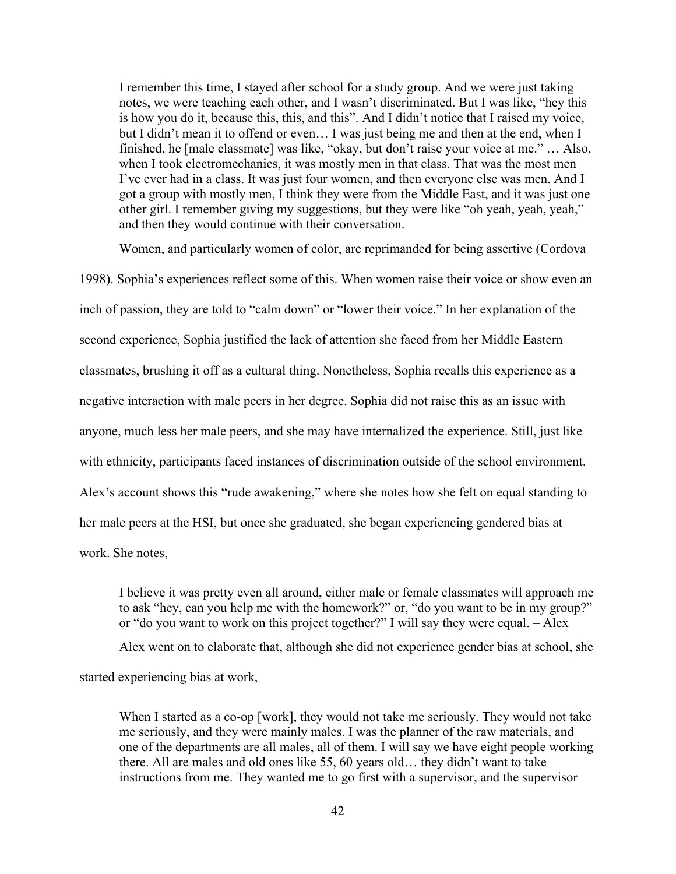I remember this time, I stayed after school for a study group. And we were just taking notes, we were teaching each other, and I wasn't discriminated. But I was like, "hey this is how you do it, because this, this, and this". And I didn't notice that I raised my voice, but I didn't mean it to offend or even… I was just being me and then at the end, when I finished, he [male classmate] was like, "okay, but don't raise your voice at me." … Also, when I took electromechanics, it was mostly men in that class. That was the most men I've ever had in a class. It was just four women, and then everyone else was men. And I got a group with mostly men, I think they were from the Middle East, and it was just one other girl. I remember giving my suggestions, but they were like "oh yeah, yeah, yeah," and then they would continue with their conversation.

Women, and particularly women of color, are reprimanded for being assertive (Cordova 1998). Sophia's experiences reflect some of this. When women raise their voice or show even an inch of passion, they are told to "calm down" or "lower their voice." In her explanation of the second experience, Sophia justified the lack of attention she faced from her Middle Eastern classmates, brushing it off as a cultural thing. Nonetheless, Sophia recalls this experience as a negative interaction with male peers in her degree. Sophia did not raise this as an issue with anyone, much less her male peers, and she may have internalized the experience. Still, just like with ethnicity, participants faced instances of discrimination outside of the school environment. Alex's account shows this "rude awakening," where she notes how she felt on equal standing to her male peers at the HSI, but once she graduated, she began experiencing gendered bias at work. She notes,

I believe it was pretty even all around, either male or female classmates will approach me to ask "hey, can you help me with the homework?" or, "do you want to be in my group?" or "do you want to work on this project together?" I will say they were equal. – Alex

Alex went on to elaborate that, although she did not experience gender bias at school, she

started experiencing bias at work,

When I started as a co-op [work], they would not take me seriously. They would not take me seriously, and they were mainly males. I was the planner of the raw materials, and one of the departments are all males, all of them. I will say we have eight people working there. All are males and old ones like 55, 60 years old… they didn't want to take instructions from me. They wanted me to go first with a supervisor, and the supervisor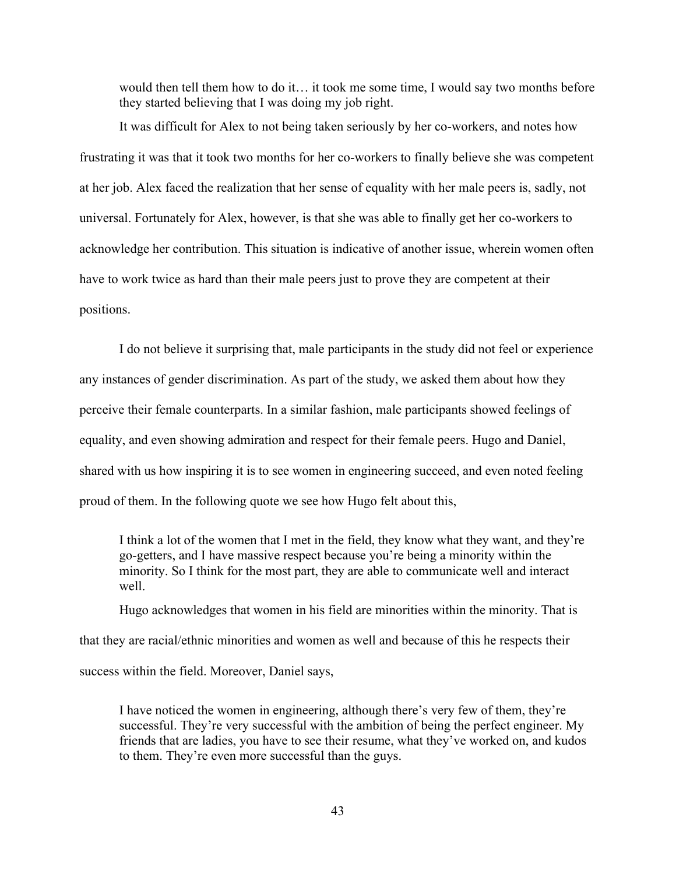would then tell them how to do it… it took me some time, I would say two months before they started believing that I was doing my job right.

It was difficult for Alex to not being taken seriously by her co-workers, and notes how frustrating it was that it took two months for her co-workers to finally believe she was competent at her job. Alex faced the realization that her sense of equality with her male peers is, sadly, not universal. Fortunately for Alex, however, is that she was able to finally get her co-workers to acknowledge her contribution. This situation is indicative of another issue, wherein women often have to work twice as hard than their male peers just to prove they are competent at their positions.

I do not believe it surprising that, male participants in the study did not feel or experience any instances of gender discrimination. As part of the study, we asked them about how they perceive their female counterparts. In a similar fashion, male participants showed feelings of equality, and even showing admiration and respect for their female peers. Hugo and Daniel, shared with us how inspiring it is to see women in engineering succeed, and even noted feeling proud of them. In the following quote we see how Hugo felt about this,

I think a lot of the women that I met in the field, they know what they want, and they're go-getters, and I have massive respect because you're being a minority within the minority. So I think for the most part, they are able to communicate well and interact well.

Hugo acknowledges that women in his field are minorities within the minority. That is that they are racial/ethnic minorities and women as well and because of this he respects their success within the field. Moreover, Daniel says,

I have noticed the women in engineering, although there's very few of them, they're successful. They're very successful with the ambition of being the perfect engineer. My friends that are ladies, you have to see their resume, what they've worked on, and kudos to them. They're even more successful than the guys.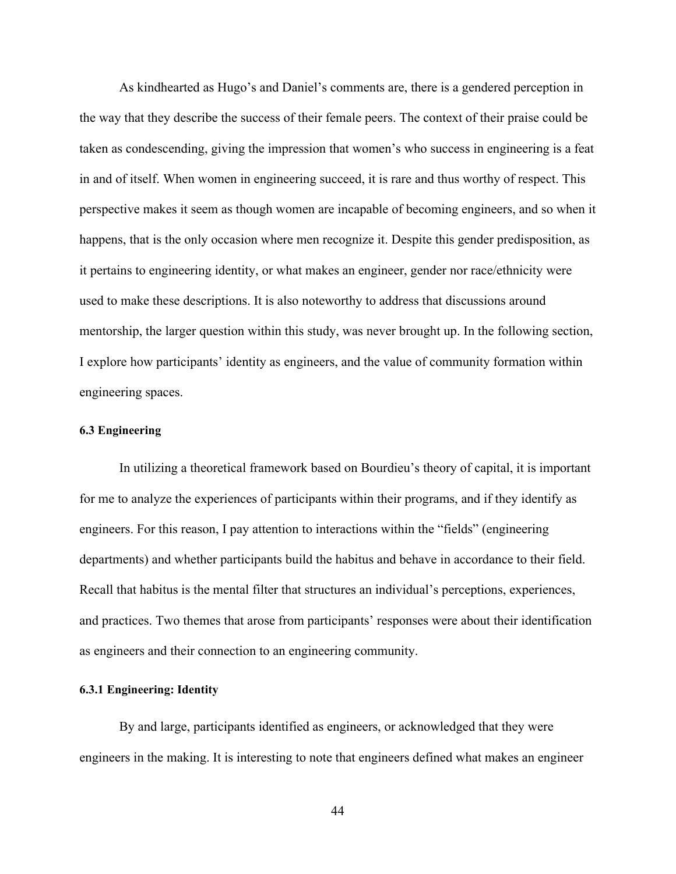As kindhearted as Hugo's and Daniel's comments are, there is a gendered perception in the way that they describe the success of their female peers. The context of their praise could be taken as condescending, giving the impression that women's who success in engineering is a feat in and of itself. When women in engineering succeed, it is rare and thus worthy of respect. This perspective makes it seem as though women are incapable of becoming engineers, and so when it happens, that is the only occasion where men recognize it. Despite this gender predisposition, as it pertains to engineering identity, or what makes an engineer, gender nor race/ethnicity were used to make these descriptions. It is also noteworthy to address that discussions around mentorship, the larger question within this study, was never brought up. In the following section, I explore how participants' identity as engineers, and the value of community formation within engineering spaces.

# **6.3 Engineering**

In utilizing a theoretical framework based on Bourdieu's theory of capital, it is important for me to analyze the experiences of participants within their programs, and if they identify as engineers. For this reason, I pay attention to interactions within the "fields" (engineering departments) and whether participants build the habitus and behave in accordance to their field. Recall that habitus is the mental filter that structures an individual's perceptions, experiences, and practices. Two themes that arose from participants' responses were about their identification as engineers and their connection to an engineering community.

# **6.3.1 Engineering: Identity**

By and large, participants identified as engineers, or acknowledged that they were engineers in the making. It is interesting to note that engineers defined what makes an engineer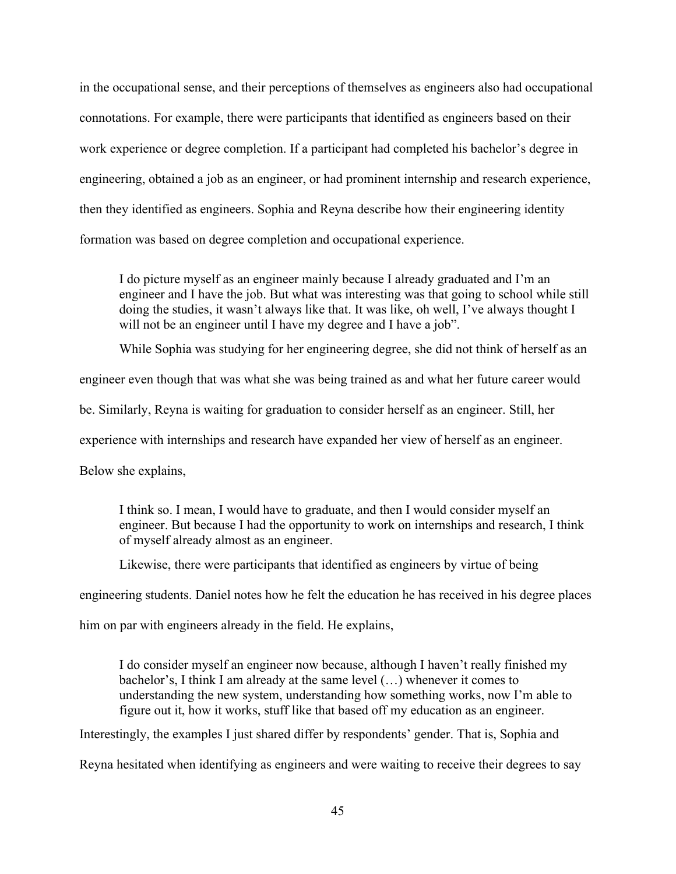in the occupational sense, and their perceptions of themselves as engineers also had occupational connotations. For example, there were participants that identified as engineers based on their work experience or degree completion. If a participant had completed his bachelor's degree in engineering, obtained a job as an engineer, or had prominent internship and research experience, then they identified as engineers. Sophia and Reyna describe how their engineering identity formation was based on degree completion and occupational experience.

I do picture myself as an engineer mainly because I already graduated and I'm an engineer and I have the job. But what was interesting was that going to school while still doing the studies, it wasn't always like that. It was like, oh well, I've always thought I will not be an engineer until I have my degree and I have a job".

While Sophia was studying for her engineering degree, she did not think of herself as an

engineer even though that was what she was being trained as and what her future career would

be. Similarly, Reyna is waiting for graduation to consider herself as an engineer. Still, her

experience with internships and research have expanded her view of herself as an engineer.

Below she explains,

I think so. I mean, I would have to graduate, and then I would consider myself an engineer. But because I had the opportunity to work on internships and research, I think of myself already almost as an engineer.

Likewise, there were participants that identified as engineers by virtue of being

engineering students. Daniel notes how he felt the education he has received in his degree places

him on par with engineers already in the field. He explains,

I do consider myself an engineer now because, although I haven't really finished my bachelor's, I think I am already at the same level (…) whenever it comes to understanding the new system, understanding how something works, now I'm able to figure out it, how it works, stuff like that based off my education as an engineer.

Interestingly, the examples I just shared differ by respondents' gender. That is, Sophia and

Reyna hesitated when identifying as engineers and were waiting to receive their degrees to say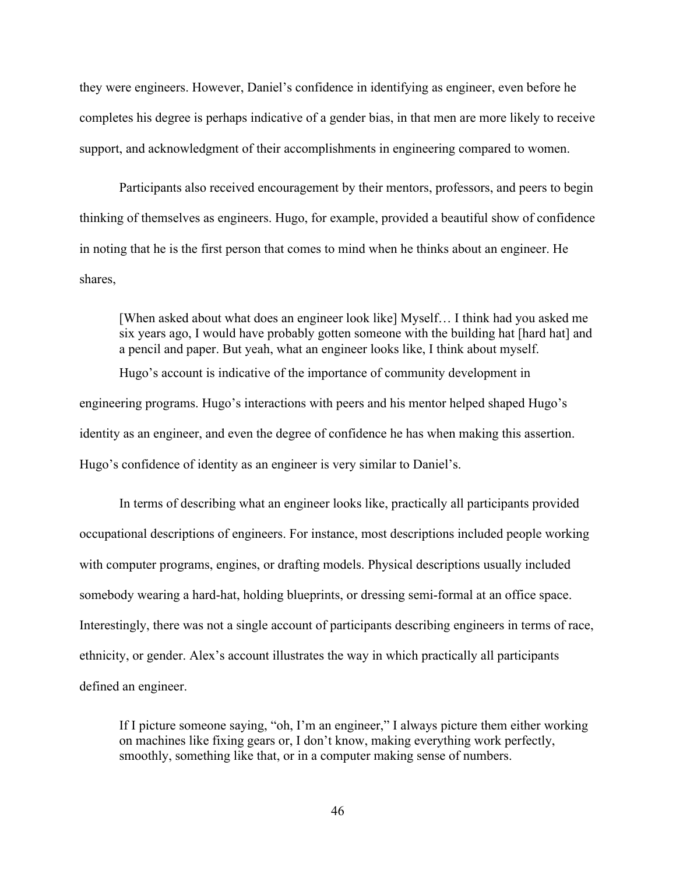they were engineers. However, Daniel's confidence in identifying as engineer, even before he completes his degree is perhaps indicative of a gender bias, in that men are more likely to receive support, and acknowledgment of their accomplishments in engineering compared to women.

Participants also received encouragement by their mentors, professors, and peers to begin thinking of themselves as engineers. Hugo, for example, provided a beautiful show of confidence in noting that he is the first person that comes to mind when he thinks about an engineer. He shares,

[When asked about what does an engineer look like] Myself… I think had you asked me six years ago, I would have probably gotten someone with the building hat [hard hat] and a pencil and paper. But yeah, what an engineer looks like, I think about myself.

Hugo's account is indicative of the importance of community development in engineering programs. Hugo's interactions with peers and his mentor helped shaped Hugo's identity as an engineer, and even the degree of confidence he has when making this assertion. Hugo's confidence of identity as an engineer is very similar to Daniel's.

In terms of describing what an engineer looks like, practically all participants provided occupational descriptions of engineers. For instance, most descriptions included people working with computer programs, engines, or drafting models. Physical descriptions usually included somebody wearing a hard-hat, holding blueprints, or dressing semi-formal at an office space. Interestingly, there was not a single account of participants describing engineers in terms of race, ethnicity, or gender. Alex's account illustrates the way in which practically all participants defined an engineer.

If I picture someone saying, "oh, I'm an engineer," I always picture them either working on machines like fixing gears or, I don't know, making everything work perfectly, smoothly, something like that, or in a computer making sense of numbers.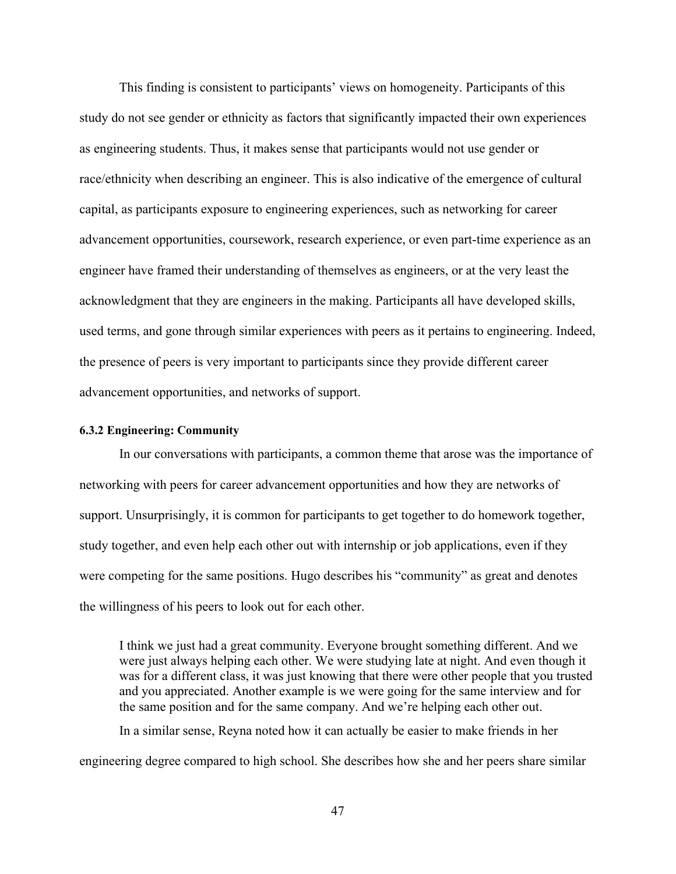This finding is consistent to participants' views on homogeneity. Participants of this study do not see gender or ethnicity as factors that significantly impacted their own experiences as engineering students. Thus, it makes sense that participants would not use gender or race/ethnicity when describing an engineer. This is also indicative of the emergence of cultural capital, as participants exposure to engineering experiences, such as networking for career advancement opportunities, coursework, research experience, or even part-time experience as an engineer have framed their understanding of themselves as engineers, or at the very least the acknowledgment that they are engineers in the making. Participants all have developed skills, used terms, and gone through similar experiences with peers as it pertains to engineering. Indeed, the presence of peers is very important to participants since they provide different career advancement opportunities, and networks of support.

# **6.3.2 Engineering: Community**

In our conversations with participants, a common theme that arose was the importance of networking with peers for career advancement opportunities and how they are networks of support. Unsurprisingly, it is common for participants to get together to do homework together, study together, and even help each other out with internship or job applications, even if they were competing for the same positions. Hugo describes his "community" as great and denotes the willingness of his peers to look out for each other.

I think we just had a great community. Everyone brought something different. And we were just always helping each other. We were studying late at night. And even though it was for a different class, it was just knowing that there were other people that you trusted and you appreciated. Another example is we were going for the same interview and for the same position and for the same company. And we're helping each other out.

In a similar sense, Reyna noted how it can actually be easier to make friends in her engineering degree compared to high school. She describes how she and her peers share similar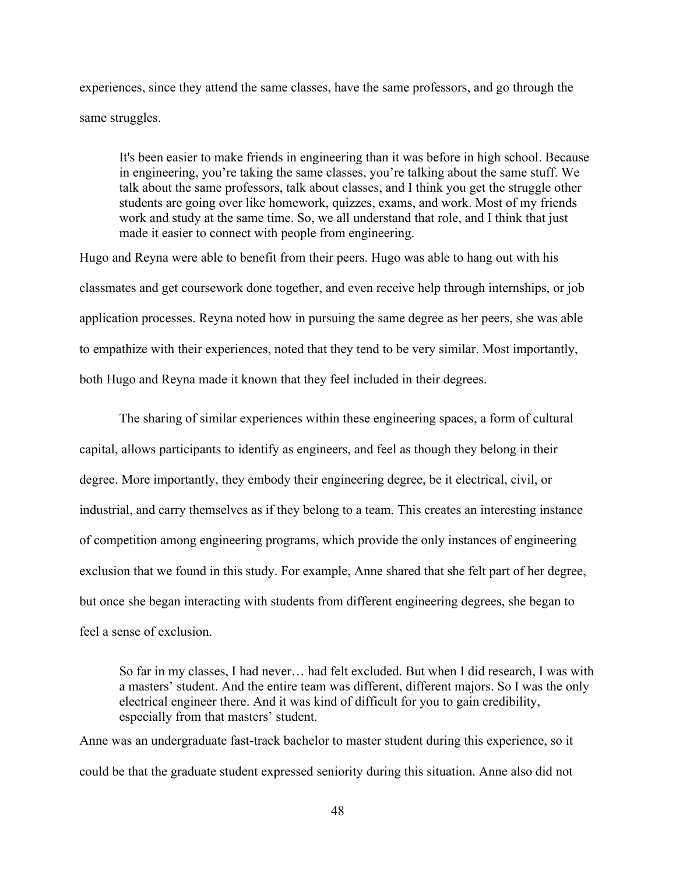experiences, since they attend the same classes, have the same professors, and go through the same struggles.

It's been easier to make friends in engineering than it was before in high school. Because in engineering, you're taking the same classes, you're talking about the same stuff. We talk about the same professors, talk about classes, and I think you get the struggle other students are going over like homework, quizzes, exams, and work. Most of my friends work and study at the same time. So, we all understand that role, and I think that just made it easier to connect with people from engineering.

Hugo and Reyna were able to benefit from their peers. Hugo was able to hang out with his classmates and get coursework done together, and even receive help through internships, or job application processes. Reyna noted how in pursuing the same degree as her peers, she was able to empathize with their experiences, noted that they tend to be very similar. Most importantly, both Hugo and Reyna made it known that they feel included in their degrees.

The sharing of similar experiences within these engineering spaces, a form of cultural capital, allows participants to identify as engineers, and feel as though they belong in their degree. More importantly, they embody their engineering degree, be it electrical, civil, or industrial, and carry themselves as if they belong to a team. This creates an interesting instance of competition among engineering programs, which provide the only instances of engineering exclusion that we found in this study. For example, Anne shared that she felt part of her degree, but once she began interacting with students from different engineering degrees, she began to feel a sense of exclusion.

So far in my classes, I had never… had felt excluded. But when I did research, I was with a masters' student. And the entire team was different, different majors. So I was the only electrical engineer there. And it was kind of difficult for you to gain credibility, especially from that masters' student.

Anne was an undergraduate fast-track bachelor to master student during this experience, so it could be that the graduate student expressed seniority during this situation. Anne also did not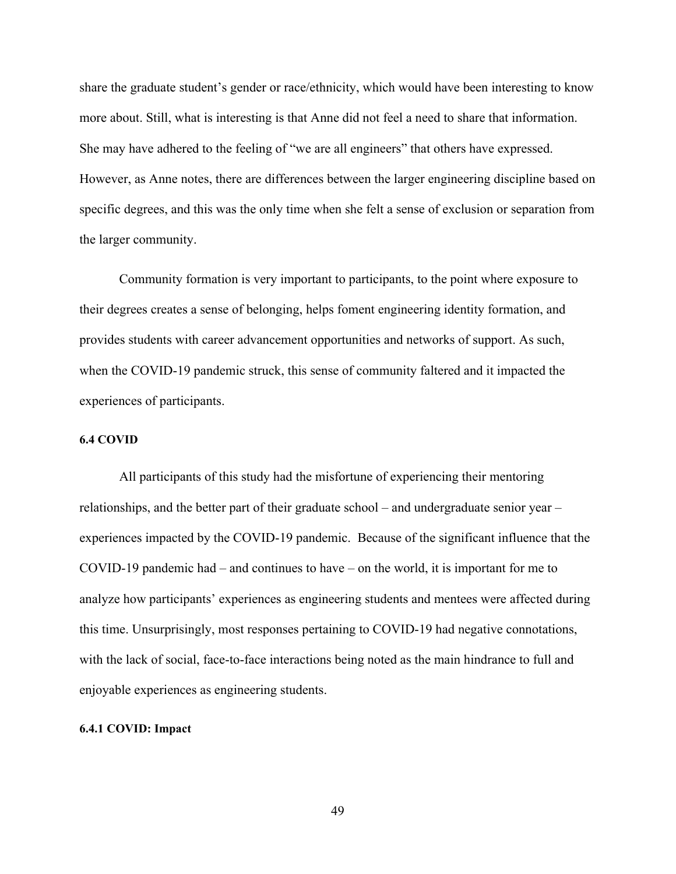share the graduate student's gender or race/ethnicity, which would have been interesting to know more about. Still, what is interesting is that Anne did not feel a need to share that information. She may have adhered to the feeling of "we are all engineers" that others have expressed. However, as Anne notes, there are differences between the larger engineering discipline based on specific degrees, and this was the only time when she felt a sense of exclusion or separation from the larger community.

Community formation is very important to participants, to the point where exposure to their degrees creates a sense of belonging, helps foment engineering identity formation, and provides students with career advancement opportunities and networks of support. As such, when the COVID-19 pandemic struck, this sense of community faltered and it impacted the experiences of participants.

# **6.4 COVID**

All participants of this study had the misfortune of experiencing their mentoring relationships, and the better part of their graduate school – and undergraduate senior year – experiences impacted by the COVID-19 pandemic. Because of the significant influence that the COVID-19 pandemic had – and continues to have – on the world, it is important for me to analyze how participants' experiences as engineering students and mentees were affected during this time. Unsurprisingly, most responses pertaining to COVID-19 had negative connotations, with the lack of social, face-to-face interactions being noted as the main hindrance to full and enjoyable experiences as engineering students.

#### **6.4.1 COVID: Impact**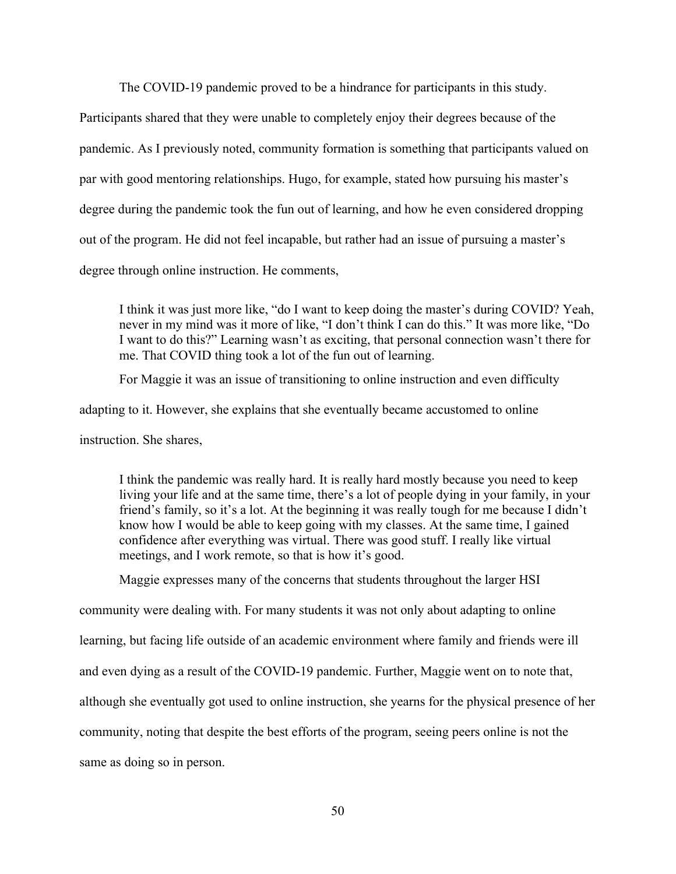The COVID-19 pandemic proved to be a hindrance for participants in this study.

Participants shared that they were unable to completely enjoy their degrees because of the pandemic. As I previously noted, community formation is something that participants valued on par with good mentoring relationships. Hugo, for example, stated how pursuing his master's degree during the pandemic took the fun out of learning, and how he even considered dropping out of the program. He did not feel incapable, but rather had an issue of pursuing a master's degree through online instruction. He comments,

I think it was just more like, "do I want to keep doing the master's during COVID? Yeah, never in my mind was it more of like, "I don't think I can do this." It was more like, "Do I want to do this?" Learning wasn't as exciting, that personal connection wasn't there for me. That COVID thing took a lot of the fun out of learning.

For Maggie it was an issue of transitioning to online instruction and even difficulty

adapting to it. However, she explains that she eventually became accustomed to online

instruction. She shares,

I think the pandemic was really hard. It is really hard mostly because you need to keep living your life and at the same time, there's a lot of people dying in your family, in your friend's family, so it's a lot. At the beginning it was really tough for me because I didn't know how I would be able to keep going with my classes. At the same time, I gained confidence after everything was virtual. There was good stuff. I really like virtual meetings, and I work remote, so that is how it's good.

Maggie expresses many of the concerns that students throughout the larger HSI

community were dealing with. For many students it was not only about adapting to online learning, but facing life outside of an academic environment where family and friends were ill and even dying as a result of the COVID-19 pandemic. Further, Maggie went on to note that, although she eventually got used to online instruction, she yearns for the physical presence of her community, noting that despite the best efforts of the program, seeing peers online is not the same as doing so in person.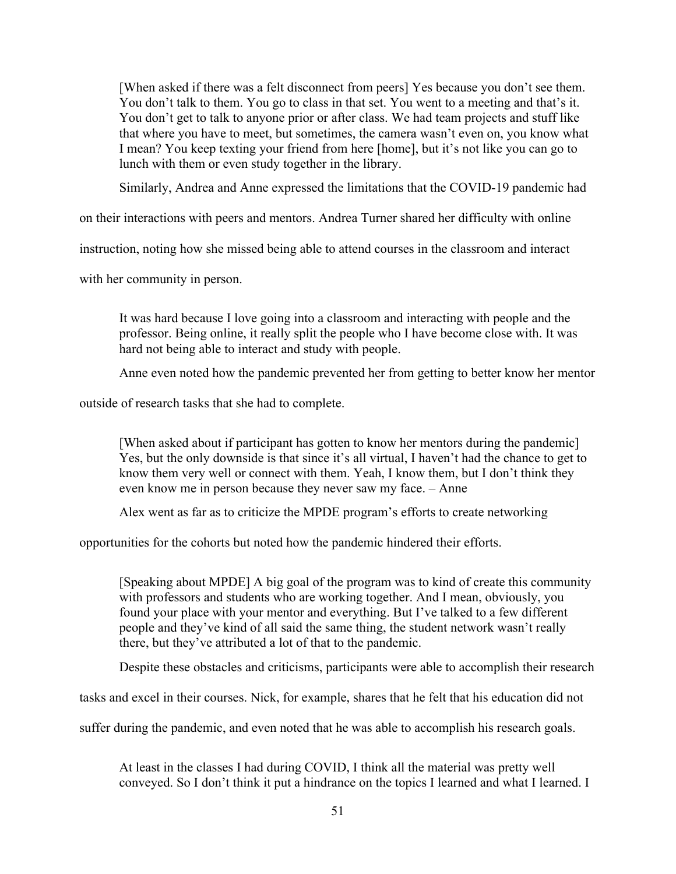[When asked if there was a felt disconnect from peers] Yes because you don't see them. You don't talk to them. You go to class in that set. You went to a meeting and that's it. You don't get to talk to anyone prior or after class. We had team projects and stuff like that where you have to meet, but sometimes, the camera wasn't even on, you know what I mean? You keep texting your friend from here [home], but it's not like you can go to lunch with them or even study together in the library.

Similarly, Andrea and Anne expressed the limitations that the COVID-19 pandemic had

on their interactions with peers and mentors. Andrea Turner shared her difficulty with online

instruction, noting how she missed being able to attend courses in the classroom and interact

with her community in person.

It was hard because I love going into a classroom and interacting with people and the professor. Being online, it really split the people who I have become close with. It was hard not being able to interact and study with people.

Anne even noted how the pandemic prevented her from getting to better know her mentor

outside of research tasks that she had to complete.

[When asked about if participant has gotten to know her mentors during the pandemic] Yes, but the only downside is that since it's all virtual, I haven't had the chance to get to know them very well or connect with them. Yeah, I know them, but I don't think they even know me in person because they never saw my face. – Anne

Alex went as far as to criticize the MPDE program's efforts to create networking

opportunities for the cohorts but noted how the pandemic hindered their efforts.

[Speaking about MPDE] A big goal of the program was to kind of create this community with professors and students who are working together. And I mean, obviously, you found your place with your mentor and everything. But I've talked to a few different people and they've kind of all said the same thing, the student network wasn't really there, but they've attributed a lot of that to the pandemic.

Despite these obstacles and criticisms, participants were able to accomplish their research

tasks and excel in their courses. Nick, for example, shares that he felt that his education did not

suffer during the pandemic, and even noted that he was able to accomplish his research goals.

At least in the classes I had during COVID, I think all the material was pretty well conveyed. So I don't think it put a hindrance on the topics I learned and what I learned. I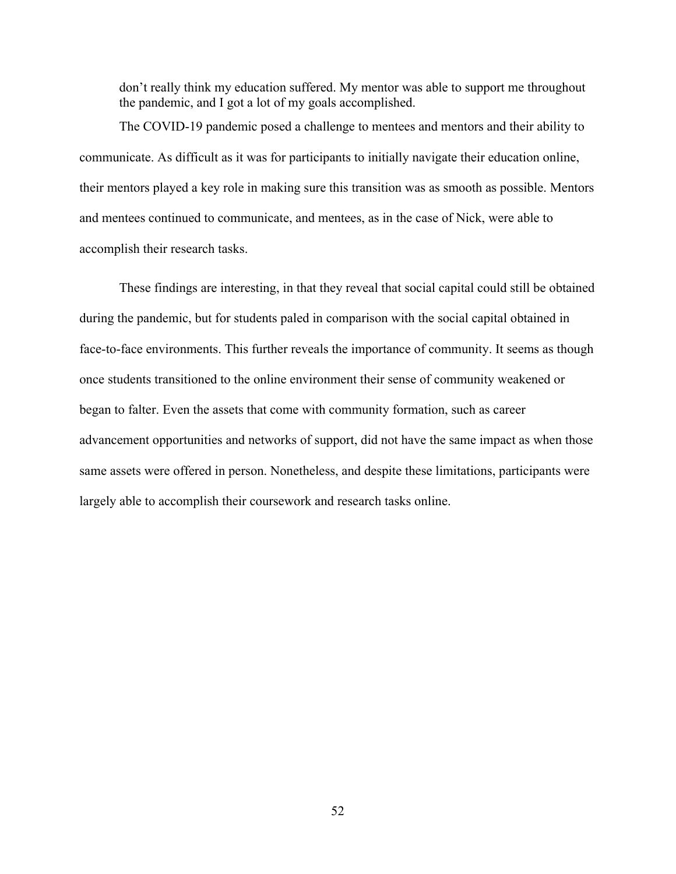don't really think my education suffered. My mentor was able to support me throughout the pandemic, and I got a lot of my goals accomplished.

The COVID-19 pandemic posed a challenge to mentees and mentors and their ability to communicate. As difficult as it was for participants to initially navigate their education online, their mentors played a key role in making sure this transition was as smooth as possible. Mentors and mentees continued to communicate, and mentees, as in the case of Nick, were able to accomplish their research tasks.

These findings are interesting, in that they reveal that social capital could still be obtained during the pandemic, but for students paled in comparison with the social capital obtained in face-to-face environments. This further reveals the importance of community. It seems as though once students transitioned to the online environment their sense of community weakened or began to falter. Even the assets that come with community formation, such as career advancement opportunities and networks of support, did not have the same impact as when those same assets were offered in person. Nonetheless, and despite these limitations, participants were largely able to accomplish their coursework and research tasks online.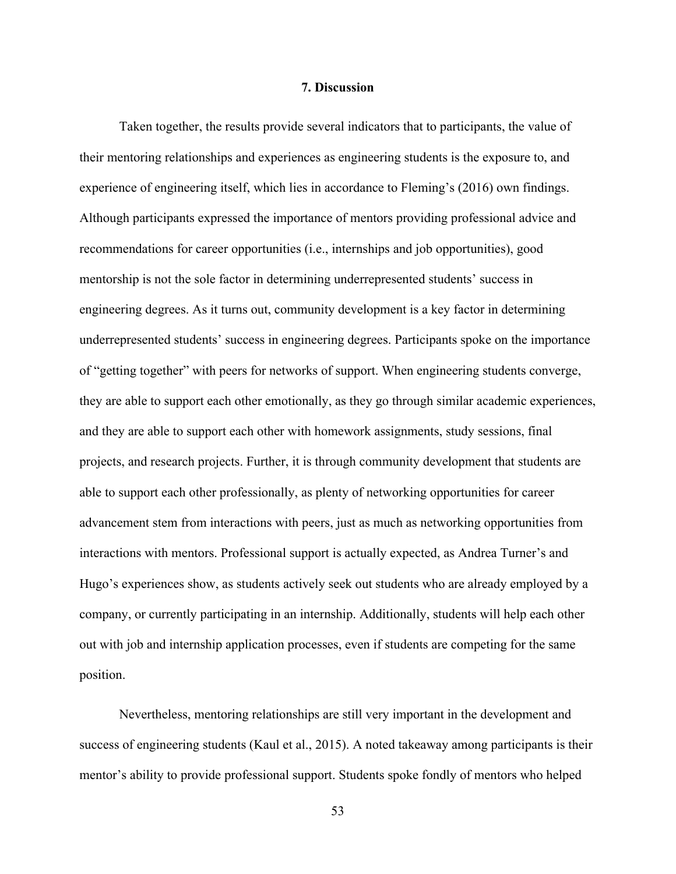# **7. Discussion**

Taken together, the results provide several indicators that to participants, the value of their mentoring relationships and experiences as engineering students is the exposure to, and experience of engineering itself, which lies in accordance to Fleming's (2016) own findings. Although participants expressed the importance of mentors providing professional advice and recommendations for career opportunities (i.e., internships and job opportunities), good mentorship is not the sole factor in determining underrepresented students' success in engineering degrees. As it turns out, community development is a key factor in determining underrepresented students' success in engineering degrees. Participants spoke on the importance of "getting together" with peers for networks of support. When engineering students converge, they are able to support each other emotionally, as they go through similar academic experiences, and they are able to support each other with homework assignments, study sessions, final projects, and research projects. Further, it is through community development that students are able to support each other professionally, as plenty of networking opportunities for career advancement stem from interactions with peers, just as much as networking opportunities from interactions with mentors. Professional support is actually expected, as Andrea Turner's and Hugo's experiences show, as students actively seek out students who are already employed by a company, or currently participating in an internship. Additionally, students will help each other out with job and internship application processes, even if students are competing for the same position.

Nevertheless, mentoring relationships are still very important in the development and success of engineering students (Kaul et al., 2015). A noted takeaway among participants is their mentor's ability to provide professional support. Students spoke fondly of mentors who helped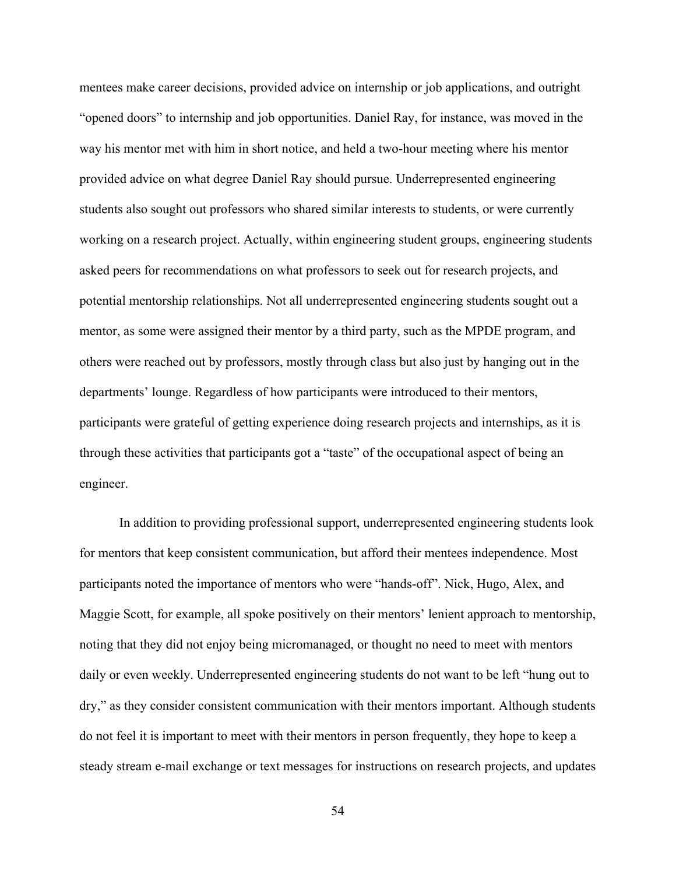mentees make career decisions, provided advice on internship or job applications, and outright "opened doors" to internship and job opportunities. Daniel Ray, for instance, was moved in the way his mentor met with him in short notice, and held a two-hour meeting where his mentor provided advice on what degree Daniel Ray should pursue. Underrepresented engineering students also sought out professors who shared similar interests to students, or were currently working on a research project. Actually, within engineering student groups, engineering students asked peers for recommendations on what professors to seek out for research projects, and potential mentorship relationships. Not all underrepresented engineering students sought out a mentor, as some were assigned their mentor by a third party, such as the MPDE program, and others were reached out by professors, mostly through class but also just by hanging out in the departments' lounge. Regardless of how participants were introduced to their mentors, participants were grateful of getting experience doing research projects and internships, as it is through these activities that participants got a "taste" of the occupational aspect of being an engineer.

In addition to providing professional support, underrepresented engineering students look for mentors that keep consistent communication, but afford their mentees independence. Most participants noted the importance of mentors who were "hands-off". Nick, Hugo, Alex, and Maggie Scott, for example, all spoke positively on their mentors' lenient approach to mentorship, noting that they did not enjoy being micromanaged, or thought no need to meet with mentors daily or even weekly. Underrepresented engineering students do not want to be left "hung out to dry," as they consider consistent communication with their mentors important. Although students do not feel it is important to meet with their mentors in person frequently, they hope to keep a steady stream e-mail exchange or text messages for instructions on research projects, and updates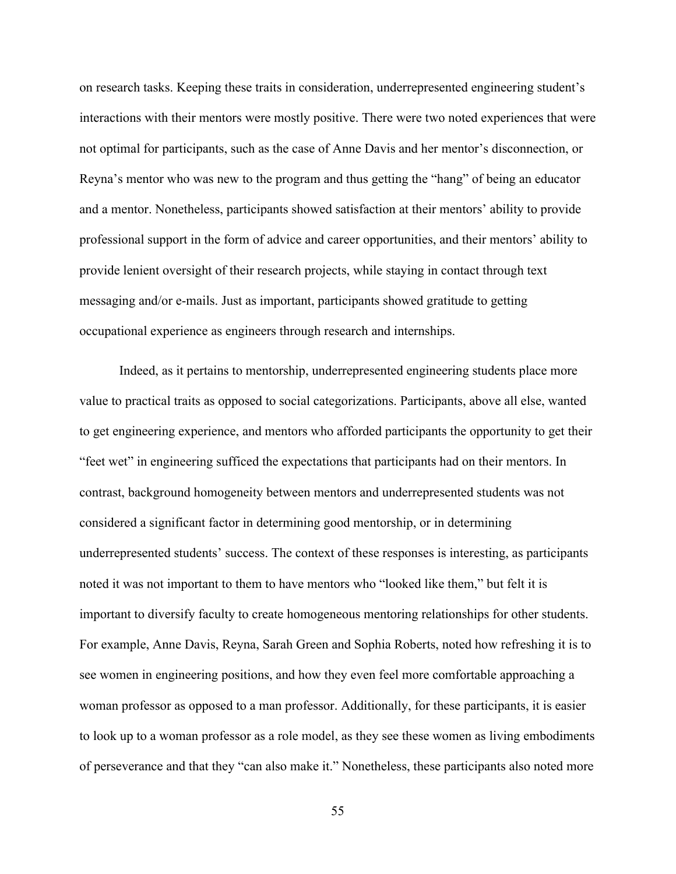on research tasks. Keeping these traits in consideration, underrepresented engineering student's interactions with their mentors were mostly positive. There were two noted experiences that were not optimal for participants, such as the case of Anne Davis and her mentor's disconnection, or Reyna's mentor who was new to the program and thus getting the "hang" of being an educator and a mentor. Nonetheless, participants showed satisfaction at their mentors' ability to provide professional support in the form of advice and career opportunities, and their mentors' ability to provide lenient oversight of their research projects, while staying in contact through text messaging and/or e-mails. Just as important, participants showed gratitude to getting occupational experience as engineers through research and internships.

Indeed, as it pertains to mentorship, underrepresented engineering students place more value to practical traits as opposed to social categorizations. Participants, above all else, wanted to get engineering experience, and mentors who afforded participants the opportunity to get their "feet wet" in engineering sufficed the expectations that participants had on their mentors. In contrast, background homogeneity between mentors and underrepresented students was not considered a significant factor in determining good mentorship, or in determining underrepresented students' success. The context of these responses is interesting, as participants noted it was not important to them to have mentors who "looked like them," but felt it is important to diversify faculty to create homogeneous mentoring relationships for other students. For example, Anne Davis, Reyna, Sarah Green and Sophia Roberts, noted how refreshing it is to see women in engineering positions, and how they even feel more comfortable approaching a woman professor as opposed to a man professor. Additionally, for these participants, it is easier to look up to a woman professor as a role model, as they see these women as living embodiments of perseverance and that they "can also make it." Nonetheless, these participants also noted more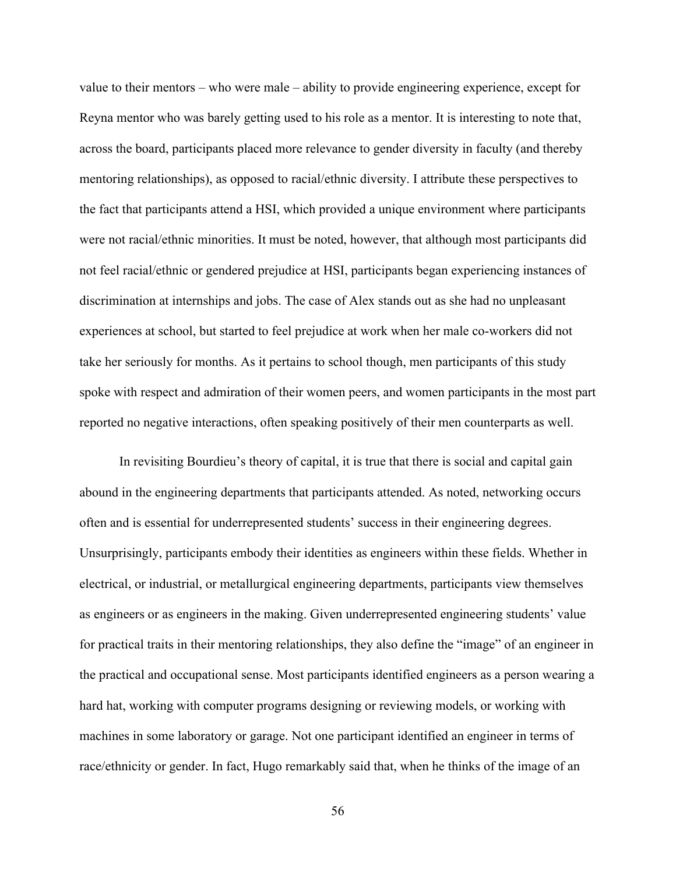value to their mentors – who were male – ability to provide engineering experience, except for Reyna mentor who was barely getting used to his role as a mentor. It is interesting to note that, across the board, participants placed more relevance to gender diversity in faculty (and thereby mentoring relationships), as opposed to racial/ethnic diversity. I attribute these perspectives to the fact that participants attend a HSI, which provided a unique environment where participants were not racial/ethnic minorities. It must be noted, however, that although most participants did not feel racial/ethnic or gendered prejudice at HSI, participants began experiencing instances of discrimination at internships and jobs. The case of Alex stands out as she had no unpleasant experiences at school, but started to feel prejudice at work when her male co-workers did not take her seriously for months. As it pertains to school though, men participants of this study spoke with respect and admiration of their women peers, and women participants in the most part reported no negative interactions, often speaking positively of their men counterparts as well.

In revisiting Bourdieu's theory of capital, it is true that there is social and capital gain abound in the engineering departments that participants attended. As noted, networking occurs often and is essential for underrepresented students' success in their engineering degrees. Unsurprisingly, participants embody their identities as engineers within these fields. Whether in electrical, or industrial, or metallurgical engineering departments, participants view themselves as engineers or as engineers in the making. Given underrepresented engineering students' value for practical traits in their mentoring relationships, they also define the "image" of an engineer in the practical and occupational sense. Most participants identified engineers as a person wearing a hard hat, working with computer programs designing or reviewing models, or working with machines in some laboratory or garage. Not one participant identified an engineer in terms of race/ethnicity or gender. In fact, Hugo remarkably said that, when he thinks of the image of an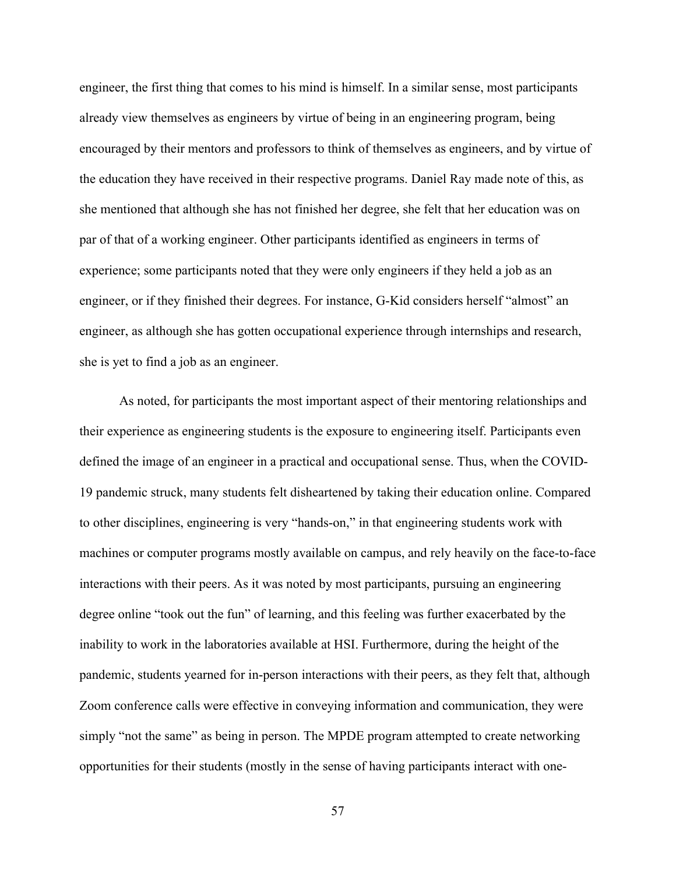engineer, the first thing that comes to his mind is himself. In a similar sense, most participants already view themselves as engineers by virtue of being in an engineering program, being encouraged by their mentors and professors to think of themselves as engineers, and by virtue of the education they have received in their respective programs. Daniel Ray made note of this, as she mentioned that although she has not finished her degree, she felt that her education was on par of that of a working engineer. Other participants identified as engineers in terms of experience; some participants noted that they were only engineers if they held a job as an engineer, or if they finished their degrees. For instance, G-Kid considers herself "almost" an engineer, as although she has gotten occupational experience through internships and research, she is yet to find a job as an engineer.

As noted, for participants the most important aspect of their mentoring relationships and their experience as engineering students is the exposure to engineering itself. Participants even defined the image of an engineer in a practical and occupational sense. Thus, when the COVID-19 pandemic struck, many students felt disheartened by taking their education online. Compared to other disciplines, engineering is very "hands-on," in that engineering students work with machines or computer programs mostly available on campus, and rely heavily on the face-to-face interactions with their peers. As it was noted by most participants, pursuing an engineering degree online "took out the fun" of learning, and this feeling was further exacerbated by the inability to work in the laboratories available at HSI. Furthermore, during the height of the pandemic, students yearned for in-person interactions with their peers, as they felt that, although Zoom conference calls were effective in conveying information and communication, they were simply "not the same" as being in person. The MPDE program attempted to create networking opportunities for their students (mostly in the sense of having participants interact with one-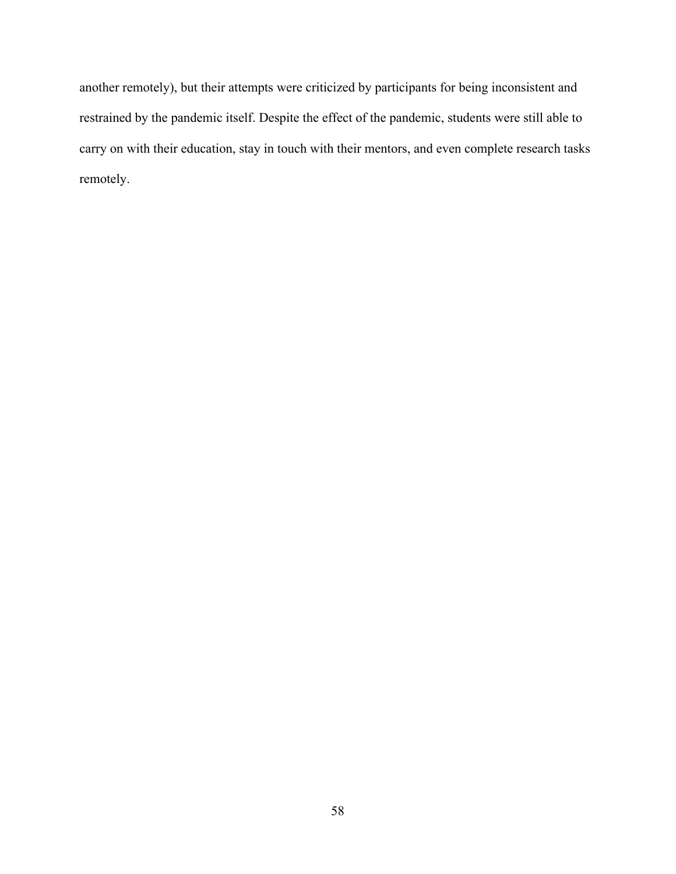another remotely), but their attempts were criticized by participants for being inconsistent and restrained by the pandemic itself. Despite the effect of the pandemic, students were still able to carry on with their education, stay in touch with their mentors, and even complete research tasks remotely.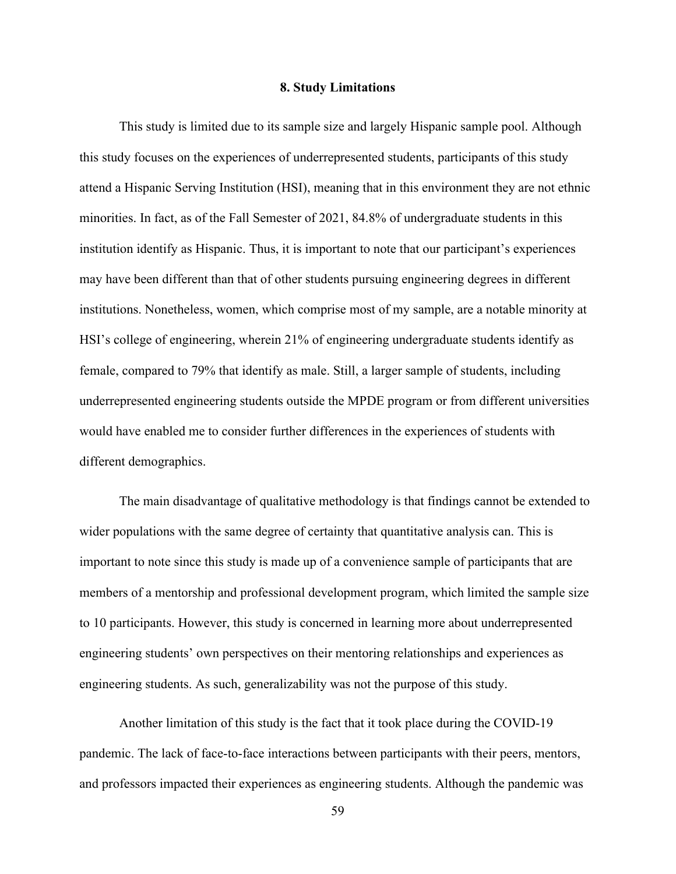#### **8. Study Limitations**

This study is limited due to its sample size and largely Hispanic sample pool. Although this study focuses on the experiences of underrepresented students, participants of this study attend a Hispanic Serving Institution (HSI), meaning that in this environment they are not ethnic minorities. In fact, as of the Fall Semester of 2021, 84.8% of undergraduate students in this institution identify as Hispanic. Thus, it is important to note that our participant's experiences may have been different than that of other students pursuing engineering degrees in different institutions. Nonetheless, women, which comprise most of my sample, are a notable minority at HSI's college of engineering, wherein 21% of engineering undergraduate students identify as female, compared to 79% that identify as male. Still, a larger sample of students, including underrepresented engineering students outside the MPDE program or from different universities would have enabled me to consider further differences in the experiences of students with different demographics.

The main disadvantage of qualitative methodology is that findings cannot be extended to wider populations with the same degree of certainty that quantitative analysis can. This is important to note since this study is made up of a convenience sample of participants that are members of a mentorship and professional development program, which limited the sample size to 10 participants. However, this study is concerned in learning more about underrepresented engineering students' own perspectives on their mentoring relationships and experiences as engineering students. As such, generalizability was not the purpose of this study.

Another limitation of this study is the fact that it took place during the COVID-19 pandemic. The lack of face-to-face interactions between participants with their peers, mentors, and professors impacted their experiences as engineering students. Although the pandemic was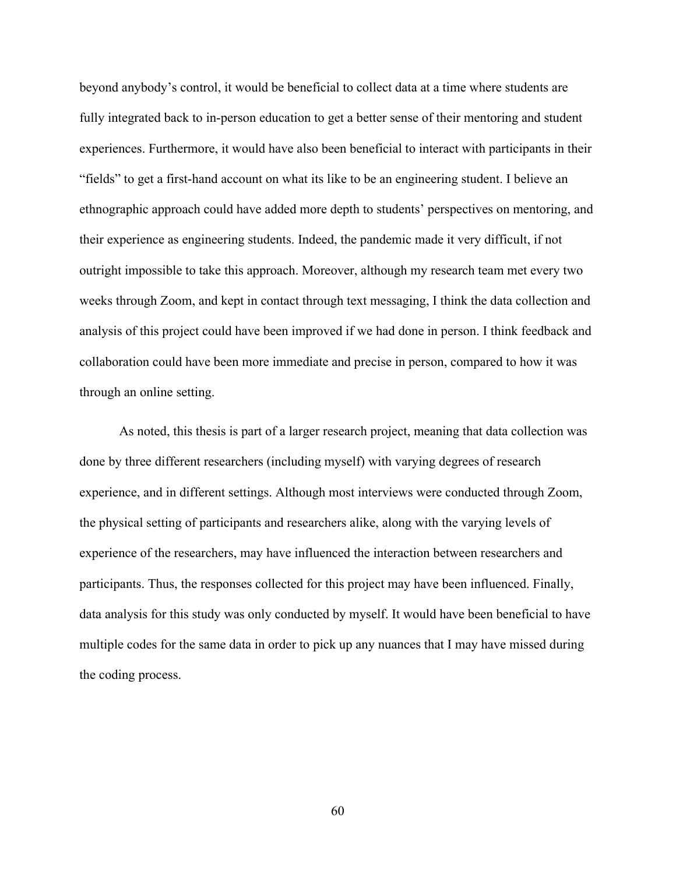beyond anybody's control, it would be beneficial to collect data at a time where students are fully integrated back to in-person education to get a better sense of their mentoring and student experiences. Furthermore, it would have also been beneficial to interact with participants in their "fields" to get a first-hand account on what its like to be an engineering student. I believe an ethnographic approach could have added more depth to students' perspectives on mentoring, and their experience as engineering students. Indeed, the pandemic made it very difficult, if not outright impossible to take this approach. Moreover, although my research team met every two weeks through Zoom, and kept in contact through text messaging, I think the data collection and analysis of this project could have been improved if we had done in person. I think feedback and collaboration could have been more immediate and precise in person, compared to how it was through an online setting.

As noted, this thesis is part of a larger research project, meaning that data collection was done by three different researchers (including myself) with varying degrees of research experience, and in different settings. Although most interviews were conducted through Zoom, the physical setting of participants and researchers alike, along with the varying levels of experience of the researchers, may have influenced the interaction between researchers and participants. Thus, the responses collected for this project may have been influenced. Finally, data analysis for this study was only conducted by myself. It would have been beneficial to have multiple codes for the same data in order to pick up any nuances that I may have missed during the coding process.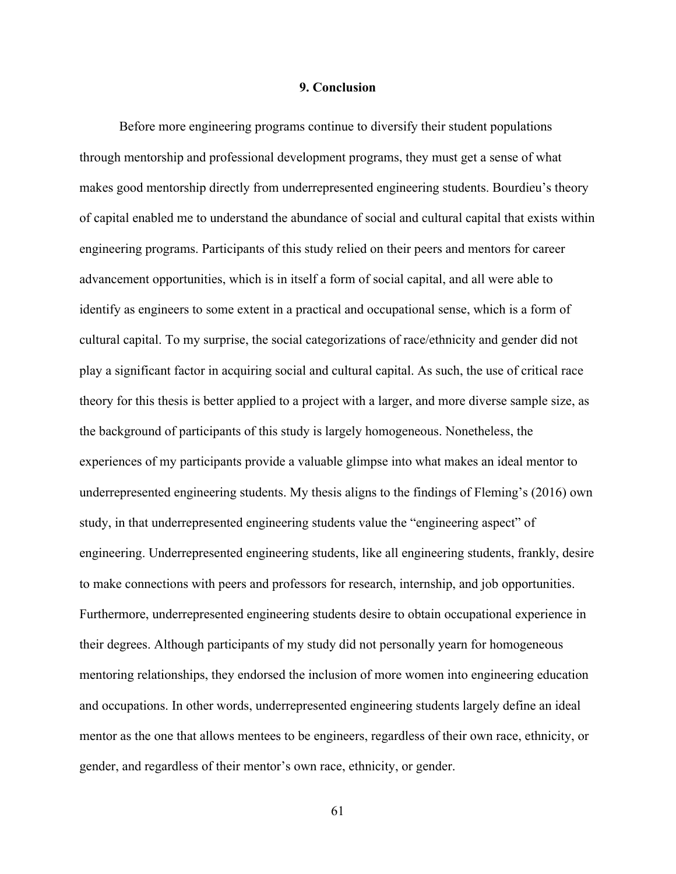# **9. Conclusion**

Before more engineering programs continue to diversify their student populations through mentorship and professional development programs, they must get a sense of what makes good mentorship directly from underrepresented engineering students. Bourdieu's theory of capital enabled me to understand the abundance of social and cultural capital that exists within engineering programs. Participants of this study relied on their peers and mentors for career advancement opportunities, which is in itself a form of social capital, and all were able to identify as engineers to some extent in a practical and occupational sense, which is a form of cultural capital. To my surprise, the social categorizations of race/ethnicity and gender did not play a significant factor in acquiring social and cultural capital. As such, the use of critical race theory for this thesis is better applied to a project with a larger, and more diverse sample size, as the background of participants of this study is largely homogeneous. Nonetheless, the experiences of my participants provide a valuable glimpse into what makes an ideal mentor to underrepresented engineering students. My thesis aligns to the findings of Fleming's (2016) own study, in that underrepresented engineering students value the "engineering aspect" of engineering. Underrepresented engineering students, like all engineering students, frankly, desire to make connections with peers and professors for research, internship, and job opportunities. Furthermore, underrepresented engineering students desire to obtain occupational experience in their degrees. Although participants of my study did not personally yearn for homogeneous mentoring relationships, they endorsed the inclusion of more women into engineering education and occupations. In other words, underrepresented engineering students largely define an ideal mentor as the one that allows mentees to be engineers, regardless of their own race, ethnicity, or gender, and regardless of their mentor's own race, ethnicity, or gender.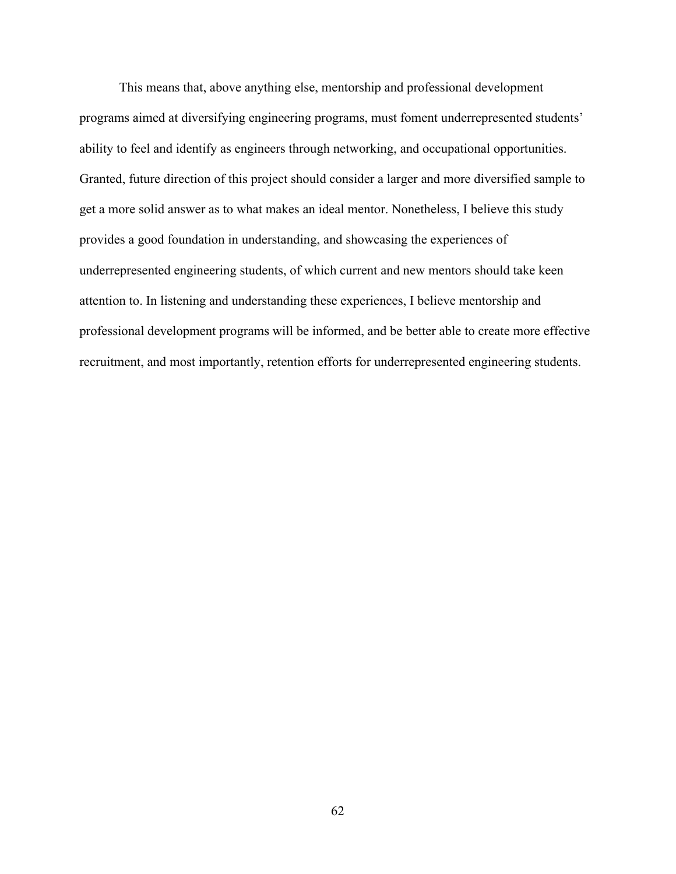This means that, above anything else, mentorship and professional development programs aimed at diversifying engineering programs, must foment underrepresented students' ability to feel and identify as engineers through networking, and occupational opportunities. Granted, future direction of this project should consider a larger and more diversified sample to get a more solid answer as to what makes an ideal mentor. Nonetheless, I believe this study provides a good foundation in understanding, and showcasing the experiences of underrepresented engineering students, of which current and new mentors should take keen attention to. In listening and understanding these experiences, I believe mentorship and professional development programs will be informed, and be better able to create more effective recruitment, and most importantly, retention efforts for underrepresented engineering students.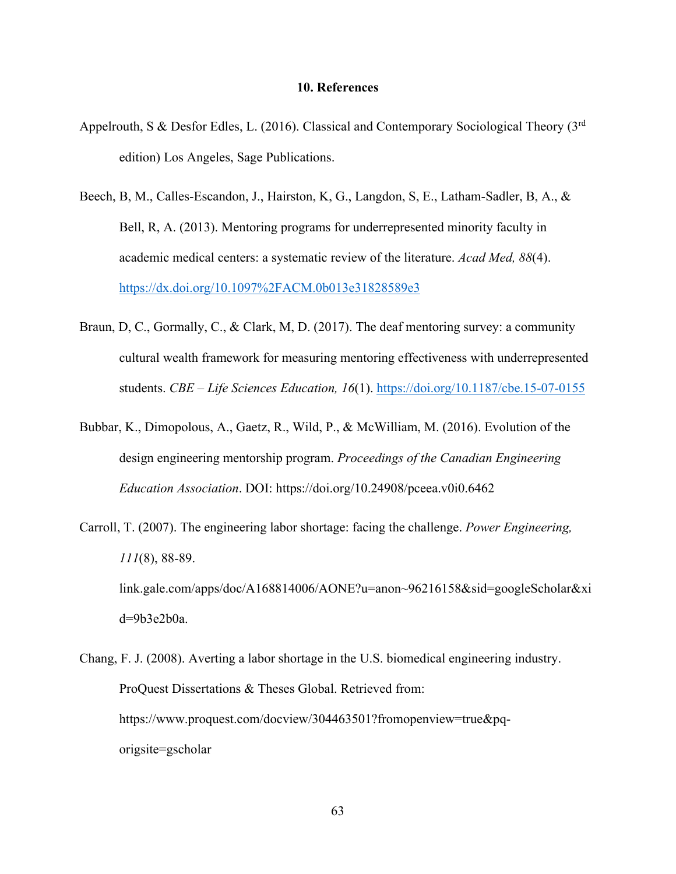## **10. References**

- Appelrouth, S & Desfor Edles, L. (2016). Classical and Contemporary Sociological Theory (3rd edition) Los Angeles, Sage Publications.
- Beech, B, M., Calles-Escandon, J., Hairston, K, G., Langdon, S, E., Latham-Sadler, B, A., & Bell, R, A. (2013). Mentoring programs for underrepresented minority faculty in academic medical centers: a systematic review of the literature. *Acad Med, 88*(4). <https://dx.doi.org/10.1097%2FACM.0b013e31828589e3>
- Braun, D, C., Gormally, C., & Clark, M, D. (2017). The deaf mentoring survey: a community cultural wealth framework for measuring mentoring effectiveness with underrepresented students. *CBE – Life Sciences Education, 16*(1).<https://doi.org/10.1187/cbe.15-07-0155>
- Bubbar, K., Dimopolous, A., Gaetz, R., Wild, P., & McWilliam, M. (2016). Evolution of the design engineering mentorship program. *Proceedings of the Canadian Engineering Education Association*. DOI: https://doi.org/10.24908/pceea.v0i0.6462
- Carroll, T. (2007). The engineering labor shortage: facing the challenge. *Power Engineering, 111*(8), 88-89. link.gale.com/apps/doc/A168814006/AONE?u=anon~96216158&sid=googleScholar&xi d=9b3e2b0a.
- Chang, F. J. (2008). Averting a labor shortage in the U.S. biomedical engineering industry. ProQuest Dissertations & Theses Global. Retrieved from: https://www.proquest.com/docview/304463501?fromopenview=true&pqorigsite=gscholar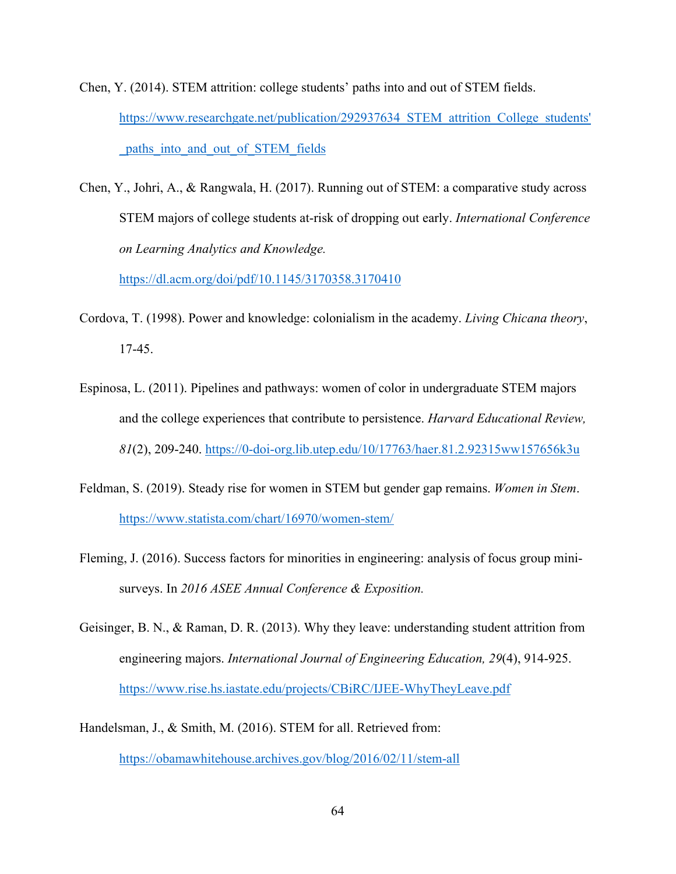- Chen, Y. (2014). STEM attrition: college students' paths into and out of STEM fields. https://www.researchgate.net/publication/292937634 STEM attrition College students' paths\_into\_and\_out\_of\_STEM\_fields
- Chen, Y., Johri, A., & Rangwala, H. (2017). Running out of STEM: a comparative study across STEM majors of college students at-risk of dropping out early. *International Conference on Learning Analytics and Knowledge.*

<https://dl.acm.org/doi/pdf/10.1145/3170358.3170410>

- Cordova, T. (1998). Power and knowledge: colonialism in the academy. *Living Chicana theory*, 17-45.
- Espinosa, L. (2011). Pipelines and pathways: women of color in undergraduate STEM majors and the college experiences that contribute to persistence. *Harvard Educational Review, 81*(2), 209-240.<https://0-doi-org.lib.utep.edu/10/17763/haer.81.2.92315ww157656k3u>
- Feldman, S. (2019). Steady rise for women in STEM but gender gap remains. *Women in Stem*. <https://www.statista.com/chart/16970/women-stem/>
- Fleming, J. (2016). Success factors for minorities in engineering: analysis of focus group minisurveys. In *2016 ASEE Annual Conference & Exposition.*
- Geisinger, B. N., & Raman, D. R. (2013). Why they leave: understanding student attrition from engineering majors. *International Journal of Engineering Education, 29*(4), 914-925. <https://www.rise.hs.iastate.edu/projects/CBiRC/IJEE-WhyTheyLeave.pdf>
- Handelsman, J., & Smith, M. (2016). STEM for all. Retrieved from: <https://obamawhitehouse.archives.gov/blog/2016/02/11/stem-all>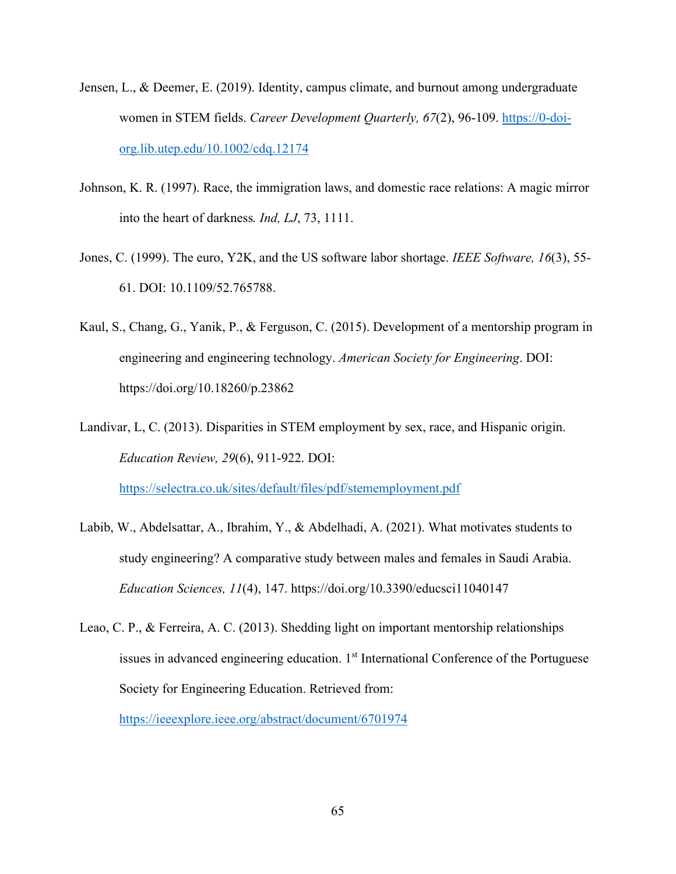- Jensen, L., & Deemer, E. (2019). Identity, campus climate, and burnout among undergraduate women in STEM fields. *Career Development Quarterly, 67*(2), 96-109. [https://0-doi](https://0-doi-org.lib.utep.edu/10.1002/cdq.12174)[org.lib.utep.edu/10.1002/cdq.12174](https://0-doi-org.lib.utep.edu/10.1002/cdq.12174)
- Johnson, K. R. (1997). Race, the immigration laws, and domestic race relations: A magic mirror into the heart of darkness*. Ind, LJ*, 73, 1111.
- Jones, C. (1999). The euro, Y2K, and the US software labor shortage. *IEEE Software, 16*(3), 55- 61. DOI: 10.1109/52.765788.
- Kaul, S., Chang, G., Yanik, P., & Ferguson, C. (2015). Development of a mentorship program in engineering and engineering technology. *American Society for Engineering*. DOI: https://doi.org/10.18260/p.23862

Landivar, L, C. (2013). Disparities in STEM employment by sex, race, and Hispanic origin. *Education Review, 29*(6), 911-922. DOI: <https://selectra.co.uk/sites/default/files/pdf/stememployment.pdf>

Labib, W., Abdelsattar, A., Ibrahim, Y., & Abdelhadi, A. (2021). What motivates students to study engineering? A comparative study between males and females in Saudi Arabia. *Education Sciences, 11*(4), 147. https://doi.org/10.3390/educsci11040147

Leao, C. P., & Ferreira, A. C. (2013). Shedding light on important mentorship relationships issues in advanced engineering education. 1<sup>st</sup> International Conference of the Portuguese Society for Engineering Education. Retrieved from:

<https://ieeexplore.ieee.org/abstract/document/6701974>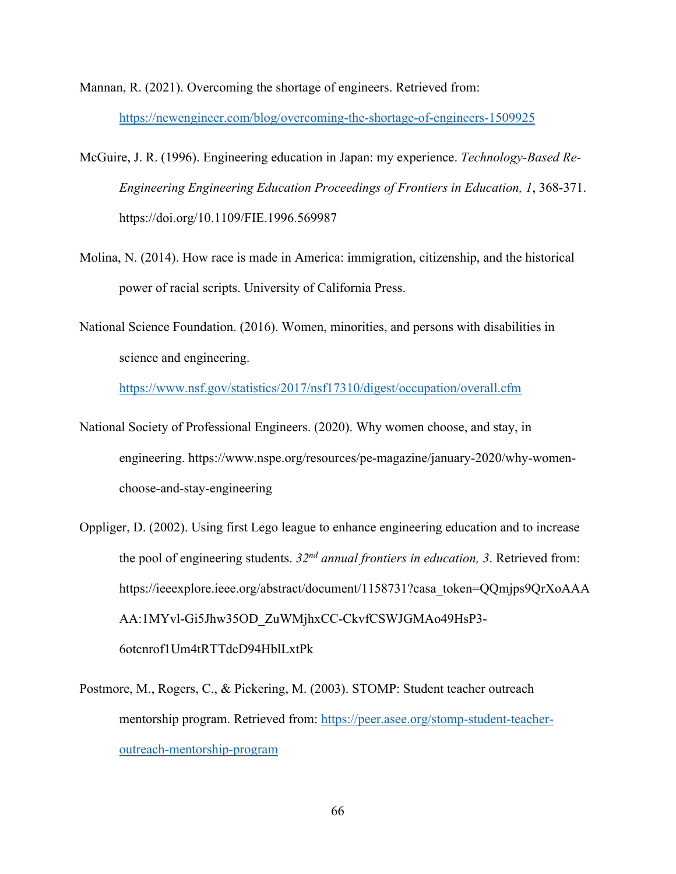Mannan, R. (2021). Overcoming the shortage of engineers. Retrieved from:

<https://newengineer.com/blog/overcoming-the-shortage-of-engineers-1509925>

- McGuire, J. R. (1996). Engineering education in Japan: my experience. *Technology-Based Re-Engineering Engineering Education Proceedings of Frontiers in Education, 1*, 368-371. https://doi.org/10.1109/FIE.1996.569987
- Molina, N. (2014). How race is made in America: immigration, citizenship, and the historical power of racial scripts. University of California Press.
- National Science Foundation. (2016). Women, minorities, and persons with disabilities in science and engineering.

<https://www.nsf.gov/statistics/2017/nsf17310/digest/occupation/overall.cfm>

- National Society of Professional Engineers. (2020). Why women choose, and stay, in engineering. https://www.nspe.org/resources/pe-magazine/january-2020/why-womenchoose-and-stay-engineering
- Oppliger, D. (2002). Using first Lego league to enhance engineering education and to increase the pool of engineering students. *32nd annual frontiers in education, 3*. Retrieved from: https://ieeexplore.ieee.org/abstract/document/1158731?casa\_token=QQmjps9QrXoAAA AA:1MYvl-Gi5Jhw35OD\_ZuWMjhxCC-CkvfCSWJGMAo49HsP3- 6otcnrof1Um4tRTTdcD94HblLxtPk
- Postmore, M., Rogers, C., & Pickering, M. (2003). STOMP: Student teacher outreach mentorship program. Retrieved from: [https://peer.asee.org/stomp-student-teacher](https://peer.asee.org/stomp-student-teacher-outreach-mentorship-program)[outreach-mentorship-program](https://peer.asee.org/stomp-student-teacher-outreach-mentorship-program)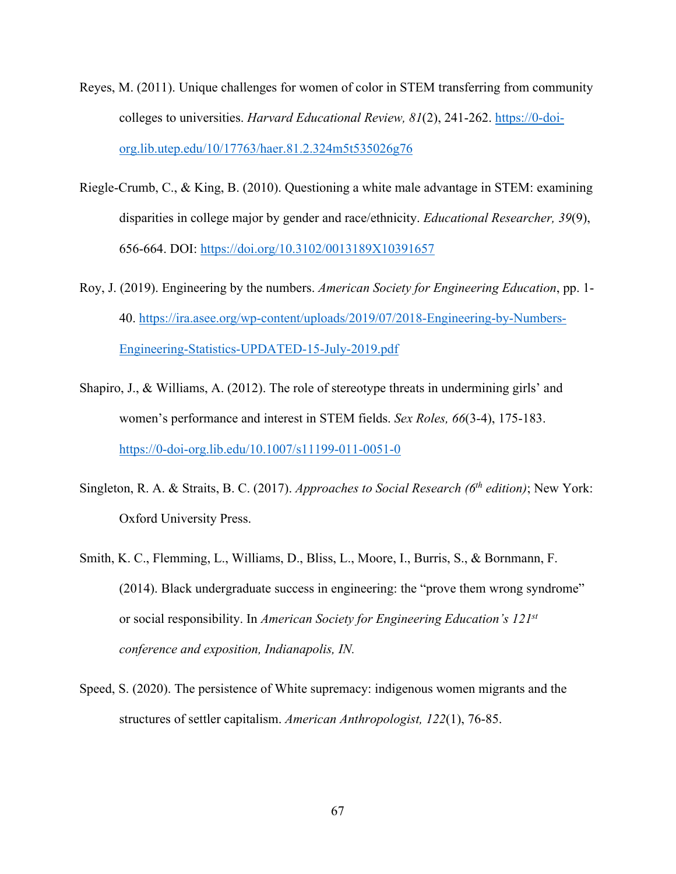- Reyes, M. (2011). Unique challenges for women of color in STEM transferring from community colleges to universities. *Harvard Educational Review, 81*(2), 241-262. [https://0-doi](https://0-doi-org.lib.utep.edu/10/17763/haer.81.2.324m5t535026g76)[org.lib.utep.edu/10/17763/haer.81.2.324m5t535026g76](https://0-doi-org.lib.utep.edu/10/17763/haer.81.2.324m5t535026g76)
- Riegle-Crumb, C., & King, B. (2010). Questioning a white male advantage in STEM: examining disparities in college major by gender and race/ethnicity. *Educational Researcher, 39*(9), 656-664. DOI:<https://doi.org/10.3102/0013189X10391657>
- Roy, J. (2019). Engineering by the numbers. *American Society for Engineering Education*, pp. 1- 40. [https://ira.asee.org/wp-content/uploads/2019/07/2018-Engineering-by-Numbers-](https://ira.asee.org/wp-content/uploads/2019/07/2018-Engineering-by-Numbers-Engineering-Statistics-UPDATED-15-July-2019.pdf)[Engineering-Statistics-UPDATED-15-July-2019.pdf](https://ira.asee.org/wp-content/uploads/2019/07/2018-Engineering-by-Numbers-Engineering-Statistics-UPDATED-15-July-2019.pdf)
- Shapiro, J., & Williams, A. (2012). The role of stereotype threats in undermining girls' and women's performance and interest in STEM fields. *Sex Roles, 66*(3-4), 175-183. <https://0-doi-org.lib.edu/10.1007/s11199-011-0051-0>
- Singleton, R. A. & Straits, B. C. (2017). *Approaches to Social Research (6th edition)*; New York: Oxford University Press.
- Smith, K. C., Flemming, L., Williams, D., Bliss, L., Moore, I., Burris, S., & Bornmann, F. (2014). Black undergraduate success in engineering: the "prove them wrong syndrome" or social responsibility. In *American Society for Engineering Education's 121st conference and exposition, Indianapolis, IN.*
- Speed, S. (2020). The persistence of White supremacy: indigenous women migrants and the structures of settler capitalism. *American Anthropologist, 122*(1), 76-85.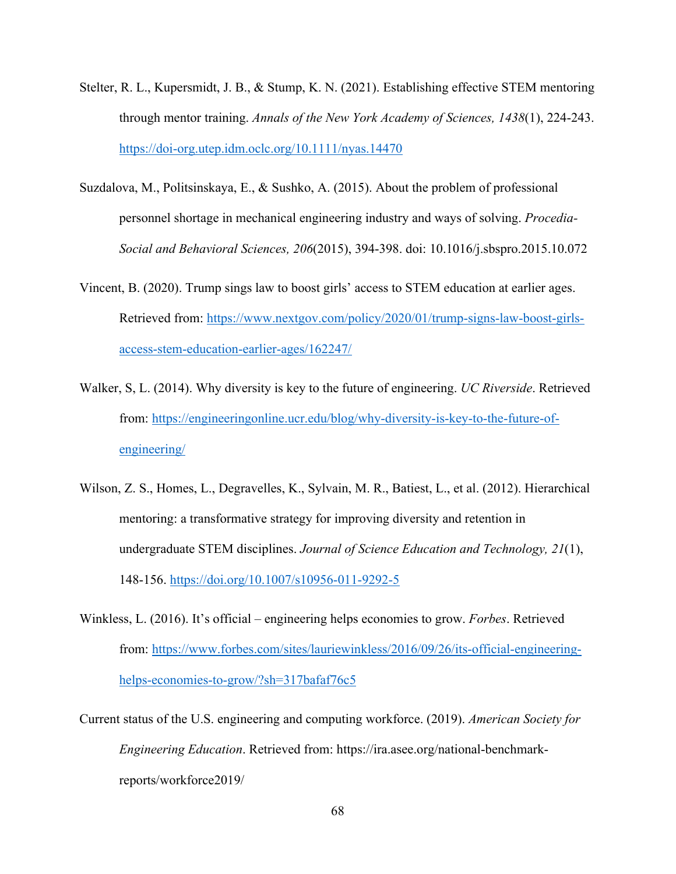- Stelter, R. L., Kupersmidt, J. B., & Stump, K. N. (2021). Establishing effective STEM mentoring through mentor training. *Annals of the New York Academy of Sciences, 1438*(1), 224-243. <https://doi-org.utep.idm.oclc.org/10.1111/nyas.14470>
- Suzdalova, M., Politsinskaya, E., & Sushko, A. (2015). About the problem of professional personnel shortage in mechanical engineering industry and ways of solving. *Procedia-Social and Behavioral Sciences, 206*(2015), 394-398. doi: 10.1016/j.sbspro.2015.10.072
- Vincent, B. (2020). Trump sings law to boost girls' access to STEM education at earlier ages. Retrieved from: [https://www.nextgov.com/policy/2020/01/trump-signs-law-boost-girls](https://www.nextgov.com/policy/2020/01/trump-signs-law-boost-girls-access-stem-education-earlier-ages/162247/)[access-stem-education-earlier-ages/162247/](https://www.nextgov.com/policy/2020/01/trump-signs-law-boost-girls-access-stem-education-earlier-ages/162247/)
- Walker, S, L. (2014). Why diversity is key to the future of engineering. *UC Riverside*. Retrieved from: [https://engineeringonline.ucr.edu/blog/why-diversity-is-key-to-the-future-of](https://engineeringonline.ucr.edu/blog/why-diversity-is-key-to-the-future-of-engineering/)[engineering/](https://engineeringonline.ucr.edu/blog/why-diversity-is-key-to-the-future-of-engineering/)
- Wilson, Z. S., Homes, L., Degravelles, K., Sylvain, M. R., Batiest, L., et al. (2012). Hierarchical mentoring: a transformative strategy for improving diversity and retention in undergraduate STEM disciplines. *Journal of Science Education and Technology, 21*(1), 148-156.<https://doi.org/10.1007/s10956-011-9292-5>
- Winkless, L. (2016). It's official engineering helps economies to grow. *Forbes*. Retrieved from: [https://www.forbes.com/sites/lauriewinkless/2016/09/26/its-official-engineering](https://www.forbes.com/sites/lauriewinkless/2016/09/26/its-official-engineering-helps-economies-to-grow/?sh=317bafaf76c5)[helps-economies-to-grow/?sh=317bafaf76c5](https://www.forbes.com/sites/lauriewinkless/2016/09/26/its-official-engineering-helps-economies-to-grow/?sh=317bafaf76c5)
- Current status of the U.S. engineering and computing workforce. (2019). *American Society for Engineering Education*. Retrieved from: https://ira.asee.org/national-benchmarkreports/workforce2019/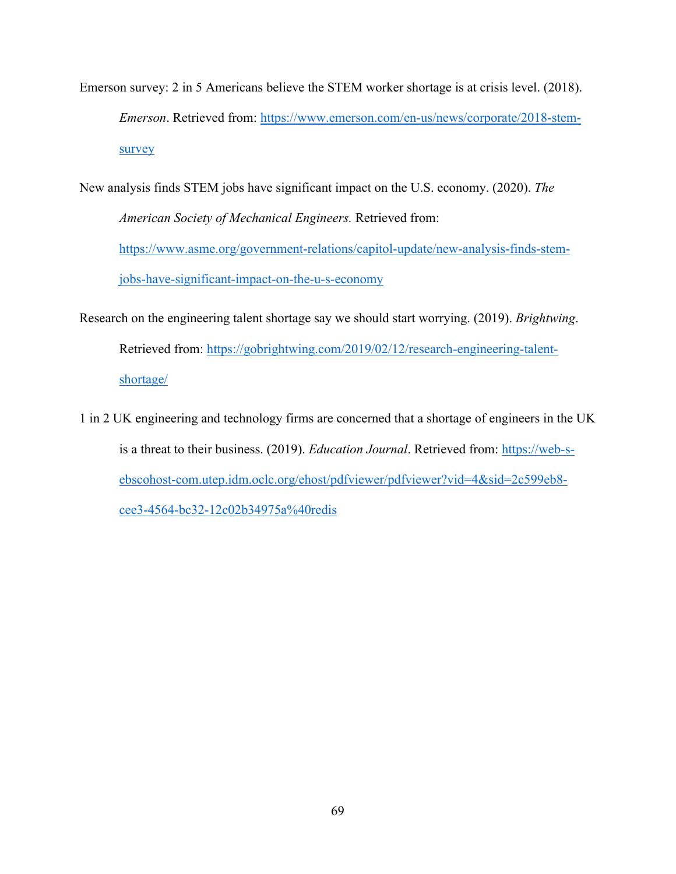Emerson survey: 2 in 5 Americans believe the STEM worker shortage is at crisis level. (2018). *Emerson*. Retrieved from: [https://www.emerson.com/en-us/news/corporate/2018-stem](https://www.emerson.com/en-us/news/corporate/2018-stem-survey)[survey](https://www.emerson.com/en-us/news/corporate/2018-stem-survey) 

New analysis finds STEM jobs have significant impact on the U.S. economy. (2020). *The American Society of Mechanical Engineers.* Retrieved from: [https://www.asme.org/government-relations/capitol-update/new-analysis-finds-stem](https://www.asme.org/government-relations/capitol-update/new-analysis-finds-stem-jobs-have-significant-impact-on-the-u-s-economy)[jobs-have-significant-impact-on-the-u-s-economy](https://www.asme.org/government-relations/capitol-update/new-analysis-finds-stem-jobs-have-significant-impact-on-the-u-s-economy)

- Research on the engineering talent shortage say we should start worrying. (2019). *Brightwing*. Retrieved from: [https://gobrightwing.com/2019/02/12/research-engineering-talent](https://gobrightwing.com/2019/02/12/research-engineering-talent-shortage/)[shortage/](https://gobrightwing.com/2019/02/12/research-engineering-talent-shortage/)
- 1 in 2 UK engineering and technology firms are concerned that a shortage of engineers in the UK is a threat to their business. (2019). *Education Journal*. Retrieved from: [https://web-s](https://web-s-ebscohost-com.utep.idm.oclc.org/ehost/pdfviewer/pdfviewer?vid=4&sid=2c599eb8-cee3-4564-bc32-12c02b34975a%40redis)[ebscohost-com.utep.idm.oclc.org/ehost/pdfviewer/pdfviewer?vid=4&sid=2c599eb8](https://web-s-ebscohost-com.utep.idm.oclc.org/ehost/pdfviewer/pdfviewer?vid=4&sid=2c599eb8-cee3-4564-bc32-12c02b34975a%40redis) [cee3-4564-bc32-12c02b34975a%40redis](https://web-s-ebscohost-com.utep.idm.oclc.org/ehost/pdfviewer/pdfviewer?vid=4&sid=2c599eb8-cee3-4564-bc32-12c02b34975a%40redis)